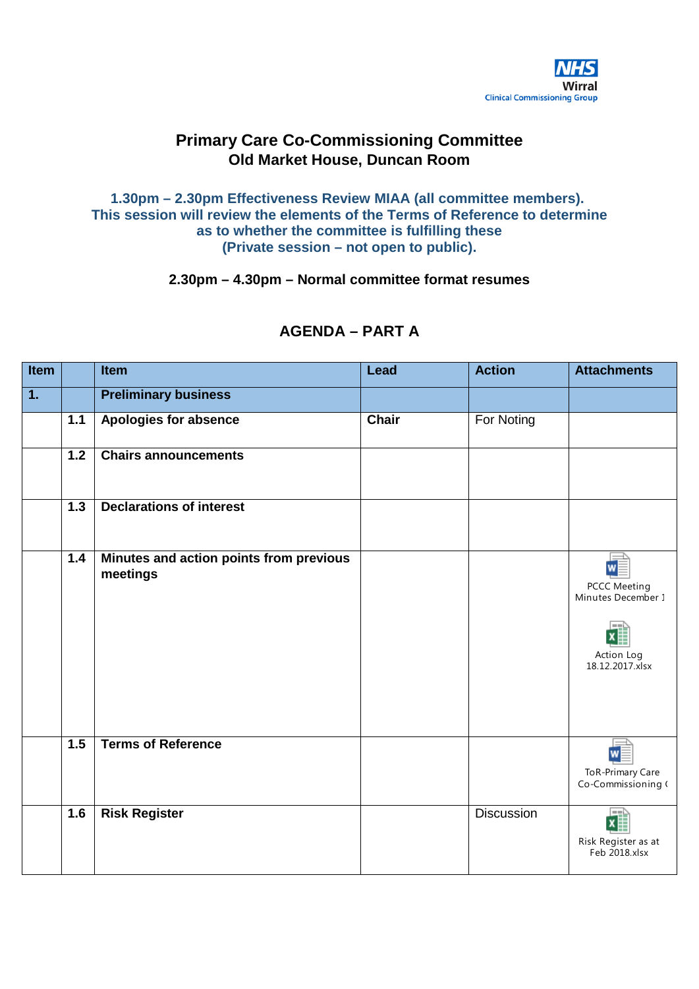

# **Primary Care Co-Commissioning Committee Old Market House, Duncan Room**

**1.30pm – 2.30pm Effectiveness Review MIAA (all committee members). This session will review the elements of the Terms of Reference to determine as to whether the committee is fulfilling these (Private session – not open to public).**

**2.30pm – 4.30pm – Normal committee format resumes**

| Item             |                  | <b>Item</b>                                         | Lead         | <b>Action</b>     | <b>Attachments</b>                                                              |
|------------------|------------------|-----------------------------------------------------|--------------|-------------------|---------------------------------------------------------------------------------|
| $\overline{1}$ . |                  | <b>Preliminary business</b>                         |              |                   |                                                                                 |
|                  | $1.1$            | Apologies for absence                               | <b>Chair</b> | For Noting        |                                                                                 |
|                  | 1.2              | <b>Chairs announcements</b>                         |              |                   |                                                                                 |
|                  | $\overline{1.3}$ | <b>Declarations of interest</b>                     |              |                   |                                                                                 |
|                  | 1.4              | Minutes and action points from previous<br>meetings |              |                   | W<br><b>PCCC Meeting</b><br>Minutes December 1<br>Action Log<br>18.12.2017.xlsx |
|                  | 1.5              | <b>Terms of Reference</b>                           |              |                   | $w \equiv$<br><b>ToR-Primary Care</b><br>Co-Commissioning (                     |
|                  | 1.6              | <b>Risk Register</b>                                |              | <b>Discussion</b> | l — Li<br>$\pmb{\chi}$<br>Risk Register as at<br>Feb 2018.xlsx                  |

# **AGENDA – PART A**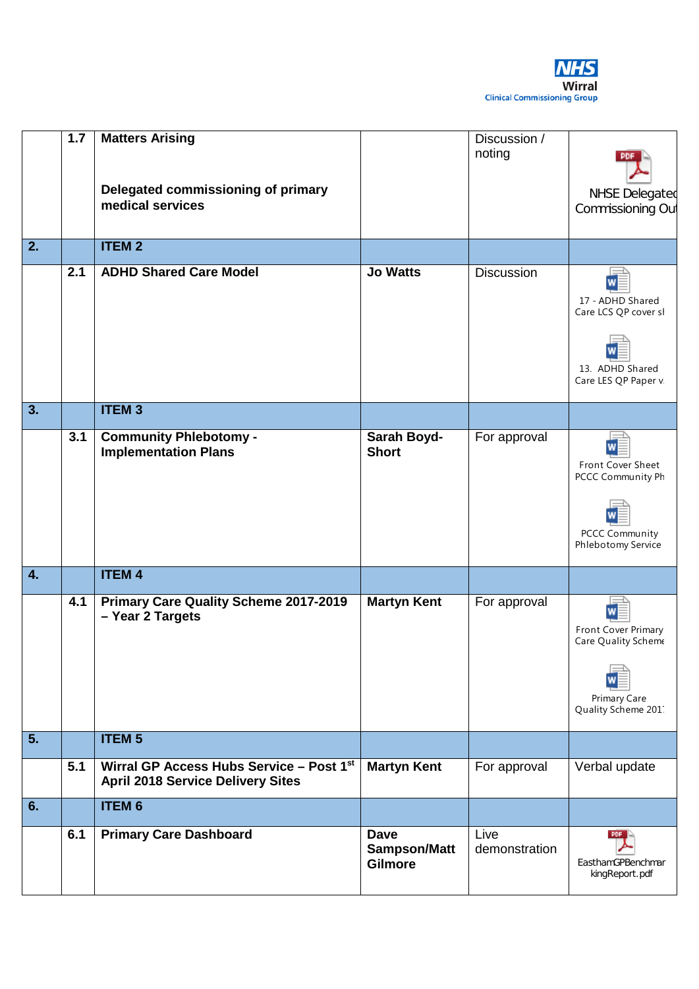

|    | 7.7 | <b>Matters Arising</b><br>Delegated commissioning of primary<br>medical services     |                                                      | Discussion /<br>noting | <b>NHSE Delegated</b><br>Commissioning Out                                                 |
|----|-----|--------------------------------------------------------------------------------------|------------------------------------------------------|------------------------|--------------------------------------------------------------------------------------------|
|    |     |                                                                                      |                                                      |                        |                                                                                            |
| 2. |     | <b>ITEM2</b>                                                                         |                                                      |                        |                                                                                            |
|    | 2.1 | <b>ADHD Shared Care Model</b>                                                        | <b>Jo Watts</b>                                      | <b>Discussion</b>      | 17 - ADHD Shared<br>Care LCS QP cover sl<br>13. ADHD Shared                                |
|    |     |                                                                                      |                                                      |                        | Care LES QP Paper v.                                                                       |
| 3. |     | <b>ITEM3</b>                                                                         |                                                      |                        |                                                                                            |
|    | 3.1 | <b>Community Phlebotomy -</b><br><b>Implementation Plans</b>                         | Sarah Boyd-<br><b>Short</b>                          | For approval           | W<br>Front Cover Sheet<br>PCCC Community Ph<br><b>PCCC Community</b><br>Phlebotomy Service |
| 4. |     | <b>ITEM 4</b>                                                                        |                                                      |                        |                                                                                            |
|    | 4.1 | Primary Care Quality Scheme 2017-2019<br>- Year 2 Targets                            | <b>Martyn Kent</b>                                   | For approval           | W<br>Front Cover Primary<br>Care Quality Scheme<br>Primary Care<br>Quality Scheme 201.     |
| 5. |     | <b>ITEM 5</b>                                                                        |                                                      |                        |                                                                                            |
|    | 5.1 | Wirral GP Access Hubs Service - Post 1st<br><b>April 2018 Service Delivery Sites</b> | <b>Martyn Kent</b>                                   | For approval           | Verbal update                                                                              |
| 6. |     | <b>ITEM 6</b>                                                                        |                                                      |                        |                                                                                            |
|    | 6.1 | <b>Primary Care Dashboard</b>                                                        | <b>Dave</b><br><b>Sampson/Matt</b><br><b>Gilmore</b> | Live<br>demonstration  | <b>PDF</b><br>EasthamGPBenchmar<br>kingReport.pdf                                          |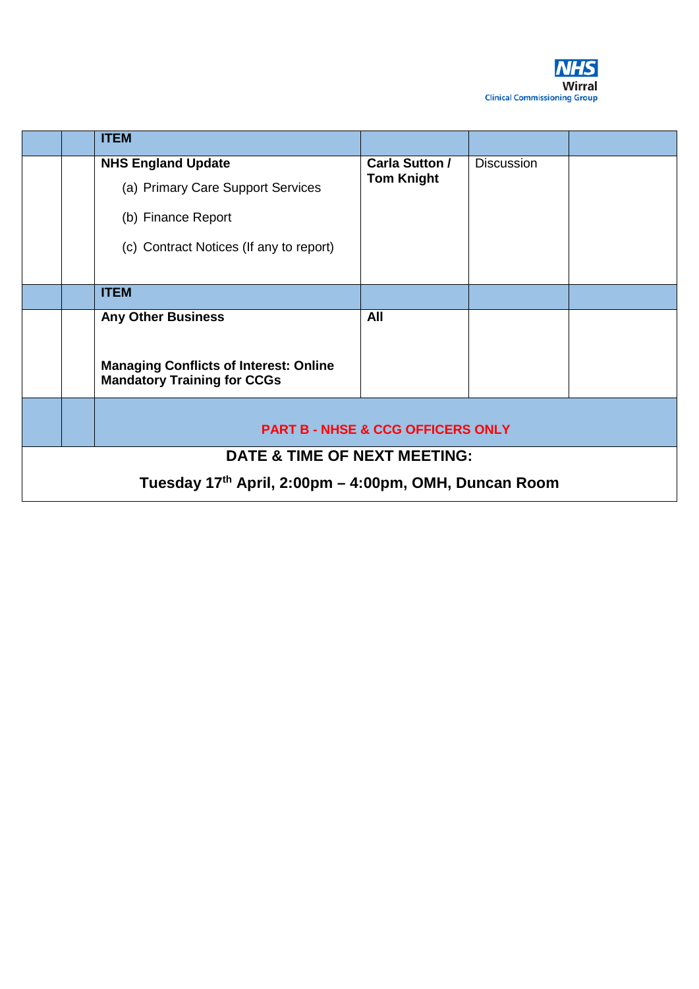

|                                                                                     |                                                       | <b>ITEM</b>                             |                   |                   |  |  |
|-------------------------------------------------------------------------------------|-------------------------------------------------------|-----------------------------------------|-------------------|-------------------|--|--|
|                                                                                     |                                                       | <b>NHS England Update</b>               | Carla Sutton /    | <b>Discussion</b> |  |  |
|                                                                                     |                                                       | (a) Primary Care Support Services       | <b>Tom Knight</b> |                   |  |  |
|                                                                                     |                                                       | (b) Finance Report                      |                   |                   |  |  |
|                                                                                     |                                                       | (c) Contract Notices (If any to report) |                   |                   |  |  |
|                                                                                     |                                                       | <b>ITEM</b>                             |                   |                   |  |  |
|                                                                                     |                                                       | <b>Any Other Business</b>               | All               |                   |  |  |
| <b>Managing Conflicts of Interest: Online</b><br><b>Mandatory Training for CCGs</b> |                                                       |                                         |                   |                   |  |  |
|                                                                                     | <b>PART B - NHSE &amp; CCG OFFICERS ONLY</b>          |                                         |                   |                   |  |  |
|                                                                                     | <b>DATE &amp; TIME OF NEXT MEETING:</b>               |                                         |                   |                   |  |  |
|                                                                                     | Tuesday 17th April, 2:00pm – 4:00pm, OMH, Duncan Room |                                         |                   |                   |  |  |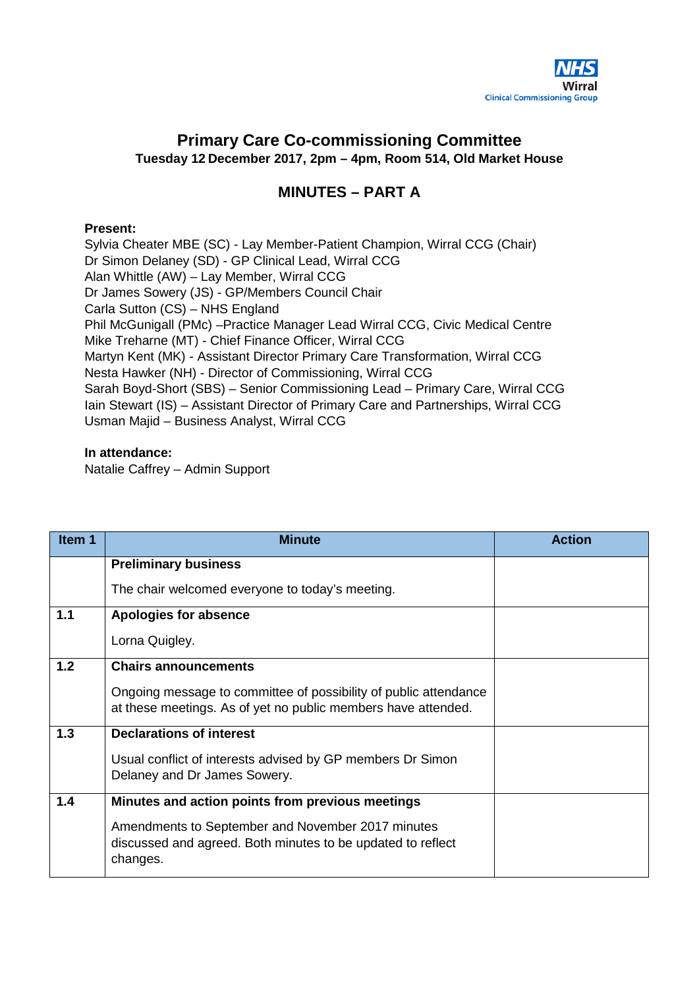

# <span id="page-3-0"></span>**Primary Care Co-commissioning Committee Tuesday 12 December 2017, 2pm – 4pm, Room 514, Old Market House**

# **MINUTES – PART A**

## **Present:**

Sylvia Cheater MBE (SC) - Lay Member-Patient Champion, Wirral CCG (Chair) Dr Simon Delaney (SD) - GP Clinical Lead, Wirral CCG Alan Whittle (AW) – Lay Member, Wirral CCG Dr James Sowery (JS) - GP/Members Council Chair Carla Sutton (CS) – NHS England Phil McGunigall (PMc) –Practice Manager Lead Wirral CCG, Civic Medical Centre Mike Treharne (MT) - Chief Finance Officer, Wirral CCG Martyn Kent (MK) - Assistant Director Primary Care Transformation, Wirral CCG Nesta Hawker (NH) - Director of Commissioning, Wirral CCG Sarah Boyd-Short (SBS) – Senior Commissioning Lead – Primary Care, Wirral CCG Iain Stewart (IS) – Assistant Director of Primary Care and Partnerships, Wirral CCG Usman Majid – Business Analyst, Wirral CCG

#### **In attendance:**

Natalie Caffrey – Admin Support

| Item 1 | <b>Minute</b>                                                                                                                     | <b>Action</b> |
|--------|-----------------------------------------------------------------------------------------------------------------------------------|---------------|
|        | <b>Preliminary business</b>                                                                                                       |               |
|        | The chair welcomed everyone to today's meeting.                                                                                   |               |
| 1.1    | Apologies for absence                                                                                                             |               |
|        | Lorna Quigley.                                                                                                                    |               |
| 1.2    | <b>Chairs announcements</b>                                                                                                       |               |
|        | Ongoing message to committee of possibility of public attendance<br>at these meetings. As of yet no public members have attended. |               |
| 1.3    | <b>Declarations of interest</b>                                                                                                   |               |
|        | Usual conflict of interests advised by GP members Dr Simon<br>Delaney and Dr James Sowery.                                        |               |
| 1.4    | Minutes and action points from previous meetings                                                                                  |               |
|        | Amendments to September and November 2017 minutes<br>discussed and agreed. Both minutes to be updated to reflect<br>changes.      |               |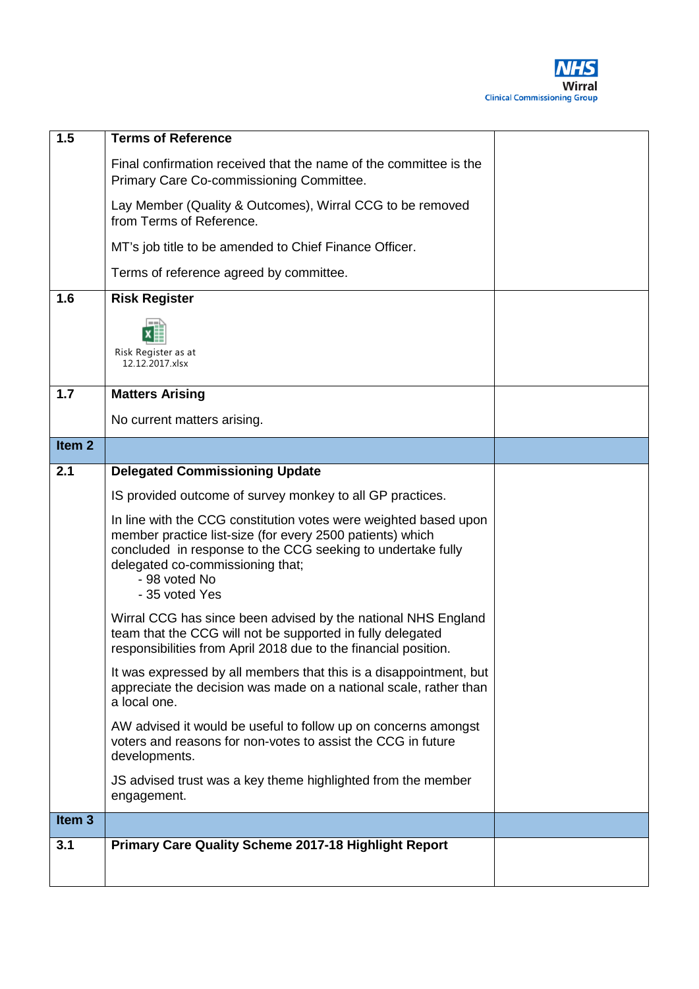

| 1.5               | <b>Terms of Reference</b>                                                                                                                                                                                                                                           |  |
|-------------------|---------------------------------------------------------------------------------------------------------------------------------------------------------------------------------------------------------------------------------------------------------------------|--|
|                   | Final confirmation received that the name of the committee is the<br>Primary Care Co-commissioning Committee.                                                                                                                                                       |  |
|                   | Lay Member (Quality & Outcomes), Wirral CCG to be removed<br>from Terms of Reference.                                                                                                                                                                               |  |
|                   | MT's job title to be amended to Chief Finance Officer.                                                                                                                                                                                                              |  |
|                   | Terms of reference agreed by committee.                                                                                                                                                                                                                             |  |
| 1.6               | <b>Risk Register</b>                                                                                                                                                                                                                                                |  |
|                   | Risk Register as at<br>12.12.2017.xlsx                                                                                                                                                                                                                              |  |
| 1.7               | <b>Matters Arising</b>                                                                                                                                                                                                                                              |  |
|                   | No current matters arising.                                                                                                                                                                                                                                         |  |
| Item <sub>2</sub> |                                                                                                                                                                                                                                                                     |  |
| 2.1               | <b>Delegated Commissioning Update</b>                                                                                                                                                                                                                               |  |
|                   | IS provided outcome of survey monkey to all GP practices.                                                                                                                                                                                                           |  |
|                   | In line with the CCG constitution votes were weighted based upon<br>member practice list-size (for every 2500 patients) which<br>concluded in response to the CCG seeking to undertake fully<br>delegated co-commissioning that;<br>- 98 voted No<br>- 35 voted Yes |  |
|                   | Wirral CCG has since been advised by the national NHS England<br>team that the CCG will not be supported in fully delegated<br>responsibilities from April 2018 due to the financial position.                                                                      |  |
|                   | It was expressed by all members that this is a disappointment, but<br>appreciate the decision was made on a national scale, rather than<br>a local one.                                                                                                             |  |
|                   | AW advised it would be useful to follow up on concerns amongst<br>voters and reasons for non-votes to assist the CCG in future<br>developments.                                                                                                                     |  |
|                   | JS advised trust was a key theme highlighted from the member<br>engagement.                                                                                                                                                                                         |  |
| Item <sub>3</sub> |                                                                                                                                                                                                                                                                     |  |
| 3.1               | <b>Primary Care Quality Scheme 2017-18 Highlight Report</b>                                                                                                                                                                                                         |  |
|                   |                                                                                                                                                                                                                                                                     |  |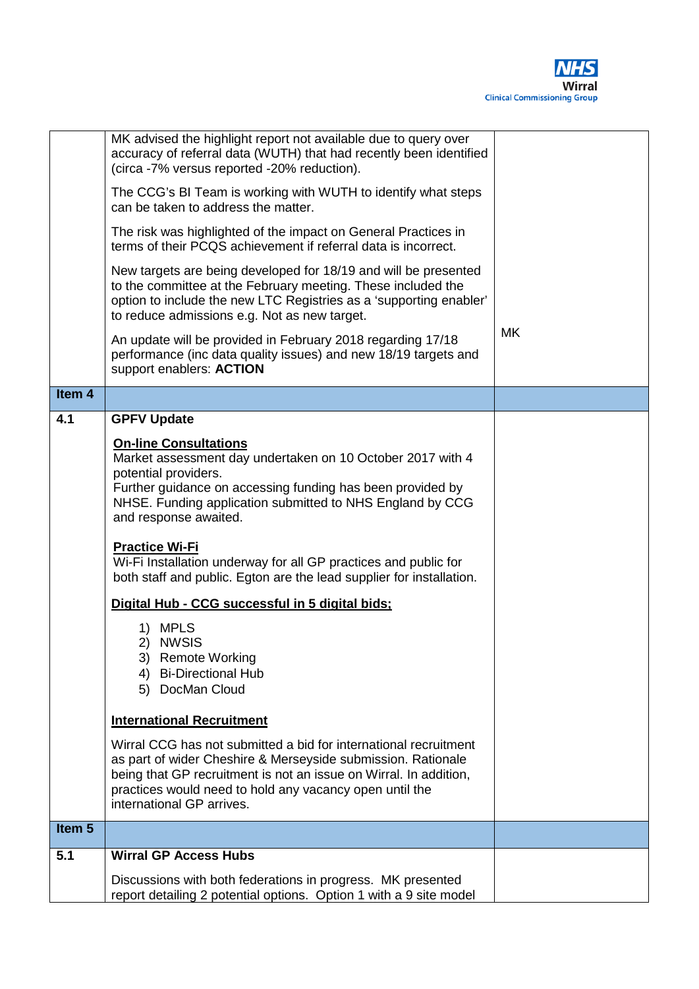

|                   | MK advised the highlight report not available due to query over<br>accuracy of referral data (WUTH) that had recently been identified<br>(circa -7% versus reported -20% reduction).<br>The CCG's BI Team is working with WUTH to identify what steps<br>can be taken to address the matter.<br>The risk was highlighted of the impact on General Practices in<br>terms of their PCQS achievement if referral data is incorrect.<br>New targets are being developed for 18/19 and will be presented<br>to the committee at the February meeting. These included the<br>option to include the new LTC Registries as a 'supporting enabler'<br>to reduce admissions e.g. Not as new target.<br>An update will be provided in February 2018 regarding 17/18<br>performance (inc data quality issues) and new 18/19 targets and<br>support enablers: ACTION | <b>MK</b> |
|-------------------|---------------------------------------------------------------------------------------------------------------------------------------------------------------------------------------------------------------------------------------------------------------------------------------------------------------------------------------------------------------------------------------------------------------------------------------------------------------------------------------------------------------------------------------------------------------------------------------------------------------------------------------------------------------------------------------------------------------------------------------------------------------------------------------------------------------------------------------------------------|-----------|
| Item <sub>4</sub> |                                                                                                                                                                                                                                                                                                                                                                                                                                                                                                                                                                                                                                                                                                                                                                                                                                                         |           |
| 4.1               | <b>GPFV Update</b>                                                                                                                                                                                                                                                                                                                                                                                                                                                                                                                                                                                                                                                                                                                                                                                                                                      |           |
|                   | <b>On-line Consultations</b><br>Market assessment day undertaken on 10 October 2017 with 4<br>potential providers.<br>Further guidance on accessing funding has been provided by<br>NHSE. Funding application submitted to NHS England by CCG<br>and response awaited.<br><b>Practice Wi-Fi</b><br>Wi-Fi Installation underway for all GP practices and public for<br>both staff and public. Egton are the lead supplier for installation.<br>Digital Hub - CCG successful in 5 digital bids;<br>1) MPLS<br>2) NWSIS<br>3) Remote Working<br>4) Bi-Directional Hub<br>5) DocMan Cloud                                                                                                                                                                                                                                                                   |           |
|                   | <b>International Recruitment</b>                                                                                                                                                                                                                                                                                                                                                                                                                                                                                                                                                                                                                                                                                                                                                                                                                        |           |
|                   | Wirral CCG has not submitted a bid for international recruitment<br>as part of wider Cheshire & Merseyside submission. Rationale<br>being that GP recruitment is not an issue on Wirral. In addition,<br>practices would need to hold any vacancy open until the<br>international GP arrives.                                                                                                                                                                                                                                                                                                                                                                                                                                                                                                                                                           |           |
| Item <sub>5</sub> |                                                                                                                                                                                                                                                                                                                                                                                                                                                                                                                                                                                                                                                                                                                                                                                                                                                         |           |
| 5.1               | <b>Wirral GP Access Hubs</b>                                                                                                                                                                                                                                                                                                                                                                                                                                                                                                                                                                                                                                                                                                                                                                                                                            |           |
|                   | Discussions with both federations in progress. MK presented<br>report detailing 2 potential options. Option 1 with a 9 site model                                                                                                                                                                                                                                                                                                                                                                                                                                                                                                                                                                                                                                                                                                                       |           |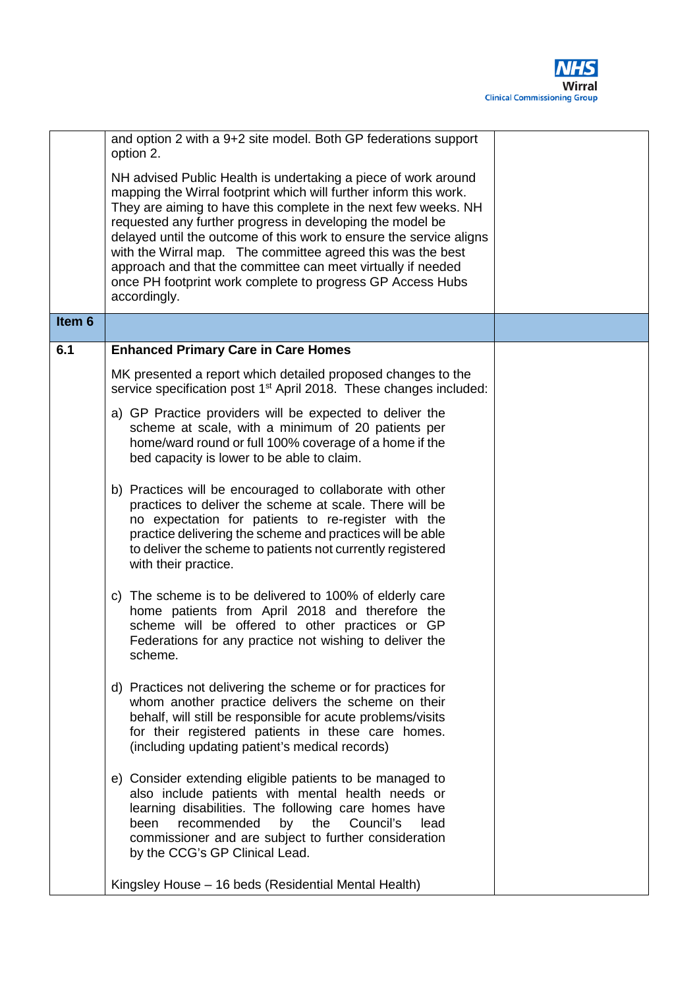

|                   | and option 2 with a 9+2 site model. Both GP federations support<br>option 2.<br>NH advised Public Health is undertaking a piece of work around<br>mapping the Wirral footprint which will further inform this work.<br>They are aiming to have this complete in the next few weeks. NH<br>requested any further progress in developing the model be<br>delayed until the outcome of this work to ensure the service aligns<br>with the Wirral map. The committee agreed this was the best<br>approach and that the committee can meet virtually if needed<br>once PH footprint work complete to progress GP Access Hubs<br>accordingly. |  |
|-------------------|-----------------------------------------------------------------------------------------------------------------------------------------------------------------------------------------------------------------------------------------------------------------------------------------------------------------------------------------------------------------------------------------------------------------------------------------------------------------------------------------------------------------------------------------------------------------------------------------------------------------------------------------|--|
| Item <sub>6</sub> |                                                                                                                                                                                                                                                                                                                                                                                                                                                                                                                                                                                                                                         |  |
| 6.1               | <b>Enhanced Primary Care in Care Homes</b>                                                                                                                                                                                                                                                                                                                                                                                                                                                                                                                                                                                              |  |
|                   | MK presented a report which detailed proposed changes to the<br>service specification post 1 <sup>st</sup> April 2018. These changes included:                                                                                                                                                                                                                                                                                                                                                                                                                                                                                          |  |
|                   | a) GP Practice providers will be expected to deliver the<br>scheme at scale, with a minimum of 20 patients per<br>home/ward round or full 100% coverage of a home if the<br>bed capacity is lower to be able to claim.                                                                                                                                                                                                                                                                                                                                                                                                                  |  |
|                   | b) Practices will be encouraged to collaborate with other<br>practices to deliver the scheme at scale. There will be<br>no expectation for patients to re-register with the<br>practice delivering the scheme and practices will be able<br>to deliver the scheme to patients not currently registered<br>with their practice.                                                                                                                                                                                                                                                                                                          |  |
|                   | c) The scheme is to be delivered to 100% of elderly care<br>home patients from April 2018 and therefore the<br>scheme will be offered to other practices or GP<br>Federations for any practice not wishing to deliver the<br>scheme.                                                                                                                                                                                                                                                                                                                                                                                                    |  |
|                   | d) Practices not delivering the scheme or for practices for<br>whom another practice delivers the scheme on their<br>behalf, will still be responsible for acute problems/visits<br>for their registered patients in these care homes.<br>(including updating patient's medical records)                                                                                                                                                                                                                                                                                                                                                |  |
|                   | e) Consider extending eligible patients to be managed to<br>also include patients with mental health needs or<br>learning disabilities. The following care homes have<br>recommended<br>the<br>Council's<br>by<br>lead<br>been<br>commissioner and are subject to further consideration<br>by the CCG's GP Clinical Lead.                                                                                                                                                                                                                                                                                                               |  |
|                   | Kingsley House - 16 beds (Residential Mental Health)                                                                                                                                                                                                                                                                                                                                                                                                                                                                                                                                                                                    |  |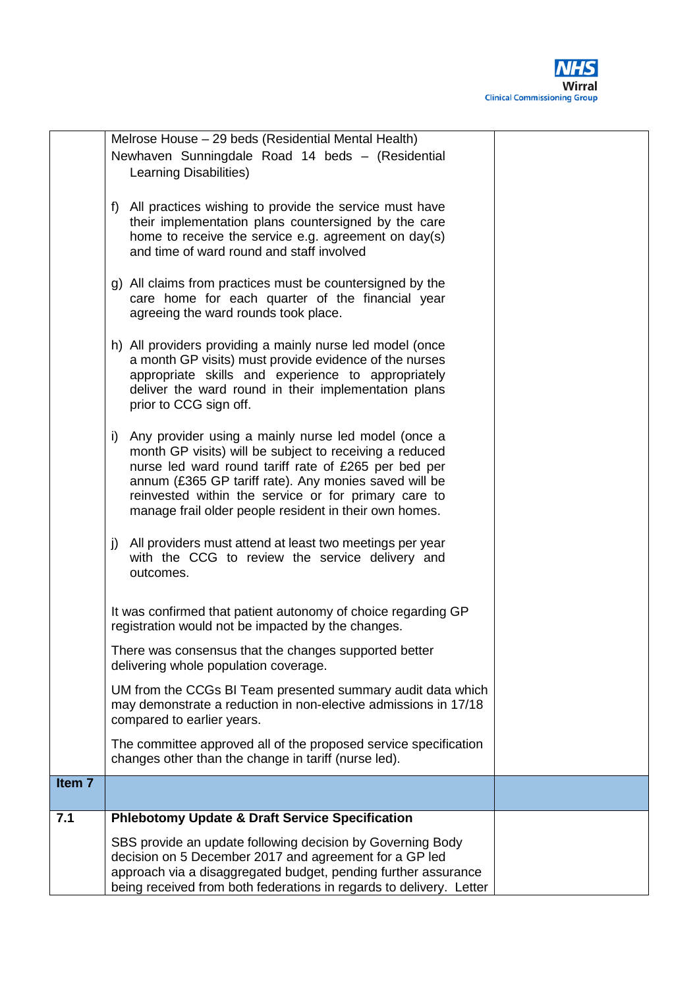

|                   | Melrose House - 29 beds (Residential Mental Health)                                                        |  |
|-------------------|------------------------------------------------------------------------------------------------------------|--|
|                   | Newhaven Sunningdale Road 14 beds - (Residential                                                           |  |
|                   | Learning Disabilities)                                                                                     |  |
|                   |                                                                                                            |  |
|                   | All practices wishing to provide the service must have<br>f)                                               |  |
|                   | their implementation plans countersigned by the care                                                       |  |
|                   | home to receive the service e.g. agreement on day(s)                                                       |  |
|                   | and time of ward round and staff involved                                                                  |  |
|                   |                                                                                                            |  |
|                   | g) All claims from practices must be countersigned by the                                                  |  |
|                   | care home for each quarter of the financial year                                                           |  |
|                   | agreeing the ward rounds took place.                                                                       |  |
|                   |                                                                                                            |  |
|                   | h) All providers providing a mainly nurse led model (once                                                  |  |
|                   | a month GP visits) must provide evidence of the nurses                                                     |  |
|                   |                                                                                                            |  |
|                   | appropriate skills and experience to appropriately<br>deliver the ward round in their implementation plans |  |
|                   | prior to CCG sign off.                                                                                     |  |
|                   |                                                                                                            |  |
|                   |                                                                                                            |  |
|                   | Any provider using a mainly nurse led model (once a<br>i)                                                  |  |
|                   | month GP visits) will be subject to receiving a reduced                                                    |  |
|                   | nurse led ward round tariff rate of £265 per bed per                                                       |  |
|                   | annum (£365 GP tariff rate). Any monies saved will be                                                      |  |
|                   | reinvested within the service or for primary care to                                                       |  |
|                   | manage frail older people resident in their own homes.                                                     |  |
|                   |                                                                                                            |  |
|                   | All providers must attend at least two meetings per year<br>j)                                             |  |
|                   | with the CCG to review the service delivery and                                                            |  |
|                   | outcomes.                                                                                                  |  |
|                   |                                                                                                            |  |
|                   | It was confirmed that patient autonomy of choice regarding GP                                              |  |
|                   | registration would not be impacted by the changes.                                                         |  |
|                   |                                                                                                            |  |
|                   | There was consensus that the changes supported better                                                      |  |
|                   | delivering whole population coverage.                                                                      |  |
|                   | UM from the CCGs BI Team presented summary audit data which                                                |  |
|                   | may demonstrate a reduction in non-elective admissions in 17/18                                            |  |
|                   | compared to earlier years.                                                                                 |  |
|                   |                                                                                                            |  |
|                   | The committee approved all of the proposed service specification                                           |  |
|                   | changes other than the change in tariff (nurse led).                                                       |  |
| Item <sub>7</sub> |                                                                                                            |  |
|                   |                                                                                                            |  |
| 7.1               | <b>Phlebotomy Update &amp; Draft Service Specification</b>                                                 |  |
|                   | SBS provide an update following decision by Governing Body                                                 |  |
|                   | decision on 5 December 2017 and agreement for a GP led                                                     |  |
|                   | approach via a disaggregated budget, pending further assurance                                             |  |
|                   | being received from both federations in regards to delivery. Letter                                        |  |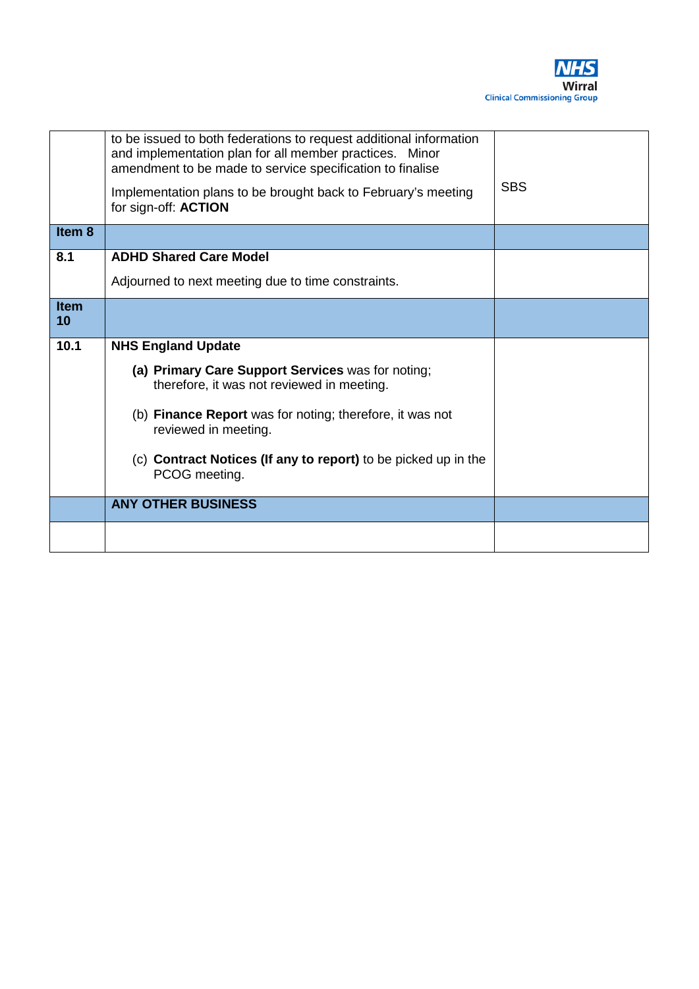

|                   | to be issued to both federations to request additional information<br>and implementation plan for all member practices. Minor<br>amendment to be made to service specification to finalise<br>Implementation plans to be brought back to February's meeting<br>for sign-off: ACTION | <b>SBS</b> |
|-------------------|-------------------------------------------------------------------------------------------------------------------------------------------------------------------------------------------------------------------------------------------------------------------------------------|------------|
| Item 8            |                                                                                                                                                                                                                                                                                     |            |
| 8.1               | <b>ADHD Shared Care Model</b>                                                                                                                                                                                                                                                       |            |
|                   | Adjourned to next meeting due to time constraints.                                                                                                                                                                                                                                  |            |
| <b>Item</b><br>10 |                                                                                                                                                                                                                                                                                     |            |
| 10.1              | <b>NHS England Update</b>                                                                                                                                                                                                                                                           |            |
|                   | (a) Primary Care Support Services was for noting;<br>therefore, it was not reviewed in meeting.                                                                                                                                                                                     |            |
|                   | (b) <b>Finance Report</b> was for noting; therefore, it was not<br>reviewed in meeting.                                                                                                                                                                                             |            |
|                   | (c) Contract Notices (If any to report) to be picked up in the<br>PCOG meeting.                                                                                                                                                                                                     |            |
|                   | <b>ANY OTHER BUSINESS</b>                                                                                                                                                                                                                                                           |            |
|                   |                                                                                                                                                                                                                                                                                     |            |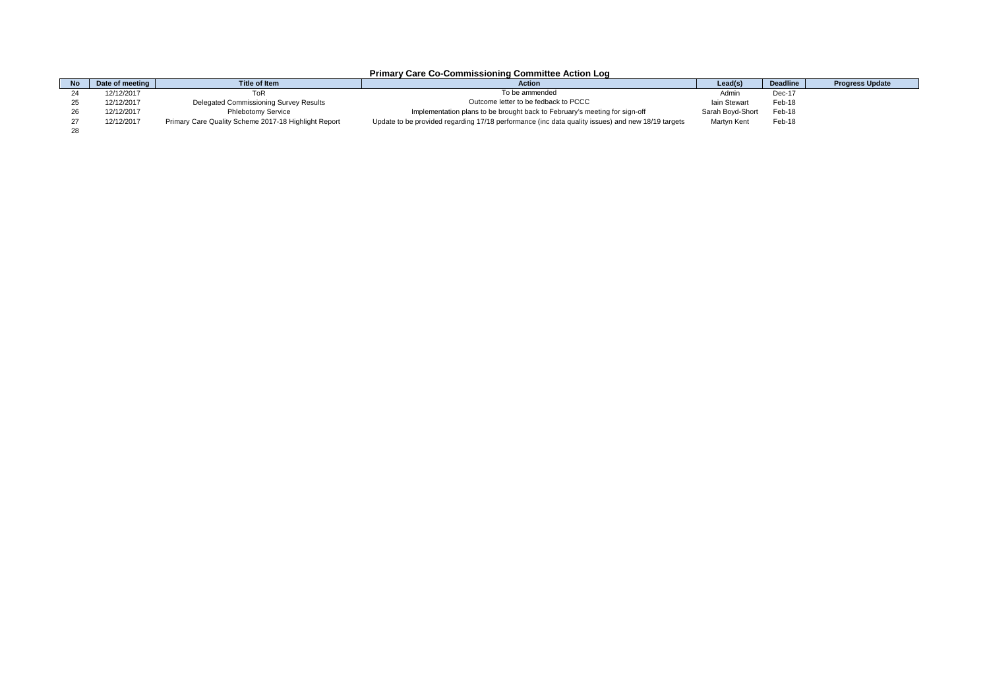#### **Primary Care Co-Commissioning Committee Action Log**

<span id="page-9-0"></span>

| <b>No</b> | Date of meeting I | Title of Item                                        | <b>Action</b>                                                                                     | Lead(s <sup>y</sup> | <b>Deadline</b> | <b>Progress Update</b> |
|-----------|-------------------|------------------------------------------------------|---------------------------------------------------------------------------------------------------|---------------------|-----------------|------------------------|
|           | 12/12/2017        | ToR                                                  | To be ammended                                                                                    | Admir               | Dec-17          |                        |
|           | 12/12/2017        | Delegated Commissioning Survey Results               | Outcome letter to be fedback to PCCC                                                              | lain Stewart        | Feb-18          |                        |
|           | 12/12/2017        | Phlebotomy Service                                   | Implementation plans to be brought back to February's meeting for sign-off                        | Sarah Bovd-Short    | Feb-18          |                        |
|           | 12/12/2017        | Primary Care Quality Scheme 2017-18 Highlight Report | Update to be provided regarding 17/18 performance (inc data quality issues) and new 18/19 targets | <b>Martvn Kent</b>  | Feb-18          |                        |
|           |                   |                                                      |                                                                                                   |                     |                 |                        |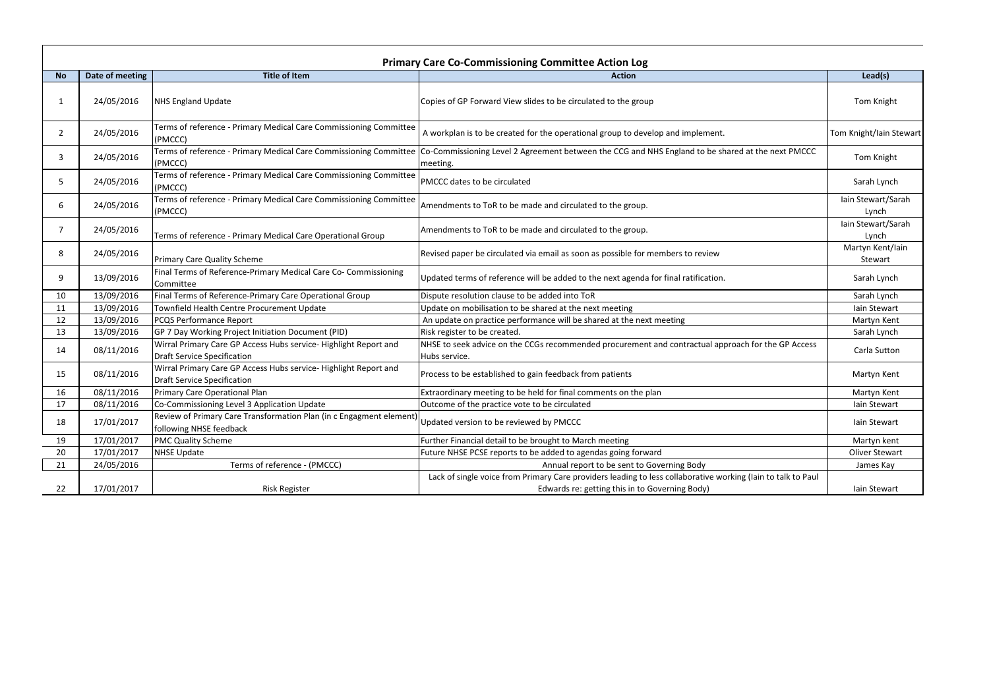|                |                 |                                                                                                        | <b>Primary Care Co-Commissioning Committee Action Log</b>                                                                                                                       |                             |
|----------------|-----------------|--------------------------------------------------------------------------------------------------------|---------------------------------------------------------------------------------------------------------------------------------------------------------------------------------|-----------------------------|
| <b>No</b>      | Date of meeting | <b>Title of Item</b>                                                                                   | <b>Action</b>                                                                                                                                                                   | Lead(s)                     |
| -1             | 24/05/2016      | <b>NHS England Update</b>                                                                              | Copies of GP Forward View slides to be circulated to the group                                                                                                                  | Tom Knight                  |
| $\overline{2}$ | 24/05/2016      | Terms of reference - Primary Medical Care Commissioning Committee<br>(PMCCC)                           | A workplan is to be created for the operational group to develop and implement.                                                                                                 | Tom Knight/Iain Stewart     |
| -3             | 24/05/2016      | (PMCCC)                                                                                                | Terms of reference - Primary Medical Care Commissioning Committee Co-Commissioning Level 2 Agreement between the CCG and NHS England to be shared at the next PMCCC<br>meeting. | Tom Knight                  |
| -5             | 24/05/2016      | Terms of reference - Primary Medical Care Commissioning Committee<br>(PMCCC)                           | PMCCC dates to be circulated                                                                                                                                                    | Sarah Lynch                 |
| 6              | 24/05/2016      | Terms of reference - Primary Medical Care Commissioning Committee<br>(PMCCC)                           | Amendments to ToR to be made and circulated to the group.                                                                                                                       | Iain Stewart/Sarah<br>Lynch |
| 7              | 24/05/2016      | Terms of reference - Primary Medical Care Operational Group                                            | Amendments to ToR to be made and circulated to the group.                                                                                                                       | Iain Stewart/Sarah<br>Lynch |
| -8             | 24/05/2016      | <b>Primary Care Quality Scheme</b>                                                                     | Revised paper be circulated via email as soon as possible for members to review                                                                                                 | Martyn Kent/Iain<br>Stewart |
| 9              | 13/09/2016      | Final Terms of Reference-Primary Medical Care Co- Commissioning<br>Committee                           | Jpdated terms of reference will be added to the next agenda for final ratification.                                                                                             | Sarah Lynch                 |
| 10             | 13/09/2016      | Final Terms of Reference-Primary Care Operational Group                                                | Dispute resolution clause to be added into ToR                                                                                                                                  | Sarah Lynch                 |
| 11             | 13/09/2016      | Townfield Health Centre Procurement Update                                                             | Jpdate on mobilisation to be shared at the next meeting                                                                                                                         | Iain Stewart                |
| 12             | 13/09/2016      | PCQS Performance Report                                                                                | An update on practice performance will be shared at the next meeting                                                                                                            | Martyn Kent                 |
| 13             | 13/09/2016      | GP 7 Day Working Project Initiation Document (PID)                                                     | Risk register to be created.                                                                                                                                                    | Sarah Lynch                 |
| 14             | 08/11/2016      | Wirral Primary Care GP Access Hubs service- Highlight Report and<br><b>Draft Service Specification</b> | NHSE to seek advice on the CCGs recommended procurement and contractual approach for the GP Access<br>Hubs service.                                                             | Carla Sutton                |
| -15            | 08/11/2016      | Wirral Primary Care GP Access Hubs service- Highlight Report and<br><b>Draft Service Specification</b> | Process to be established to gain feedback from patients                                                                                                                        | Martyn Kent                 |
| 16             | 08/11/2016      | Primary Care Operational Plan                                                                          | Extraordinary meeting to be held for final comments on the plan                                                                                                                 | Martyn Kent                 |
| 17             | 08/11/2016      | Co-Commissioning Level 3 Application Update                                                            | Outcome of the practice vote to be circulated                                                                                                                                   | Iain Stewart                |
| 18             | 17/01/2017      | Review of Primary Care Transformation Plan (in c Engagment element)<br>following NHSE feedback         | Updated version to be reviewed by PMCCC                                                                                                                                         | Iain Stewart                |
| 19             | 17/01/2017      | <b>PMC Quality Scheme</b>                                                                              | Further Financial detail to be brought to March meeting                                                                                                                         | Martyn kent                 |
| 20             | 17/01/2017      | <b>NHSE Update</b>                                                                                     | Future NHSE PCSE reports to be added to agendas going forward                                                                                                                   | Oliver Stewart              |
| 21             | 24/05/2016      | Terms of reference - (PMCCC)                                                                           | Annual report to be sent to Governing Body                                                                                                                                      | James Kay                   |
|                |                 |                                                                                                        | Lack of single voice from Primary Care providers leading to less collaborative working (lain to talk to Paul                                                                    |                             |
| 22             | 17/01/2017      | <b>Risk Register</b>                                                                                   | Edwards re: getting this in to Governing Body)                                                                                                                                  | lain Stewart                |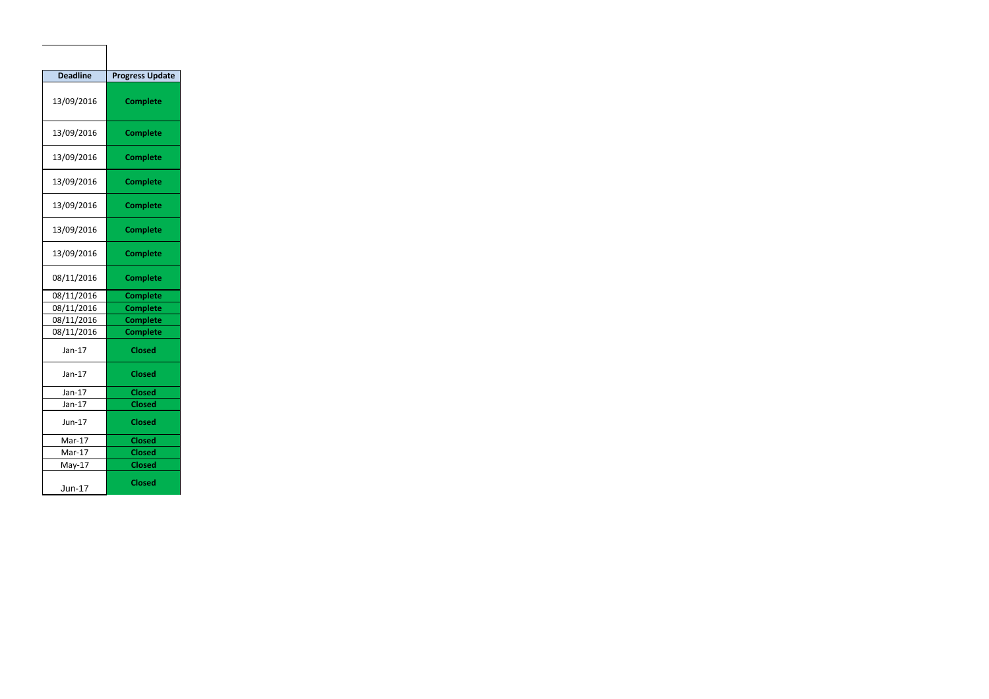| <b>Deadline</b> | <b>Progress Update</b> |
|-----------------|------------------------|
| 13/09/2016      | <b>Complete</b>        |
| 13/09/2016      | <b>Complete</b>        |
| 13/09/2016      | <b>Complete</b>        |
| 13/09/2016      | <b>Complete</b>        |
| 13/09/2016      | <b>Complete</b>        |
| 13/09/2016      | <b>Complete</b>        |
| 13/09/2016      | <b>Complete</b>        |
| 08/11/2016      | <b>Complete</b>        |
| 08/11/2016      | <b>Complete</b>        |
| 08/11/2016      | <b>Complete</b>        |
| 08/11/2016      | <b>Complete</b>        |
| 08/11/2016      | <b>Complete</b>        |
| Jan-17          | <b>Closed</b>          |
| $Jan-17$        | <b>Closed</b>          |
| Jan-17          | <b>Closed</b>          |
| $Jan-17$        | <b>Closed</b>          |
| $Jun-17$        | <b>Closed</b>          |
| Mar-17          | <b>Closed</b>          |
| Mar-17          | <b>Closed</b>          |
| $May-17$        | <b>Closed</b>          |
| <b>Jun-17</b>   | <b>Closed</b>          |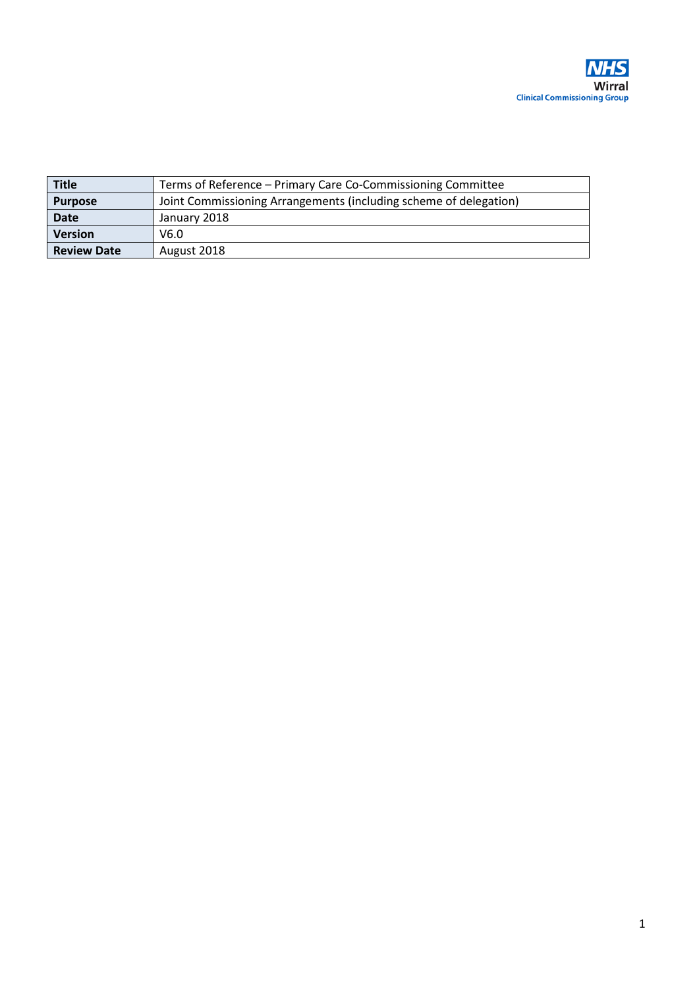<span id="page-12-0"></span>

| <b>Title</b>       | Terms of Reference - Primary Care Co-Commissioning Committee      |
|--------------------|-------------------------------------------------------------------|
| <b>Purpose</b>     | Joint Commissioning Arrangements (including scheme of delegation) |
| <b>Date</b>        | January 2018                                                      |
| <b>Version</b>     | V6.0                                                              |
| <b>Review Date</b> | August 2018                                                       |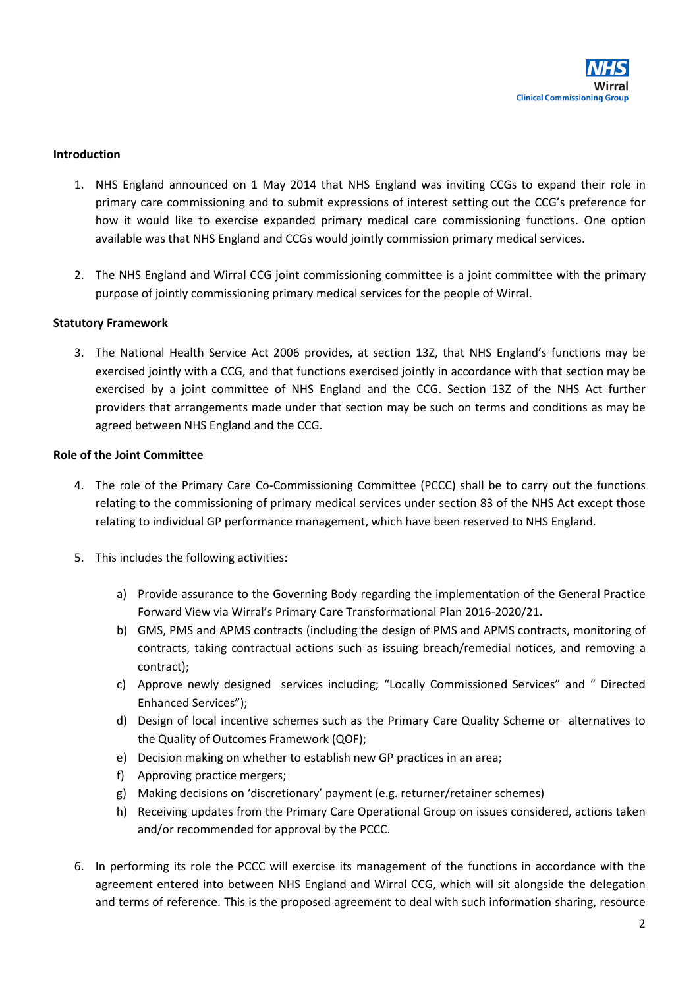

#### **Introduction**

- 1. NHS England announced on 1 May 2014 that NHS England was inviting CCGs to expand their role in primary care commissioning and to submit expressions of interest setting out the CCG's preference for how it would like to exercise expanded primary medical care commissioning functions. One option available was that NHS England and CCGs would jointly commission primary medical services.
- 2. The NHS England and Wirral CCG joint commissioning committee is a joint committee with the primary purpose of jointly commissioning primary medical services for the people of Wirral.

#### **Statutory Framework**

3. The National Health Service Act 2006 provides, at section 13Z, that NHS England's functions may be exercised jointly with a CCG, and that functions exercised jointly in accordance with that section may be exercised by a joint committee of NHS England and the CCG. Section 13Z of the NHS Act further providers that arrangements made under that section may be such on terms and conditions as may be agreed between NHS England and the CCG.

#### **Role of the Joint Committee**

- 4. The role of the Primary Care Co-Commissioning Committee (PCCC) shall be to carry out the functions relating to the commissioning of primary medical services under section 83 of the NHS Act except those relating to individual GP performance management, which have been reserved to NHS England.
- 5. This includes the following activities:
	- a) Provide assurance to the Governing Body regarding the implementation of the General Practice Forward View via Wirral's Primary Care Transformational Plan 2016-2020/21.
	- b) GMS, PMS and APMS contracts (including the design of PMS and APMS contracts, monitoring of contracts, taking contractual actions such as issuing breach/remedial notices, and removing a contract);
	- c) Approve newly designed services including; "Locally Commissioned Services" and " Directed Enhanced Services");
	- d) Design of local incentive schemes such as the Primary Care Quality Scheme or alternatives to the Quality of Outcomes Framework (QOF);
	- e) Decision making on whether to establish new GP practices in an area;
	- f) Approving practice mergers;
	- g) Making decisions on 'discretionary' payment (e.g. returner/retainer schemes)
	- h) Receiving updates from the Primary Care Operational Group on issues considered, actions taken and/or recommended for approval by the PCCC.
- 6. In performing its role the PCCC will exercise its management of the functions in accordance with the agreement entered into between NHS England and Wirral CCG, which will sit alongside the delegation and terms of reference. This is the proposed agreement to deal with such information sharing, resource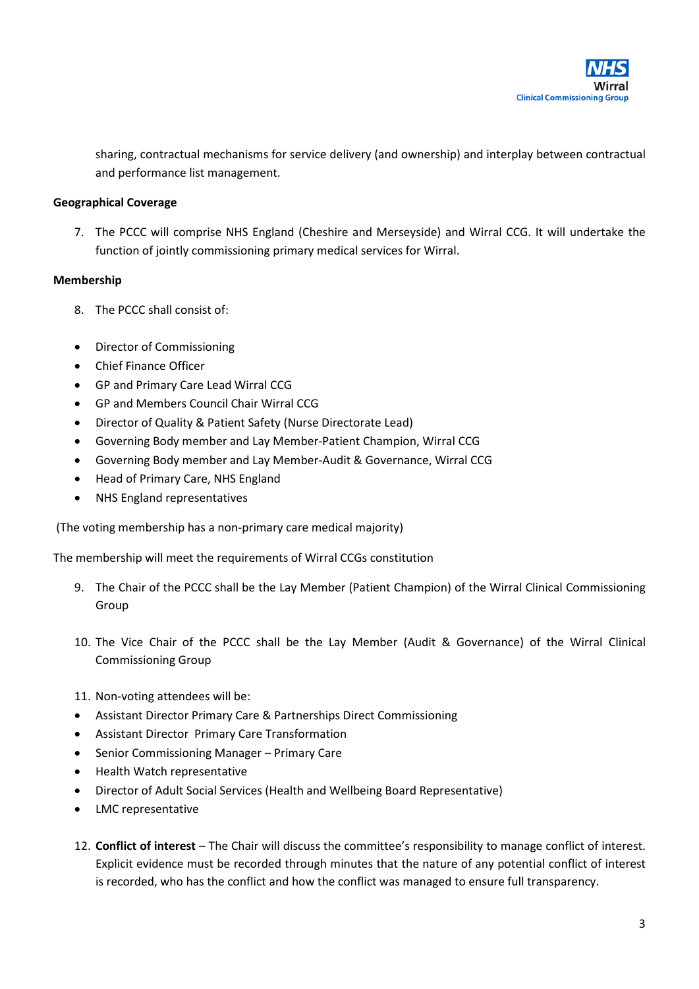

sharing, contractual mechanisms for service delivery (and ownership) and interplay between contractual and performance list management.

#### **Geographical Coverage**

7. The PCCC will comprise NHS England (Cheshire and Merseyside) and Wirral CCG. It will undertake the function of jointly commissioning primary medical services for Wirral.

#### **Membership**

- 8. The PCCC shall consist of:
- Director of Commissioning
- Chief Finance Officer
- GP and Primary Care Lead Wirral CCG
- GP and Members Council Chair Wirral CCG
- Director of Quality & Patient Safety (Nurse Directorate Lead)
- Governing Body member and Lay Member-Patient Champion, Wirral CCG
- Governing Body member and Lay Member-Audit & Governance, Wirral CCG
- Head of Primary Care, NHS England
- NHS England representatives

(The voting membership has a non-primary care medical majority)

The membership will meet the requirements of Wirral CCGs constitution

- 9. The Chair of the PCCC shall be the Lay Member (Patient Champion) of the Wirral Clinical Commissioning Group
- 10. The Vice Chair of the PCCC shall be the Lay Member (Audit & Governance) of the Wirral Clinical Commissioning Group
- 11. Non-voting attendees will be:
- Assistant Director Primary Care & Partnerships Direct Commissioning
- Assistant Director Primary Care Transformation
- Senior Commissioning Manager Primary Care
- Health Watch representative
- Director of Adult Social Services (Health and Wellbeing Board Representative)
- LMC representative
- 12. **Conflict of interest** The Chair will discuss the committee's responsibility to manage conflict of interest. Explicit evidence must be recorded through minutes that the nature of any potential conflict of interest is recorded, who has the conflict and how the conflict was managed to ensure full transparency.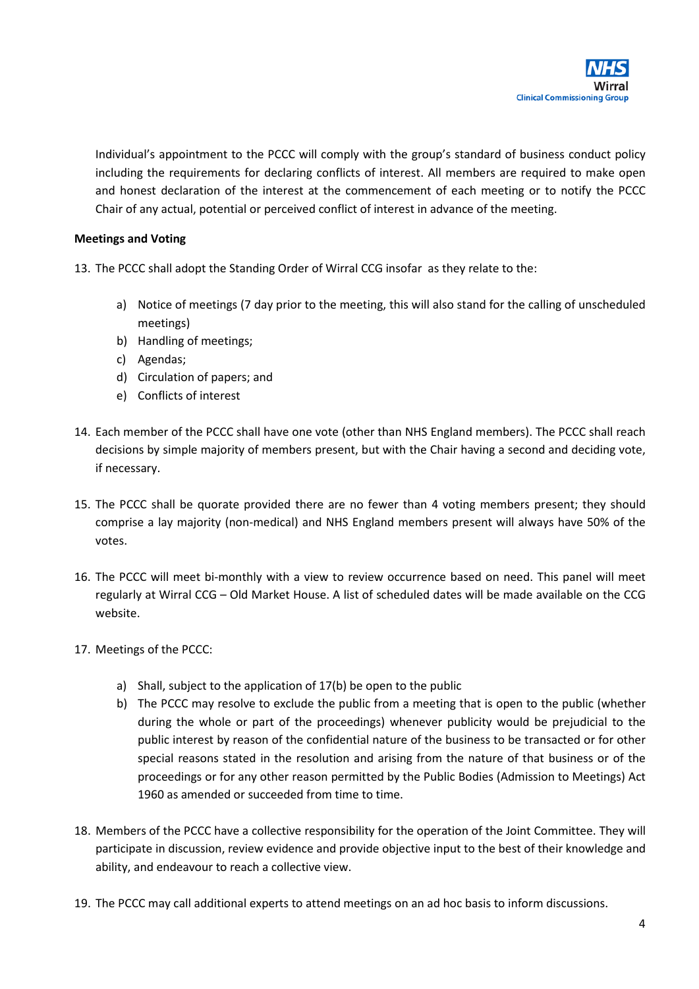

Individual's appointment to the PCCC will comply with the group's standard of business conduct policy including the requirements for declaring conflicts of interest. All members are required to make open and honest declaration of the interest at the commencement of each meeting or to notify the PCCC Chair of any actual, potential or perceived conflict of interest in advance of the meeting.

#### **Meetings and Voting**

- 13. The PCCC shall adopt the Standing Order of Wirral CCG insofar as they relate to the:
	- a) Notice of meetings (7 day prior to the meeting, this will also stand for the calling of unscheduled meetings)
	- b) Handling of meetings;
	- c) Agendas;
	- d) Circulation of papers; and
	- e) Conflicts of interest
- 14. Each member of the PCCC shall have one vote (other than NHS England members). The PCCC shall reach decisions by simple majority of members present, but with the Chair having a second and deciding vote, if necessary.
- 15. The PCCC shall be quorate provided there are no fewer than 4 voting members present; they should comprise a lay majority (non-medical) and NHS England members present will always have 50% of the votes.
- 16. The PCCC will meet bi-monthly with a view to review occurrence based on need. This panel will meet regularly at Wirral CCG – Old Market House. A list of scheduled dates will be made available on the CCG website.
- 17. Meetings of the PCCC:
	- a) Shall, subject to the application of 17(b) be open to the public
	- b) The PCCC may resolve to exclude the public from a meeting that is open to the public (whether during the whole or part of the proceedings) whenever publicity would be prejudicial to the public interest by reason of the confidential nature of the business to be transacted or for other special reasons stated in the resolution and arising from the nature of that business or of the proceedings or for any other reason permitted by the Public Bodies (Admission to Meetings) Act 1960 as amended or succeeded from time to time.
- 18. Members of the PCCC have a collective responsibility for the operation of the Joint Committee. They will participate in discussion, review evidence and provide objective input to the best of their knowledge and ability, and endeavour to reach a collective view.
- 19. The PCCC may call additional experts to attend meetings on an ad hoc basis to inform discussions.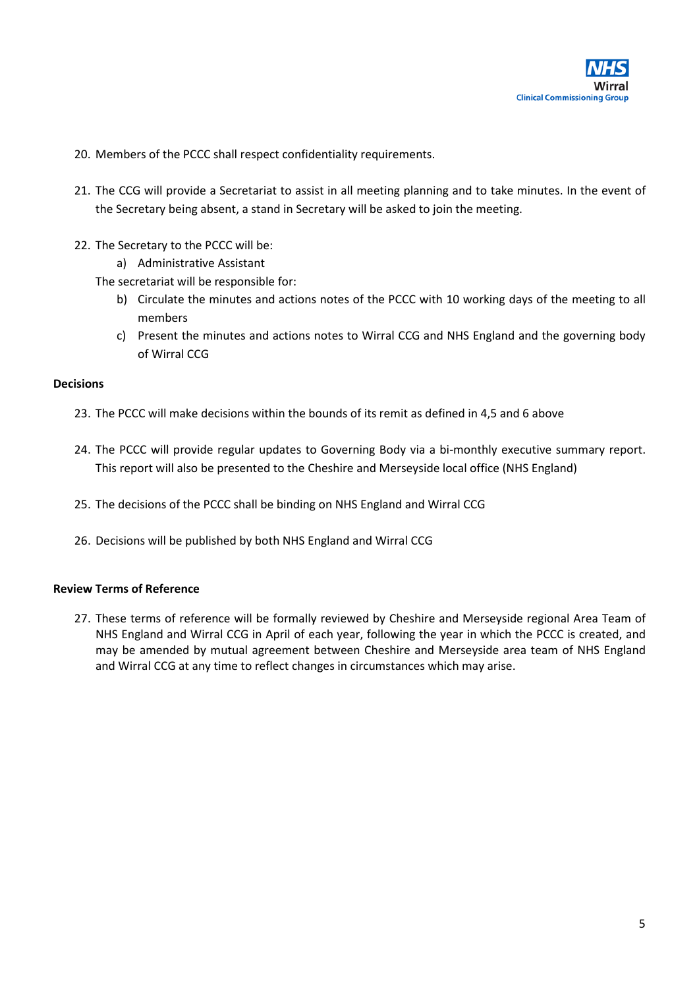

- 20. Members of the PCCC shall respect confidentiality requirements.
- 21. The CCG will provide a Secretariat to assist in all meeting planning and to take minutes. In the event of the Secretary being absent, a stand in Secretary will be asked to join the meeting.
- 22. The Secretary to the PCCC will be:
	- a) Administrative Assistant

The secretariat will be responsible for:

- b) Circulate the minutes and actions notes of the PCCC with 10 working days of the meeting to all members
- c) Present the minutes and actions notes to Wirral CCG and NHS England and the governing body of Wirral CCG

#### **Decisions**

- 23. The PCCC will make decisions within the bounds of its remit as defined in 4,5 and 6 above
- 24. The PCCC will provide regular updates to Governing Body via a bi-monthly executive summary report. This report will also be presented to the Cheshire and Merseyside local office (NHS England)
- 25. The decisions of the PCCC shall be binding on NHS England and Wirral CCG
- 26. Decisions will be published by both NHS England and Wirral CCG

#### **Review Terms of Reference**

27. These terms of reference will be formally reviewed by Cheshire and Merseyside regional Area Team of NHS England and Wirral CCG in April of each year, following the year in which the PCCC is created, and may be amended by mutual agreement between Cheshire and Merseyside area team of NHS England and Wirral CCG at any time to reflect changes in circumstances which may arise.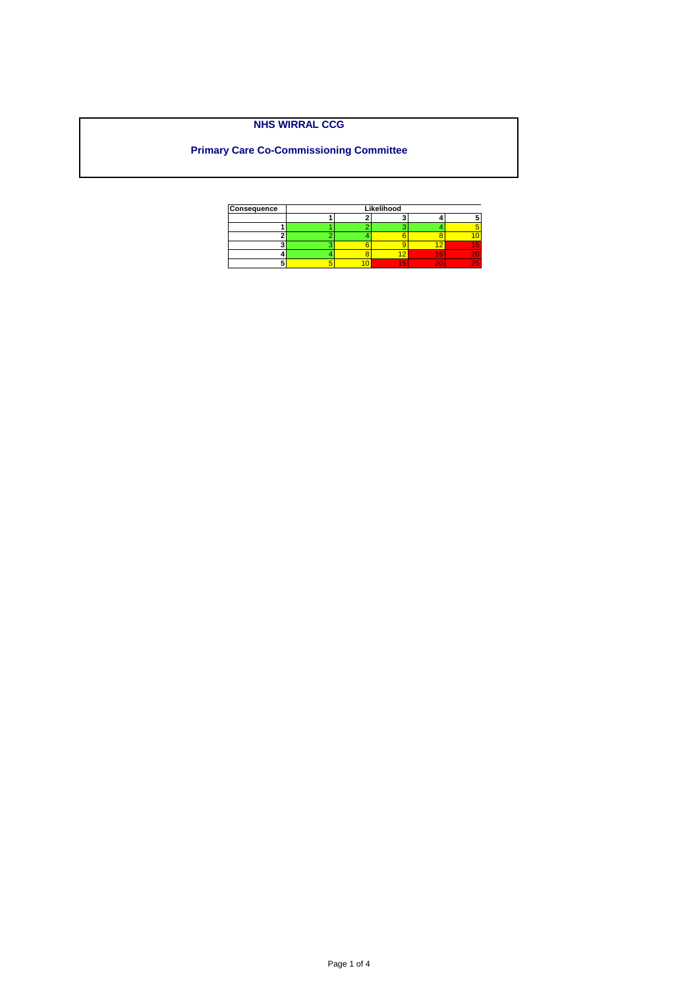Page 1 of 4

| Consequence |  | Likelihood |    |
|-------------|--|------------|----|
|             |  |            |    |
|             |  |            |    |
|             |  |            |    |
|             |  |            |    |
|             |  |            |    |
|             |  |            | 15 |

# **NHS WIRRAL CCG**

# <span id="page-17-0"></span>**Primary Care Co-Commissioning Committee**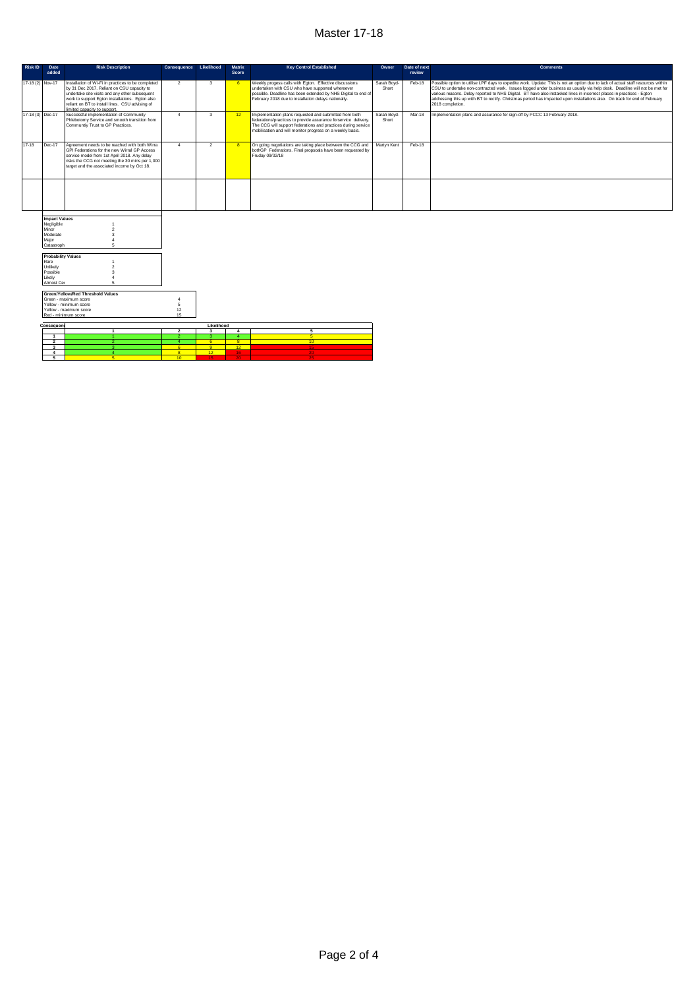#### Master 17-18

| Risk ID          | Date                                                                              | <b>Risk Description</b>                                                                                                                                                                                                                                                                 | Consequence                  | Likelihood              | <b>Matrix</b>            | <b>Key Control Established</b>                                                                                                                                                                                                                          | Owner                | Date of next | <b>Comments</b>                                                                                                                                                                                                                                                                                                                                                                                                                                                                                                                          |
|------------------|-----------------------------------------------------------------------------------|-----------------------------------------------------------------------------------------------------------------------------------------------------------------------------------------------------------------------------------------------------------------------------------------|------------------------------|-------------------------|--------------------------|---------------------------------------------------------------------------------------------------------------------------------------------------------------------------------------------------------------------------------------------------------|----------------------|--------------|------------------------------------------------------------------------------------------------------------------------------------------------------------------------------------------------------------------------------------------------------------------------------------------------------------------------------------------------------------------------------------------------------------------------------------------------------------------------------------------------------------------------------------------|
|                  | added                                                                             |                                                                                                                                                                                                                                                                                         |                              |                         | Score                    |                                                                                                                                                                                                                                                         |                      | review       |                                                                                                                                                                                                                                                                                                                                                                                                                                                                                                                                          |
| 17-18 (2) Nov-17 |                                                                                   | Installation of Wi-Fi in practices to be completed<br>by 31 Dec 2017. Reliant on CSU capacity to<br>undertake site visits and any other subsequent<br>work to support Egton installations. Egton also<br>reliant on BT to install lines. CSU advising of<br>imited canacity to support. | $\overline{2}$               | 3                       | 6                        | Weekly progess calls with Egton. Effective discussions<br>undertaken with CSU who have supported whereever<br>possible. Deadline has been extended by NHS Digital to end of<br>February 2018 due to installation delays nationally.                     | Sarah Boyd-<br>Short | Feb-18       | Possible option to utilise LPF days to expedite work. Update: This is not an option due to lack of actual staff resources within<br>CSU to undertake non-contracted work. Issues logged under business as usually via help desk. Deadline will not be met for<br>various reasons. Delay reported to NHS Digital. BT have also instakked lines in incorrect places in practices - Egton<br>addressing this up with BT to rectify. Christmas period has impacted upon installations also. On track for end of February<br>2018 completion. |
| 17-18 (3) Dec-17 |                                                                                   | Successful implementation of Community<br>Phlebotomy Service and smooth transition from<br>Communtiy Trust to GP Practices.                                                                                                                                                             | $\overline{4}$               | 3                       | 12 <sup>7</sup>          | Implementation plans requested and submitted from both<br>federations/practices to provide assurance forservice delivery.<br>The CCG will support federations and practices during service<br>mobilisation and will monitor progress on a weekly basis. | Sarah Boyd-<br>Short | Mar-18       | Implementation plans and assurance for sign-off by PCCC 13 February 2018.                                                                                                                                                                                                                                                                                                                                                                                                                                                                |
| 17-18            | Dec-17                                                                            | Agreement needs to be reached with both Wirra<br>GPI Federations for the new Wirral GP Access<br>service model from 1st April 2018. Any delay<br>risks the CCG not meeting the 30 mins per 1,000<br>target and the associated income by Oct 18.                                         | $\overline{a}$               | $\overline{2}$          | $\mathbf{R}$             | On going negotiations are taking place between the CCG and<br>bothGP Federations. Final propsoals have been requested by<br>Fruday 09/02/18                                                                                                             | Martyn Kent          | Feb-18       |                                                                                                                                                                                                                                                                                                                                                                                                                                                                                                                                          |
|                  |                                                                                   |                                                                                                                                                                                                                                                                                         |                              |                         |                          |                                                                                                                                                                                                                                                         |                      |              |                                                                                                                                                                                                                                                                                                                                                                                                                                                                                                                                          |
|                  | <b>Impact Values</b><br>Negligible<br>Minor<br>Moderate<br>Major<br>Catastroph    | $\mathcal{P}$<br>$\mathbf{a}$<br>$\overline{a}$                                                                                                                                                                                                                                         |                              |                         |                          |                                                                                                                                                                                                                                                         |                      |              |                                                                                                                                                                                                                                                                                                                                                                                                                                                                                                                                          |
|                  | <b>Probability Values</b><br>Rare<br>Unlikely<br>Possible<br>Likely<br>Almost Cer |                                                                                                                                                                                                                                                                                         |                              |                         |                          |                                                                                                                                                                                                                                                         |                      |              |                                                                                                                                                                                                                                                                                                                                                                                                                                                                                                                                          |
|                  |                                                                                   |                                                                                                                                                                                                                                                                                         |                              |                         |                          |                                                                                                                                                                                                                                                         |                      |              |                                                                                                                                                                                                                                                                                                                                                                                                                                                                                                                                          |
|                  |                                                                                   | Green/Yellow/Red Threshold Values<br>Green - maximum score                                                                                                                                                                                                                              | $\overline{a}$               |                         |                          |                                                                                                                                                                                                                                                         |                      |              |                                                                                                                                                                                                                                                                                                                                                                                                                                                                                                                                          |
|                  |                                                                                   | Yellow - minimum score                                                                                                                                                                                                                                                                  | 5                            |                         |                          |                                                                                                                                                                                                                                                         |                      |              |                                                                                                                                                                                                                                                                                                                                                                                                                                                                                                                                          |
|                  |                                                                                   | Yellow - maximum score                                                                                                                                                                                                                                                                  | 12                           |                         |                          |                                                                                                                                                                                                                                                         |                      |              |                                                                                                                                                                                                                                                                                                                                                                                                                                                                                                                                          |
|                  | Red - minimum score                                                               |                                                                                                                                                                                                                                                                                         | 15                           |                         |                          |                                                                                                                                                                                                                                                         |                      |              |                                                                                                                                                                                                                                                                                                                                                                                                                                                                                                                                          |
|                  | Consequend                                                                        |                                                                                                                                                                                                                                                                                         |                              | Likelihood              |                          |                                                                                                                                                                                                                                                         |                      |              |                                                                                                                                                                                                                                                                                                                                                                                                                                                                                                                                          |
|                  |                                                                                   | $\mathbf{1}$                                                                                                                                                                                                                                                                            | $\overline{2}$               | $\overline{\mathbf{3}}$ | $\overline{4}$           | $\overline{5}$                                                                                                                                                                                                                                          |                      |              |                                                                                                                                                                                                                                                                                                                                                                                                                                                                                                                                          |
|                  | $\mathbf{1}$<br>$\overline{2}$                                                    | $\blacktriangleleft$                                                                                                                                                                                                                                                                    | $\mathbf{2}$<br>$\mathbf{A}$ | -3.<br>6                | $\sim$<br>8 <sup>2</sup> | $5^{\circ}$<br>10 <sup>1</sup>                                                                                                                                                                                                                          |                      |              |                                                                                                                                                                                                                                                                                                                                                                                                                                                                                                                                          |
|                  | $\mathbf{3}$                                                                      |                                                                                                                                                                                                                                                                                         | 6 <sup>7</sup>               | 9 <sup>1</sup>          | 12                       |                                                                                                                                                                                                                                                         |                      |              |                                                                                                                                                                                                                                                                                                                                                                                                                                                                                                                                          |
|                  |                                                                                   |                                                                                                                                                                                                                                                                                         |                              |                         |                          |                                                                                                                                                                                                                                                         |                      |              |                                                                                                                                                                                                                                                                                                                                                                                                                                                                                                                                          |

**4 4 4 12 16 12 16 12 16 12 16 12 16 12 16 12 16 12**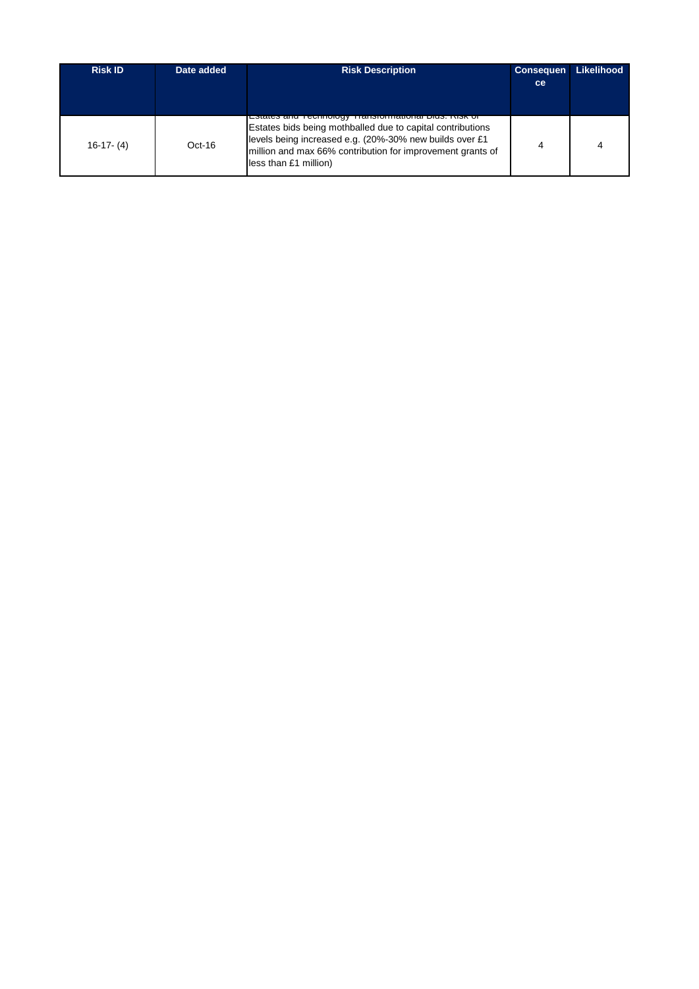| <b>Risk ID</b> | Date added | <b>Risk Description</b>                                                                                                                                                                                                                                                      | <b>Consequen</b><br><sub>ce</sub> | Likelihood |
|----------------|------------|------------------------------------------------------------------------------------------------------------------------------------------------------------------------------------------------------------------------------------------------------------------------------|-----------------------------------|------------|
| $16-17-(4)$    | $Oct-16$   | <u>LSiales and Technology Transformational Dius. Nisk of</u><br>Estates bids being mothballed due to capital contributions<br>levels being increased e.g. (20%-30% new builds over £1<br>million and max 66% contribution for improvement grants of<br>less than £1 million) |                                   |            |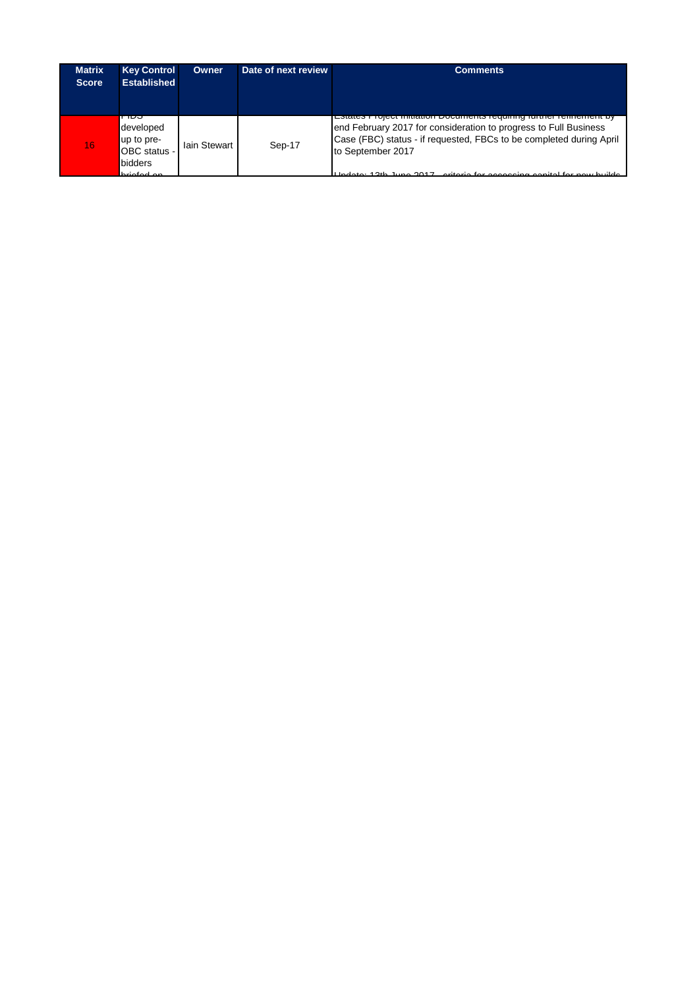| <b>Matrix</b><br><b>Score</b> | <b>Key Control</b><br><b>Established</b>                                 | Owner        | Date of next review | <b>Comments</b>                                                                                                                                              |
|-------------------------------|--------------------------------------------------------------------------|--------------|---------------------|--------------------------------------------------------------------------------------------------------------------------------------------------------------|
| 16                            | ribo<br>developed<br>up to pre-<br>OBC status -<br>bidders<br>hrinfod on | lain Stewart | Sep-17              | end February 2017 for consideration to progress to Full Business<br>Case (FBC) status - if requested, FBCs to be completed during April<br>to September 2017 |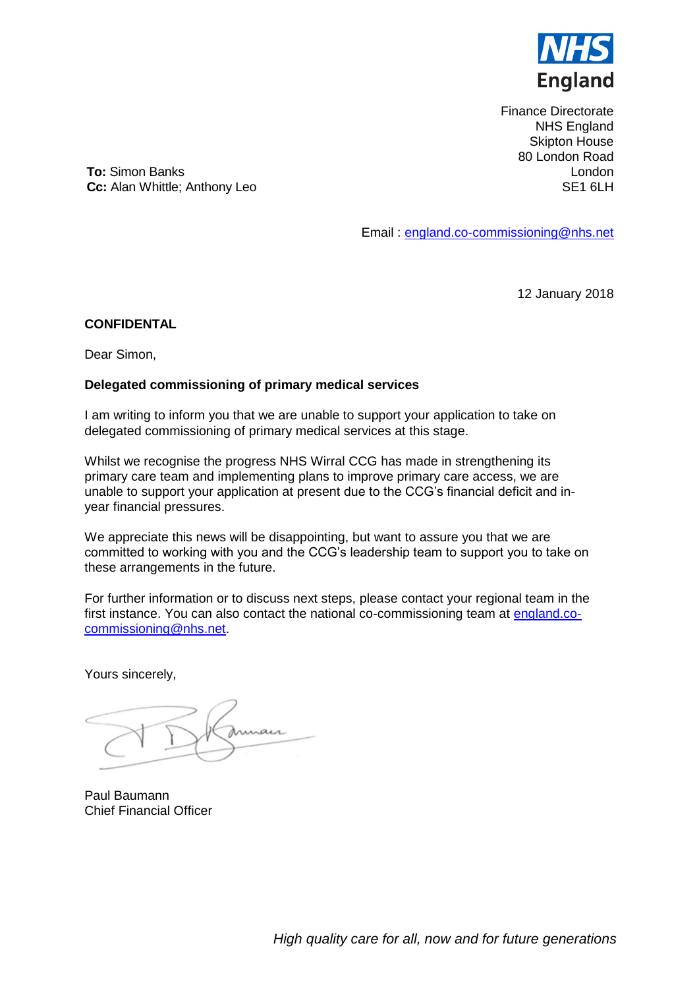

Finance Directorate NHS England Skipton House 80 London Road London SE1 6LH

<span id="page-21-0"></span>**To:** Simon Banks **Cc:** Alan Whittle; Anthony Leo

Email : [england.co-commissioning@nhs.net](mailto:england.co-commissioning@nhs.net)

12 January 2018

#### **CONFIDENTAL**

Dear Simon,

#### **Delegated commissioning of primary medical services**

I am writing to inform you that we are unable to support your application to take on delegated commissioning of primary medical services at this stage.

Whilst we recognise the progress NHS Wirral CCG has made in strengthening its primary care team and implementing plans to improve primary care access, we are unable to support your application at present due to the CCG's financial deficit and inyear financial pressures.

We appreciate this news will be disappointing, but want to assure you that we are committed to working with you and the CCG's leadership team to support you to take on these arrangements in the future.

For further information or to discuss next steps, please contact your regional team in the first instance. You can also contact the national co-commissioning team at [england.co](mailto:england.co-commissioning@nhs.net)[commissioning@nhs.net.](mailto:england.co-commissioning@nhs.net)

Yours sincerely,

air

Paul Baumann Chief Financial Officer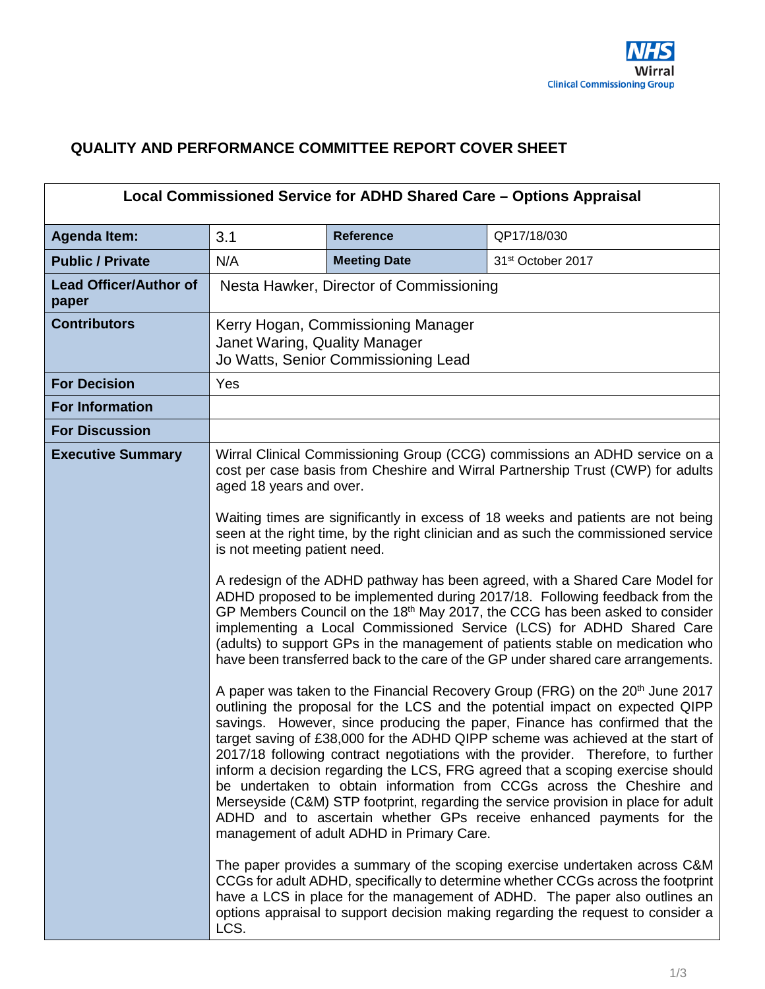# <span id="page-22-0"></span>**QUALITY AND PERFORMANCE COMMITTEE REPORT COVER SHEET**

|                                        |                                                                                                                                                                                                                                                                                                                                                                                                                                                                                                      | Local Commissioned Service for ADHD Shared Care - Options Appraisal       |                                                                                                                                                                                                                                                                                                                                                                                                                                                                                                                                                                                                                                                                                                                                                        |  |
|----------------------------------------|------------------------------------------------------------------------------------------------------------------------------------------------------------------------------------------------------------------------------------------------------------------------------------------------------------------------------------------------------------------------------------------------------------------------------------------------------------------------------------------------------|---------------------------------------------------------------------------|--------------------------------------------------------------------------------------------------------------------------------------------------------------------------------------------------------------------------------------------------------------------------------------------------------------------------------------------------------------------------------------------------------------------------------------------------------------------------------------------------------------------------------------------------------------------------------------------------------------------------------------------------------------------------------------------------------------------------------------------------------|--|
| <b>Agenda Item:</b>                    | 3.1                                                                                                                                                                                                                                                                                                                                                                                                                                                                                                  | <b>Reference</b>                                                          | QP17/18/030                                                                                                                                                                                                                                                                                                                                                                                                                                                                                                                                                                                                                                                                                                                                            |  |
| <b>Public / Private</b>                | N/A                                                                                                                                                                                                                                                                                                                                                                                                                                                                                                  | <b>Meeting Date</b>                                                       | 31 <sup>st</sup> October 2017                                                                                                                                                                                                                                                                                                                                                                                                                                                                                                                                                                                                                                                                                                                          |  |
| <b>Lead Officer/Author of</b><br>paper |                                                                                                                                                                                                                                                                                                                                                                                                                                                                                                      | Nesta Hawker, Director of Commissioning                                   |                                                                                                                                                                                                                                                                                                                                                                                                                                                                                                                                                                                                                                                                                                                                                        |  |
| <b>Contributors</b>                    | Janet Waring, Quality Manager                                                                                                                                                                                                                                                                                                                                                                                                                                                                        | Kerry Hogan, Commissioning Manager<br>Jo Watts, Senior Commissioning Lead |                                                                                                                                                                                                                                                                                                                                                                                                                                                                                                                                                                                                                                                                                                                                                        |  |
| <b>For Decision</b>                    | Yes                                                                                                                                                                                                                                                                                                                                                                                                                                                                                                  |                                                                           |                                                                                                                                                                                                                                                                                                                                                                                                                                                                                                                                                                                                                                                                                                                                                        |  |
| <b>For Information</b>                 |                                                                                                                                                                                                                                                                                                                                                                                                                                                                                                      |                                                                           |                                                                                                                                                                                                                                                                                                                                                                                                                                                                                                                                                                                                                                                                                                                                                        |  |
| <b>For Discussion</b>                  |                                                                                                                                                                                                                                                                                                                                                                                                                                                                                                      |                                                                           |                                                                                                                                                                                                                                                                                                                                                                                                                                                                                                                                                                                                                                                                                                                                                        |  |
| <b>Executive Summary</b>               | aged 18 years and over.                                                                                                                                                                                                                                                                                                                                                                                                                                                                              |                                                                           | Wirral Clinical Commissioning Group (CCG) commissions an ADHD service on a<br>cost per case basis from Cheshire and Wirral Partnership Trust (CWP) for adults                                                                                                                                                                                                                                                                                                                                                                                                                                                                                                                                                                                          |  |
|                                        | Waiting times are significantly in excess of 18 weeks and patients are not being<br>seen at the right time, by the right clinician and as such the commissioned service<br>is not meeting patient need.                                                                                                                                                                                                                                                                                              |                                                                           |                                                                                                                                                                                                                                                                                                                                                                                                                                                                                                                                                                                                                                                                                                                                                        |  |
|                                        | A redesign of the ADHD pathway has been agreed, with a Shared Care Model for<br>ADHD proposed to be implemented during 2017/18. Following feedback from the<br>GP Members Council on the 18 <sup>th</sup> May 2017, the CCG has been asked to consider<br>implementing a Local Commissioned Service (LCS) for ADHD Shared Care<br>(adults) to support GPs in the management of patients stable on medication who<br>have been transferred back to the care of the GP under shared care arrangements. |                                                                           |                                                                                                                                                                                                                                                                                                                                                                                                                                                                                                                                                                                                                                                                                                                                                        |  |
|                                        |                                                                                                                                                                                                                                                                                                                                                                                                                                                                                                      | management of adult ADHD in Primary Care.                                 | A paper was taken to the Financial Recovery Group (FRG) on the 20 <sup>th</sup> June 2017<br>outlining the proposal for the LCS and the potential impact on expected QIPP<br>savings. However, since producing the paper, Finance has confirmed that the<br>target saving of £38,000 for the ADHD QIPP scheme was achieved at the start of<br>2017/18 following contract negotiations with the provider. Therefore, to further<br>inform a decision regarding the LCS, FRG agreed that a scoping exercise should<br>be undertaken to obtain information from CCGs across the Cheshire and<br>Merseyside (C&M) STP footprint, regarding the service provision in place for adult<br>ADHD and to ascertain whether GPs receive enhanced payments for the |  |
|                                        | LCS.                                                                                                                                                                                                                                                                                                                                                                                                                                                                                                 |                                                                           | The paper provides a summary of the scoping exercise undertaken across C&M<br>CCGs for adult ADHD, specifically to determine whether CCGs across the footprint<br>have a LCS in place for the management of ADHD. The paper also outlines an<br>options appraisal to support decision making regarding the request to consider a                                                                                                                                                                                                                                                                                                                                                                                                                       |  |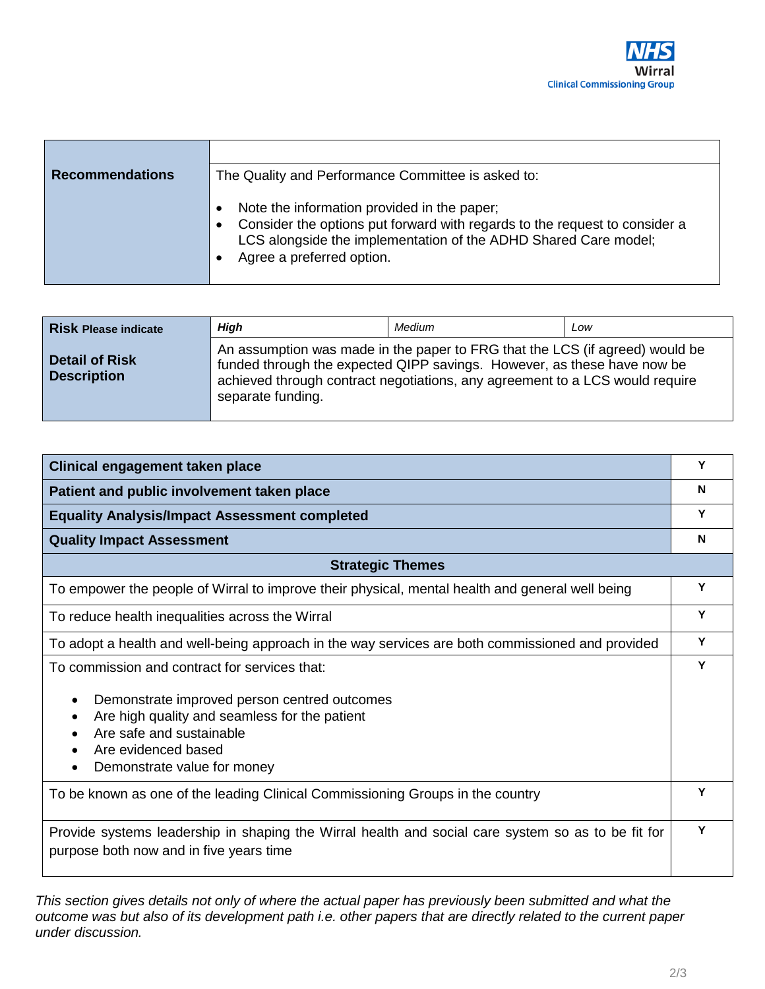| <b>Recommendations</b> | The Quality and Performance Committee is asked to:                                                                                                                                                                        |
|------------------------|---------------------------------------------------------------------------------------------------------------------------------------------------------------------------------------------------------------------------|
|                        | Note the information provided in the paper;<br>Consider the options put forward with regards to the request to consider a<br>LCS alongside the implementation of the ADHD Shared Care model;<br>Agree a preferred option. |

| <b>Risk Please indicate</b>                 | High              | Medium                                                                                                                                                                                                                                  | Low |
|---------------------------------------------|-------------------|-----------------------------------------------------------------------------------------------------------------------------------------------------------------------------------------------------------------------------------------|-----|
| <b>Detail of Risk</b><br><b>Description</b> | separate funding. | An assumption was made in the paper to FRG that the LCS (if agreed) would be<br>funded through the expected QIPP savings. However, as these have now be<br>achieved through contract negotiations, any agreement to a LCS would require |     |

| Clinical engagement taken place                                                                                                               | Υ |
|-----------------------------------------------------------------------------------------------------------------------------------------------|---|
| Patient and public involvement taken place                                                                                                    | N |
| <b>Equality Analysis/Impact Assessment completed</b>                                                                                          | Υ |
| <b>Quality Impact Assessment</b>                                                                                                              | N |
| <b>Strategic Themes</b>                                                                                                                       |   |
| To empower the people of Wirral to improve their physical, mental health and general well being                                               | Y |
| To reduce health inequalities across the Wirral                                                                                               | Y |
| To adopt a health and well-being approach in the way services are both commissioned and provided                                              |   |
| To commission and contract for services that:                                                                                                 | Y |
| Demonstrate improved person centred outcomes<br>$\bullet$                                                                                     |   |
| Are high quality and seamless for the patient<br>$\bullet$<br>Are safe and sustainable                                                        |   |
| Are evidenced based                                                                                                                           |   |
| Demonstrate value for money                                                                                                                   |   |
| To be known as one of the leading Clinical Commissioning Groups in the country                                                                |   |
| Provide systems leadership in shaping the Wirral health and social care system so as to be fit for<br>purpose both now and in five years time | Υ |

*This section gives details not only of where the actual paper has previously been submitted and what the outcome was but also of its development path i.e. other papers that are directly related to the current paper under discussion.*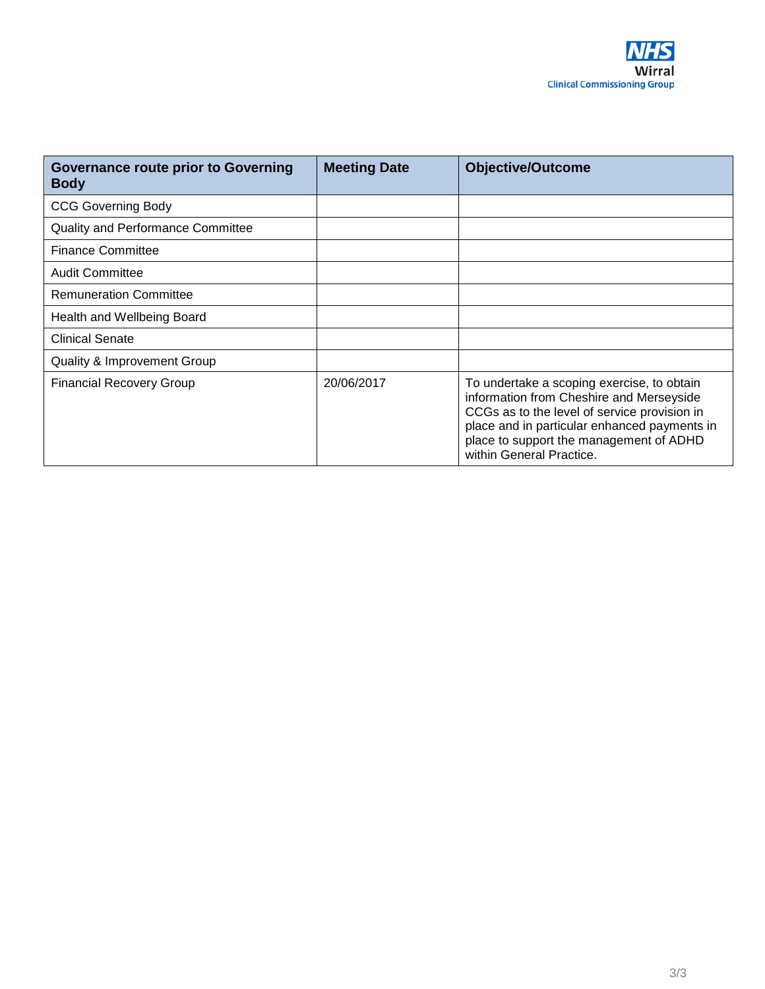

| <b>Governance route prior to Governing</b><br><b>Body</b> | <b>Meeting Date</b> | <b>Objective/Outcome</b>                                                                                                                                                                                                                                      |
|-----------------------------------------------------------|---------------------|---------------------------------------------------------------------------------------------------------------------------------------------------------------------------------------------------------------------------------------------------------------|
| <b>CCG Governing Body</b>                                 |                     |                                                                                                                                                                                                                                                               |
| <b>Quality and Performance Committee</b>                  |                     |                                                                                                                                                                                                                                                               |
| <b>Finance Committee</b>                                  |                     |                                                                                                                                                                                                                                                               |
| <b>Audit Committee</b>                                    |                     |                                                                                                                                                                                                                                                               |
| <b>Remuneration Committee</b>                             |                     |                                                                                                                                                                                                                                                               |
| Health and Wellbeing Board                                |                     |                                                                                                                                                                                                                                                               |
| <b>Clinical Senate</b>                                    |                     |                                                                                                                                                                                                                                                               |
| Quality & Improvement Group                               |                     |                                                                                                                                                                                                                                                               |
| <b>Financial Recovery Group</b>                           | 20/06/2017          | To undertake a scoping exercise, to obtain<br>information from Cheshire and Merseyside<br>CCGs as to the level of service provision in<br>place and in particular enhanced payments in<br>place to support the management of ADHD<br>within General Practice. |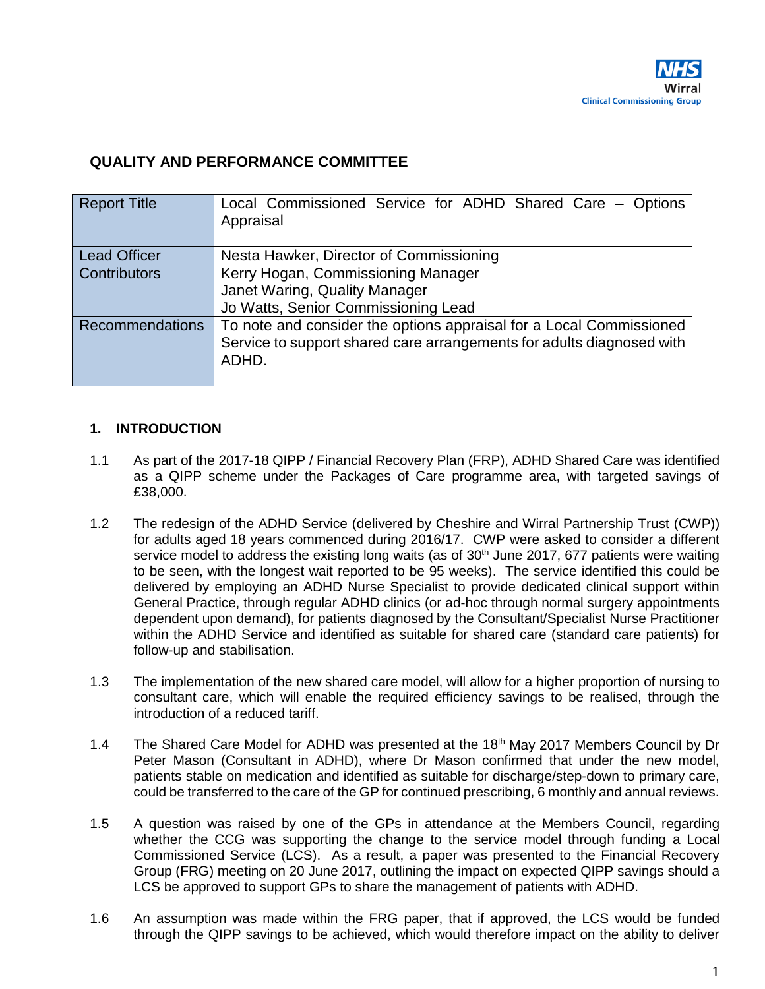## <span id="page-25-0"></span>**QUALITY AND PERFORMANCE COMMITTEE**

| <b>Report Title</b>    | Local Commissioned Service for ADHD Shared Care - Options<br>Appraisal                                                                                |
|------------------------|-------------------------------------------------------------------------------------------------------------------------------------------------------|
| <b>Lead Officer</b>    | Nesta Hawker, Director of Commissioning                                                                                                               |
| <b>Contributors</b>    | Kerry Hogan, Commissioning Manager<br>Janet Waring, Quality Manager<br>Jo Watts, Senior Commissioning Lead                                            |
| <b>Recommendations</b> | To note and consider the options appraisal for a Local Commissioned<br>Service to support shared care arrangements for adults diagnosed with<br>ADHD. |

## **1. INTRODUCTION**

- 1.1 As part of the 2017-18 QIPP / Financial Recovery Plan (FRP), ADHD Shared Care was identified as a QIPP scheme under the Packages of Care programme area, with targeted savings of £38,000.
- 1.2 The redesign of the ADHD Service (delivered by Cheshire and Wirral Partnership Trust (CWP)) for adults aged 18 years commenced during 2016/17. CWP were asked to consider a different service model to address the existing long waits (as of 30<sup>th</sup> June 2017, 677 patients were waiting to be seen, with the longest wait reported to be 95 weeks). The service identified this could be delivered by employing an ADHD Nurse Specialist to provide dedicated clinical support within General Practice, through regular ADHD clinics (or ad-hoc through normal surgery appointments dependent upon demand), for patients diagnosed by the Consultant/Specialist Nurse Practitioner within the ADHD Service and identified as suitable for shared care (standard care patients) for follow-up and stabilisation.
- 1.3 The implementation of the new shared care model, will allow for a higher proportion of nursing to consultant care, which will enable the required efficiency savings to be realised, through the introduction of a reduced tariff.
- 1.4 The Shared Care Model for ADHD was presented at the  $18<sup>th</sup>$  May 2017 Members Council by Dr Peter Mason (Consultant in ADHD), where Dr Mason confirmed that under the new model, patients stable on medication and identified as suitable for discharge/step-down to primary care, could be transferred to the care of the GP for continued prescribing, 6 monthly and annual reviews.
- 1.5 A question was raised by one of the GPs in attendance at the Members Council, regarding whether the CCG was supporting the change to the service model through funding a Local Commissioned Service (LCS). As a result, a paper was presented to the Financial Recovery Group (FRG) meeting on 20 June 2017, outlining the impact on expected QIPP savings should a LCS be approved to support GPs to share the management of patients with ADHD.
- 1.6 An assumption was made within the FRG paper, that if approved, the LCS would be funded through the QIPP savings to be achieved, which would therefore impact on the ability to deliver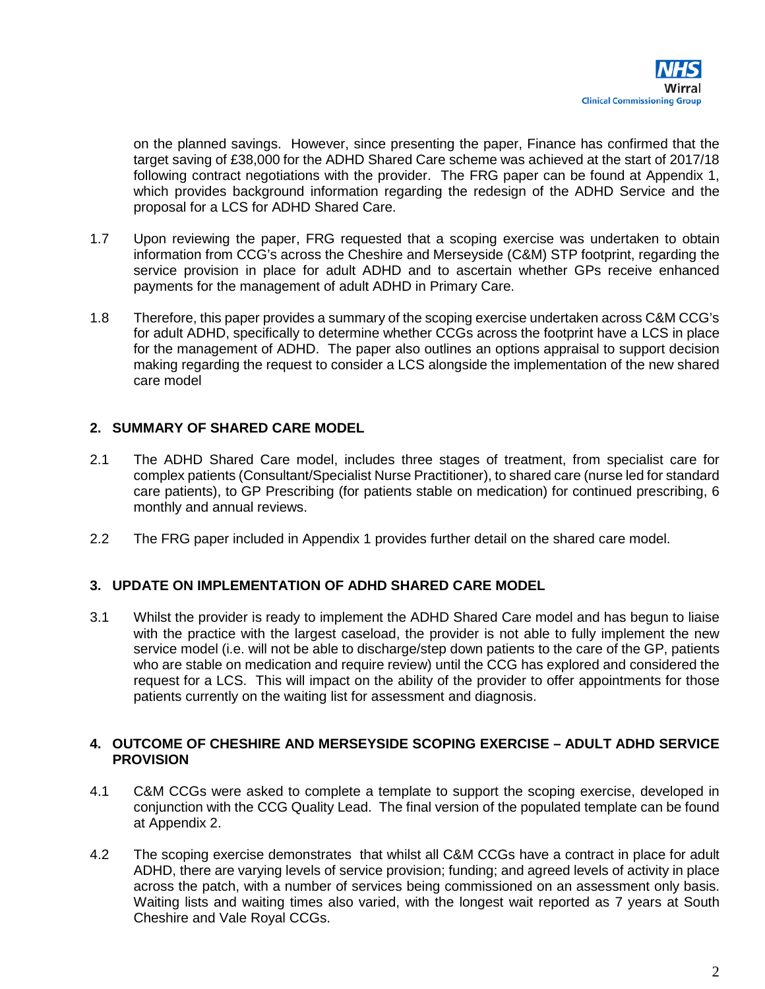

on the planned savings. However, since presenting the paper, Finance has confirmed that the target saving of £38,000 for the ADHD Shared Care scheme was achieved at the start of 2017/18 following contract negotiations with the provider. The FRG paper can be found at Appendix 1, which provides background information regarding the redesign of the ADHD Service and the proposal for a LCS for ADHD Shared Care.

- 1.7 Upon reviewing the paper, FRG requested that a scoping exercise was undertaken to obtain information from CCG's across the Cheshire and Merseyside (C&M) STP footprint, regarding the service provision in place for adult ADHD and to ascertain whether GPs receive enhanced payments for the management of adult ADHD in Primary Care.
- 1.8 Therefore, this paper provides a summary of the scoping exercise undertaken across C&M CCG's for adult ADHD, specifically to determine whether CCGs across the footprint have a LCS in place for the management of ADHD. The paper also outlines an options appraisal to support decision making regarding the request to consider a LCS alongside the implementation of the new shared care model

#### **2. SUMMARY OF SHARED CARE MODEL**

- 2.1 The ADHD Shared Care model, includes three stages of treatment, from specialist care for complex patients (Consultant/Specialist Nurse Practitioner), to shared care (nurse led for standard care patients), to GP Prescribing (for patients stable on medication) for continued prescribing, 6 monthly and annual reviews.
- 2.2 The FRG paper included in Appendix 1 provides further detail on the shared care model.

#### **3. UPDATE ON IMPLEMENTATION OF ADHD SHARED CARE MODEL**

3.1 Whilst the provider is ready to implement the ADHD Shared Care model and has begun to liaise with the practice with the largest caseload, the provider is not able to fully implement the new service model (i.e. will not be able to discharge/step down patients to the care of the GP, patients who are stable on medication and require review) until the CCG has explored and considered the request for a LCS. This will impact on the ability of the provider to offer appointments for those patients currently on the waiting list for assessment and diagnosis.

#### **4. OUTCOME OF CHESHIRE AND MERSEYSIDE SCOPING EXERCISE – ADULT ADHD SERVICE PROVISION**

- 4.1 C&M CCGs were asked to complete a template to support the scoping exercise, developed in conjunction with the CCG Quality Lead. The final version of the populated template can be found at Appendix 2.
- 4.2 The scoping exercise demonstrates that whilst all C&M CCGs have a contract in place for adult ADHD, there are varying levels of service provision; funding; and agreed levels of activity in place across the patch, with a number of services being commissioned on an assessment only basis. Waiting lists and waiting times also varied, with the longest wait reported as 7 years at South Cheshire and Vale Royal CCGs.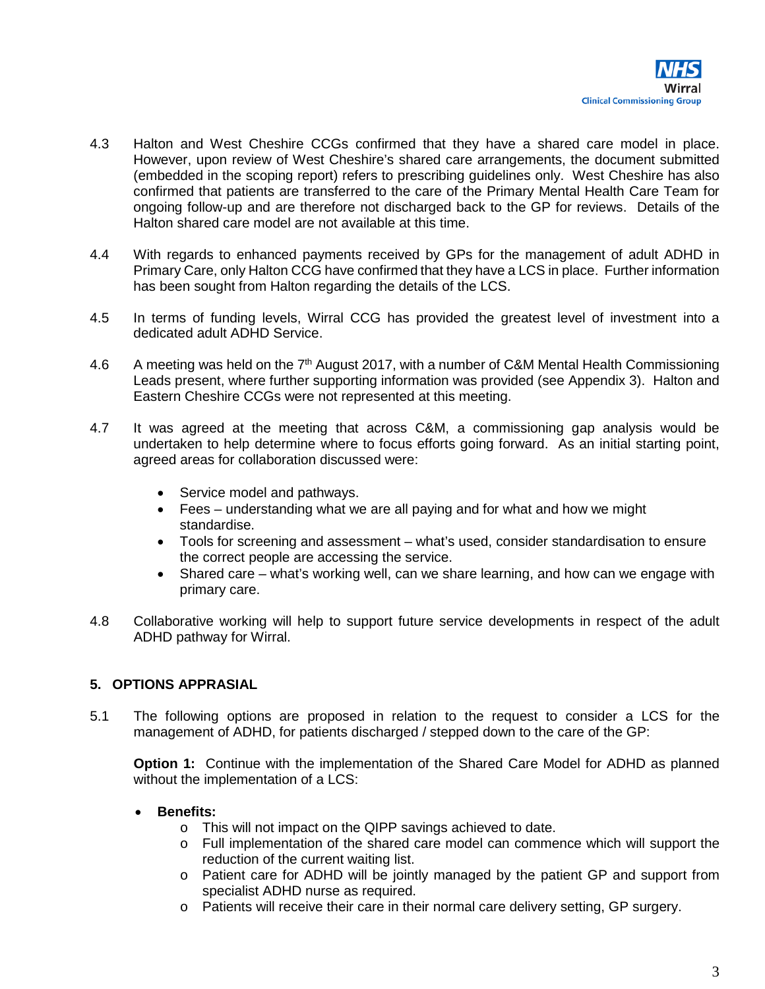- 4.3 Halton and West Cheshire CCGs confirmed that they have a shared care model in place. However, upon review of West Cheshire's shared care arrangements, the document submitted (embedded in the scoping report) refers to prescribing guidelines only. West Cheshire has also confirmed that patients are transferred to the care of the Primary Mental Health Care Team for ongoing follow-up and are therefore not discharged back to the GP for reviews. Details of the Halton shared care model are not available at this time.
- 4.4 With regards to enhanced payments received by GPs for the management of adult ADHD in Primary Care, only Halton CCG have confirmed that they have a LCS in place. Further information has been sought from Halton regarding the details of the LCS.
- 4.5 In terms of funding levels, Wirral CCG has provided the greatest level of investment into a dedicated adult ADHD Service.
- 4.6 A meeting was held on the  $7<sup>th</sup>$  August 2017, with a number of C&M Mental Health Commissioning Leads present, where further supporting information was provided (see Appendix 3). Halton and Eastern Cheshire CCGs were not represented at this meeting.
- 4.7 It was agreed at the meeting that across C&M, a commissioning gap analysis would be undertaken to help determine where to focus efforts going forward. As an initial starting point, agreed areas for collaboration discussed were:
	- Service model and pathways.
	- Fees understanding what we are all paying and for what and how we might standardise.
	- Tools for screening and assessment what's used, consider standardisation to ensure the correct people are accessing the service.
	- Shared care what's working well, can we share learning, and how can we engage with primary care.
- 4.8 Collaborative working will help to support future service developments in respect of the adult ADHD pathway for Wirral.

## **5. OPTIONS APPRASIAL**

5.1 The following options are proposed in relation to the request to consider a LCS for the management of ADHD, for patients discharged / stepped down to the care of the GP:

**Option 1:** Continue with the implementation of the Shared Care Model for ADHD as planned without the implementation of a LCS:

## • **Benefits:**

- o This will not impact on the QIPP savings achieved to date.
- o Full implementation of the shared care model can commence which will support the reduction of the current waiting list.
- o Patient care for ADHD will be jointly managed by the patient GP and support from specialist ADHD nurse as required.
- o Patients will receive their care in their normal care delivery setting, GP surgery.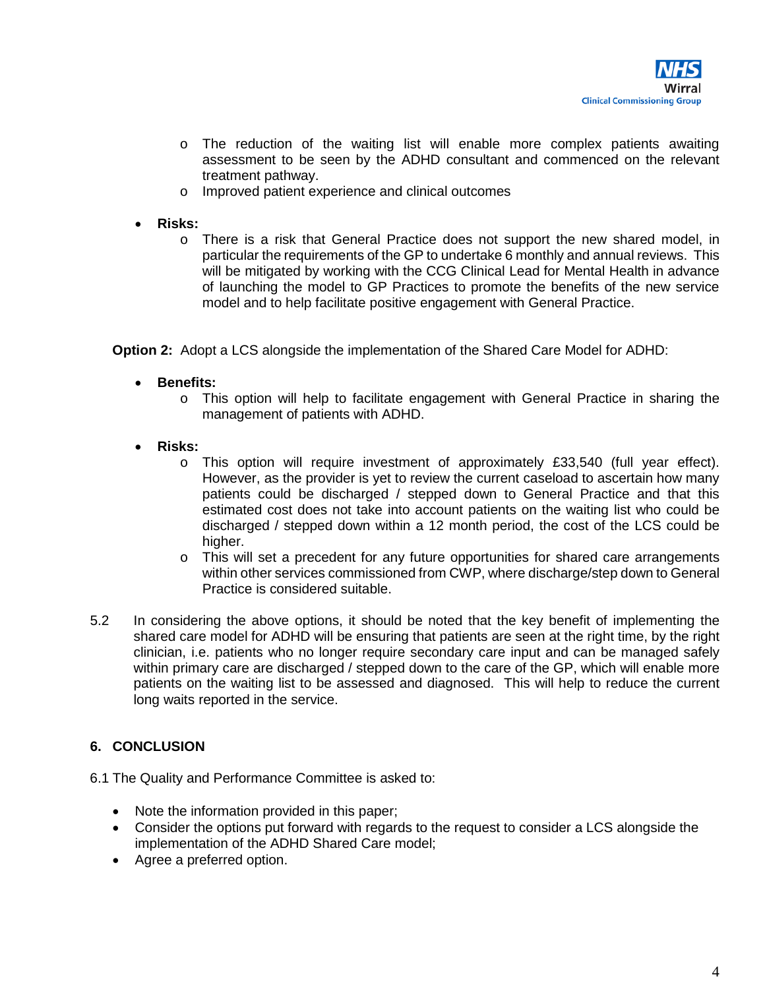- o The reduction of the waiting list will enable more complex patients awaiting assessment to be seen by the ADHD consultant and commenced on the relevant treatment pathway.
- o Improved patient experience and clinical outcomes
- **Risks:** 
	- o There is a risk that General Practice does not support the new shared model, in particular the requirements of the GP to undertake 6 monthly and annual reviews. This will be mitigated by working with the CCG Clinical Lead for Mental Health in advance of launching the model to GP Practices to promote the benefits of the new service model and to help facilitate positive engagement with General Practice.

**Option 2:** Adopt a LCS alongside the implementation of the Shared Care Model for ADHD:

- **Benefits:** 
	- o This option will help to facilitate engagement with General Practice in sharing the management of patients with ADHD.
- **Risks:** 
	- o This option will require investment of approximately £33,540 (full year effect). However, as the provider is yet to review the current caseload to ascertain how many patients could be discharged / stepped down to General Practice and that this estimated cost does not take into account patients on the waiting list who could be discharged / stepped down within a 12 month period, the cost of the LCS could be higher.
	- $\circ$  This will set a precedent for any future opportunities for shared care arrangements within other services commissioned from CWP, where discharge/step down to General Practice is considered suitable.
- 5.2 In considering the above options, it should be noted that the key benefit of implementing the shared care model for ADHD will be ensuring that patients are seen at the right time, by the right clinician, i.e. patients who no longer require secondary care input and can be managed safely within primary care are discharged / stepped down to the care of the GP, which will enable more patients on the waiting list to be assessed and diagnosed. This will help to reduce the current long waits reported in the service.

#### **6. CONCLUSION**

- 6.1 The Quality and Performance Committee is asked to:
	- Note the information provided in this paper;
	- Consider the options put forward with regards to the request to consider a LCS alongside the implementation of the ADHD Shared Care model;
	- Agree a preferred option.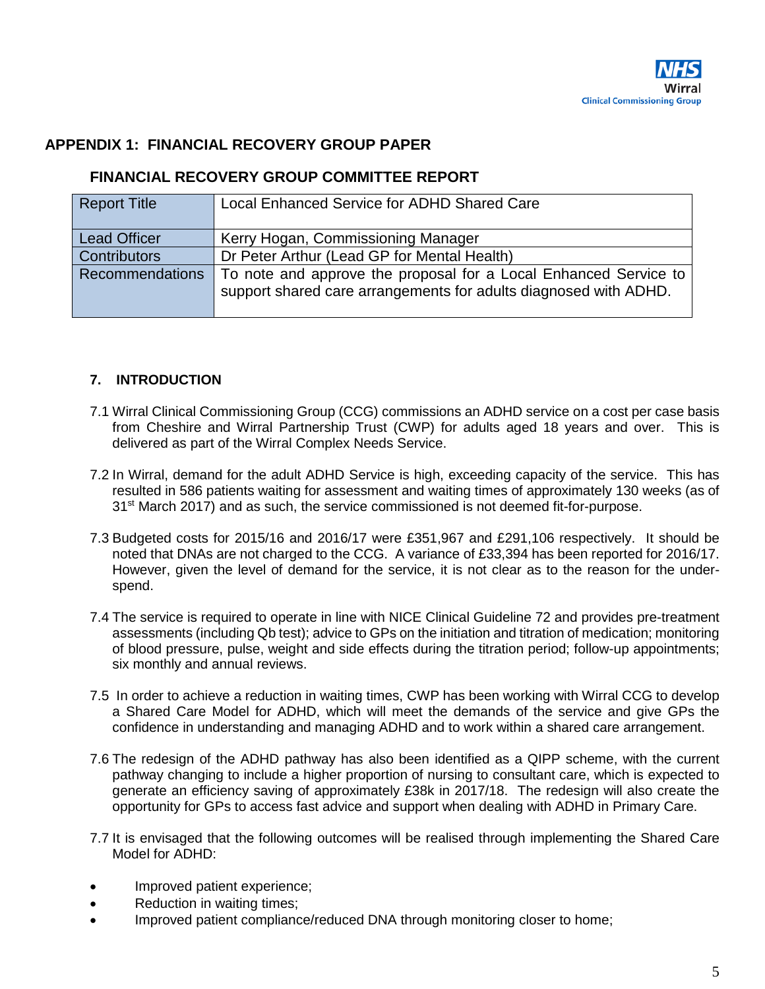## **APPENDIX 1: FINANCIAL RECOVERY GROUP PAPER**

## **FINANCIAL RECOVERY GROUP COMMITTEE REPORT**

| <b>Report Title</b>    | Local Enhanced Service for ADHD Shared Care                      |
|------------------------|------------------------------------------------------------------|
|                        |                                                                  |
| <b>Lead Officer</b>    | Kerry Hogan, Commissioning Manager                               |
| <b>Contributors</b>    | Dr Peter Arthur (Lead GP for Mental Health)                      |
| <b>Recommendations</b> | To note and approve the proposal for a Local Enhanced Service to |
|                        | support shared care arrangements for adults diagnosed with ADHD. |
|                        |                                                                  |

## **7. INTRODUCTION**

- 7.1 Wirral Clinical Commissioning Group (CCG) commissions an ADHD service on a cost per case basis from Cheshire and Wirral Partnership Trust (CWP) for adults aged 18 years and over. This is delivered as part of the Wirral Complex Needs Service.
- 7.2 In Wirral, demand for the adult ADHD Service is high, exceeding capacity of the service. This has resulted in 586 patients waiting for assessment and waiting times of approximately 130 weeks (as of  $31<sup>st</sup>$  March 2017) and as such, the service commissioned is not deemed fit-for-purpose.
- 7.3 Budgeted costs for 2015/16 and 2016/17 were £351,967 and £291,106 respectively. It should be noted that DNAs are not charged to the CCG. A variance of £33,394 has been reported for 2016/17. However, given the level of demand for the service, it is not clear as to the reason for the underspend.
- 7.4 The service is required to operate in line with NICE Clinical Guideline 72 and provides pre-treatment assessments (including Qb test); advice to GPs on the initiation and titration of medication; monitoring of blood pressure, pulse, weight and side effects during the titration period; follow-up appointments; six monthly and annual reviews.
- 7.5 In order to achieve a reduction in waiting times, CWP has been working with Wirral CCG to develop a Shared Care Model for ADHD, which will meet the demands of the service and give GPs the confidence in understanding and managing ADHD and to work within a shared care arrangement.
- 7.6 The redesign of the ADHD pathway has also been identified as a QIPP scheme, with the current pathway changing to include a higher proportion of nursing to consultant care, which is expected to generate an efficiency saving of approximately £38k in 2017/18. The redesign will also create the opportunity for GPs to access fast advice and support when dealing with ADHD in Primary Care.
- 7.7 It is envisaged that the following outcomes will be realised through implementing the Shared Care Model for ADHD:
- Improved patient experience;
- Reduction in waiting times;
- Improved patient compliance/reduced DNA through monitoring closer to home;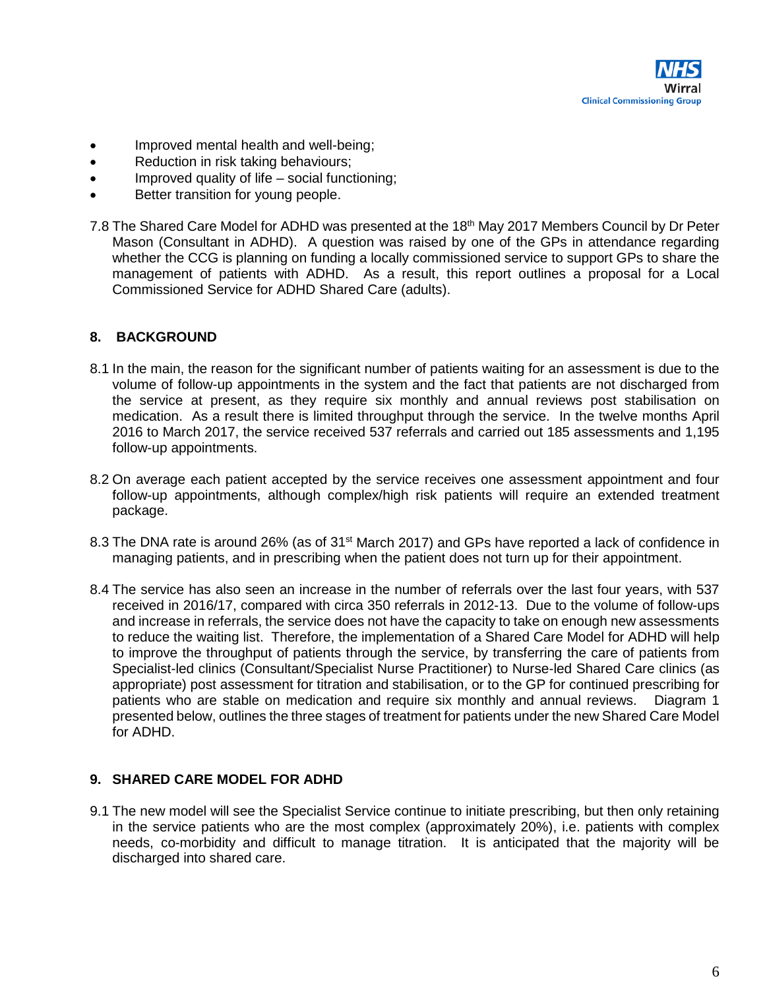

- Improved mental health and well-being;
- Reduction in risk taking behaviours;
- Improved quality of life social functioning;
- Better transition for young people.
- 7.8 The Shared Care Model for ADHD was presented at the 18<sup>th</sup> May 2017 Members Council by Dr Peter Mason (Consultant in ADHD). A question was raised by one of the GPs in attendance regarding whether the CCG is planning on funding a locally commissioned service to support GPs to share the management of patients with ADHD. As a result, this report outlines a proposal for a Local Commissioned Service for ADHD Shared Care (adults).

#### **8. BACKGROUND**

- 8.1 In the main, the reason for the significant number of patients waiting for an assessment is due to the volume of follow-up appointments in the system and the fact that patients are not discharged from the service at present, as they require six monthly and annual reviews post stabilisation on medication. As a result there is limited throughput through the service. In the twelve months April 2016 to March 2017, the service received 537 referrals and carried out 185 assessments and 1,195 follow-up appointments.
- 8.2 On average each patient accepted by the service receives one assessment appointment and four follow-up appointments, although complex/high risk patients will require an extended treatment package.
- 8.3 The DNA rate is around 26% (as of 31<sup>st</sup> March 2017) and GPs have reported a lack of confidence in managing patients, and in prescribing when the patient does not turn up for their appointment.
- 8.4 The service has also seen an increase in the number of referrals over the last four years, with 537 received in 2016/17, compared with circa 350 referrals in 2012-13. Due to the volume of follow-ups and increase in referrals, the service does not have the capacity to take on enough new assessments to reduce the waiting list. Therefore, the implementation of a Shared Care Model for ADHD will help to improve the throughput of patients through the service, by transferring the care of patients from Specialist-led clinics (Consultant/Specialist Nurse Practitioner) to Nurse-led Shared Care clinics (as appropriate) post assessment for titration and stabilisation, or to the GP for continued prescribing for patients who are stable on medication and require six monthly and annual reviews. Diagram 1 presented below, outlines the three stages of treatment for patients under the new Shared Care Model for ADHD.

#### **9. SHARED CARE MODEL FOR ADHD**

9.1 The new model will see the Specialist Service continue to initiate prescribing, but then only retaining in the service patients who are the most complex (approximately 20%), i.e. patients with complex needs, co-morbidity and difficult to manage titration. It is anticipated that the majority will be discharged into shared care.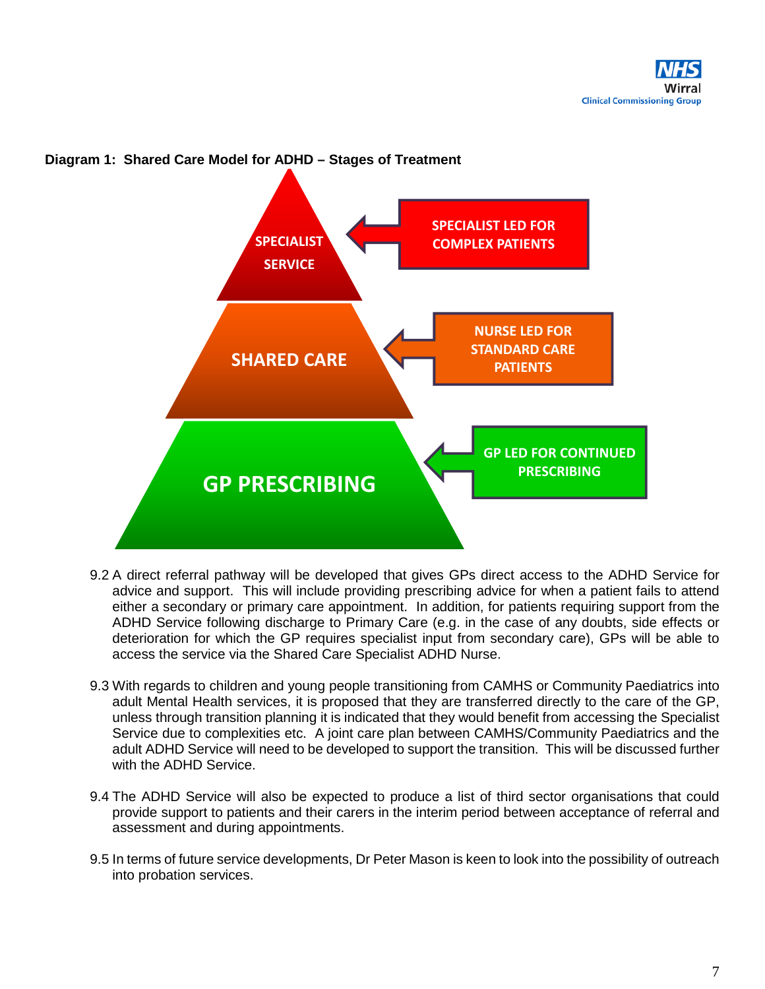

#### **Diagram 1: Shared Care Model for ADHD – Stages of Treatment**

- 9.2 A direct referral pathway will be developed that gives GPs direct access to the ADHD Service for advice and support. This will include providing prescribing advice for when a patient fails to attend either a secondary or primary care appointment. In addition, for patients requiring support from the ADHD Service following discharge to Primary Care (e.g. in the case of any doubts, side effects or deterioration for which the GP requires specialist input from secondary care), GPs will be able to access the service via the Shared Care Specialist ADHD Nurse.
- 9.3 With regards to children and young people transitioning from CAMHS or Community Paediatrics into adult Mental Health services, it is proposed that they are transferred directly to the care of the GP, unless through transition planning it is indicated that they would benefit from accessing the Specialist Service due to complexities etc. A joint care plan between CAMHS/Community Paediatrics and the adult ADHD Service will need to be developed to support the transition. This will be discussed further with the ADHD Service.
- 9.4 The ADHD Service will also be expected to produce a list of third sector organisations that could provide support to patients and their carers in the interim period between acceptance of referral and assessment and during appointments.
- 9.5 In terms of future service developments, Dr Peter Mason is keen to look into the possibility of outreach into probation services.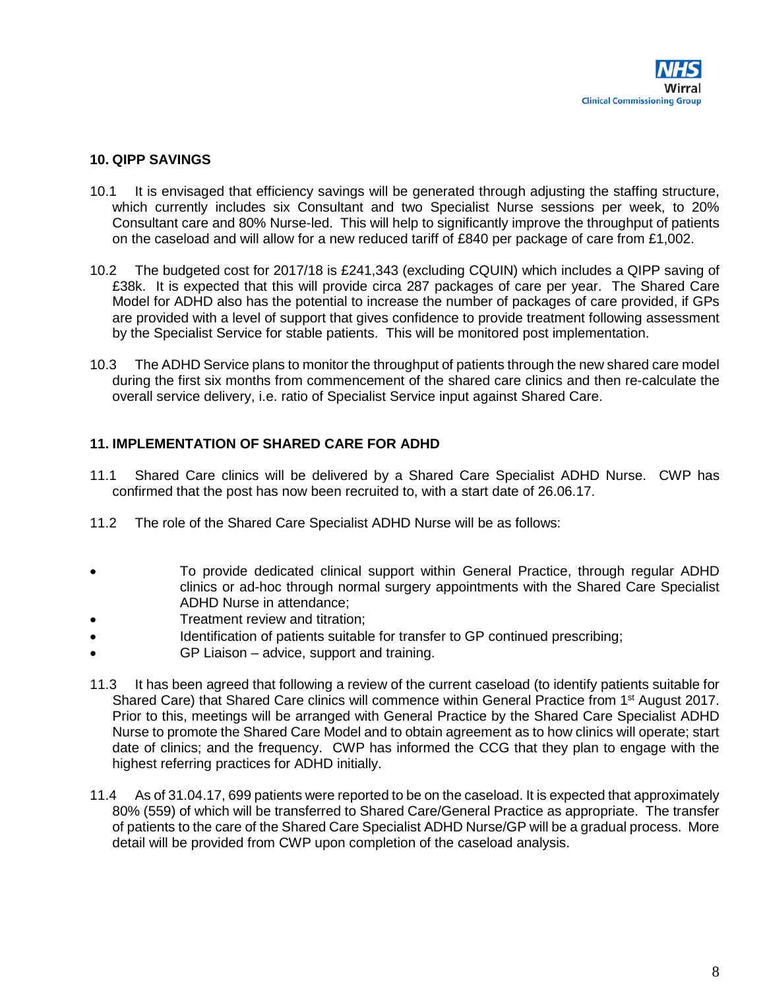## **10. QIPP SAVINGS**

- 10.1 It is envisaged that efficiency savings will be generated through adjusting the staffing structure, which currently includes six Consultant and two Specialist Nurse sessions per week, to 20% Consultant care and 80% Nurse-led. This will help to significantly improve the throughput of patients on the caseload and will allow for a new reduced tariff of £840 per package of care from  $£1,002$ .
- 10.2 The budgeted cost for 2017/18 is £241,343 (excluding CQUIN) which includes a QIPP saving of £38k. It is expected that this will provide circa 287 packages of care per year. The Shared Care Model for ADHD also has the potential to increase the number of packages of care provided, if GPs are provided with a level of support that gives confidence to provide treatment following assessment by the Specialist Service for stable patients. This will be monitored post implementation.
- 10.3 The ADHD Service plans to monitor the throughput of patients through the new shared care model during the first six months from commencement of the shared care clinics and then re-calculate the overall service delivery, i.e. ratio of Specialist Service input against Shared Care.

## **11. IMPLEMENTATION OF SHARED CARE FOR ADHD**

- 11.1 Shared Care clinics will be delivered by a Shared Care Specialist ADHD Nurse. CWP has confirmed that the post has now been recruited to, with a start date of 26.06.17.
- 11.2 The role of the Shared Care Specialist ADHD Nurse will be as follows:
- To provide dedicated clinical support within General Practice, through regular ADHD clinics or ad-hoc through normal surgery appointments with the Shared Care Specialist ADHD Nurse in attendance;
- Treatment review and titration;
- Identification of patients suitable for transfer to GP continued prescribing;
- GP Liaison advice, support and training.
- 11.3 It has been agreed that following a review of the current caseload (to identify patients suitable for Shared Care) that Shared Care clinics will commence within General Practice from 1<sup>st</sup> August 2017. Prior to this, meetings will be arranged with General Practice by the Shared Care Specialist ADHD Nurse to promote the Shared Care Model and to obtain agreement as to how clinics will operate; start date of clinics; and the frequency. CWP has informed the CCG that they plan to engage with the highest referring practices for ADHD initially.
- 11.4 As of 31.04.17, 699 patients were reported to be on the caseload. It is expected that approximately 80% (559) of which will be transferred to Shared Care/General Practice as appropriate. The transfer of patients to the care of the Shared Care Specialist ADHD Nurse/GP will be a gradual process. More detail will be provided from CWP upon completion of the caseload analysis.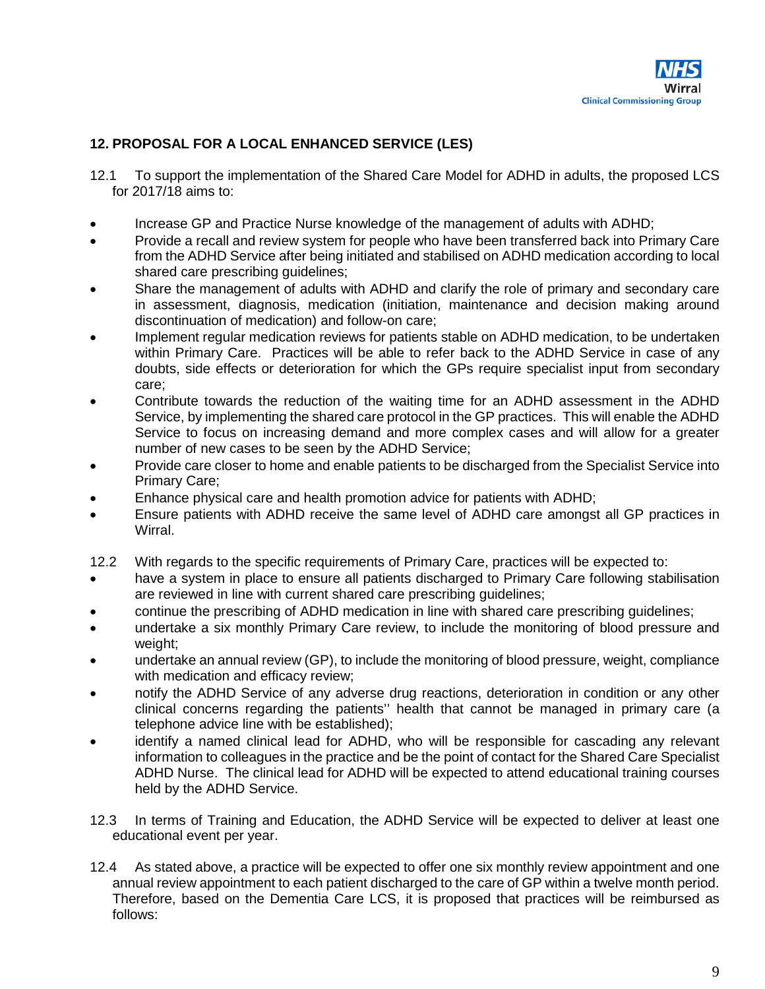## **12. PROPOSAL FOR A LOCAL ENHANCED SERVICE (LES)**

- 12.1 To support the implementation of the Shared Care Model for ADHD in adults, the proposed LCS for 2017/18 aims to:
- Increase GP and Practice Nurse knowledge of the management of adults with ADHD;
- Provide a recall and review system for people who have been transferred back into Primary Care from the ADHD Service after being initiated and stabilised on ADHD medication according to local shared care prescribing guidelines;
- Share the management of adults with ADHD and clarify the role of primary and secondary care in assessment, diagnosis, medication (initiation, maintenance and decision making around discontinuation of medication) and follow-on care;
- Implement regular medication reviews for patients stable on ADHD medication, to be undertaken within Primary Care. Practices will be able to refer back to the ADHD Service in case of any doubts, side effects or deterioration for which the GPs require specialist input from secondary care;
- Contribute towards the reduction of the waiting time for an ADHD assessment in the ADHD Service, by implementing the shared care protocol in the GP practices. This will enable the ADHD Service to focus on increasing demand and more complex cases and will allow for a greater number of new cases to be seen by the ADHD Service;
- Provide care closer to home and enable patients to be discharged from the Specialist Service into Primary Care;
- Enhance physical care and health promotion advice for patients with ADHD;
- Ensure patients with ADHD receive the same level of ADHD care amongst all GP practices in Wirral.
- 12.2 With regards to the specific requirements of Primary Care, practices will be expected to:
- have a system in place to ensure all patients discharged to Primary Care following stabilisation are reviewed in line with current shared care prescribing guidelines;
- continue the prescribing of ADHD medication in line with shared care prescribing guidelines;
- undertake a six monthly Primary Care review, to include the monitoring of blood pressure and weight;
- undertake an annual review (GP), to include the monitoring of blood pressure, weight, compliance with medication and efficacy review;
- notify the ADHD Service of any adverse drug reactions, deterioration in condition or any other clinical concerns regarding the patients'' health that cannot be managed in primary care (a telephone advice line with be established);
- identify a named clinical lead for ADHD, who will be responsible for cascading any relevant information to colleagues in the practice and be the point of contact for the Shared Care Specialist ADHD Nurse. The clinical lead for ADHD will be expected to attend educational training courses held by the ADHD Service.
- 12.3 In terms of Training and Education, the ADHD Service will be expected to deliver at least one educational event per year.
- 12.4 As stated above, a practice will be expected to offer one six monthly review appointment and one annual review appointment to each patient discharged to the care of GP within a twelve month period. Therefore, based on the Dementia Care LCS, it is proposed that practices will be reimbursed as follows: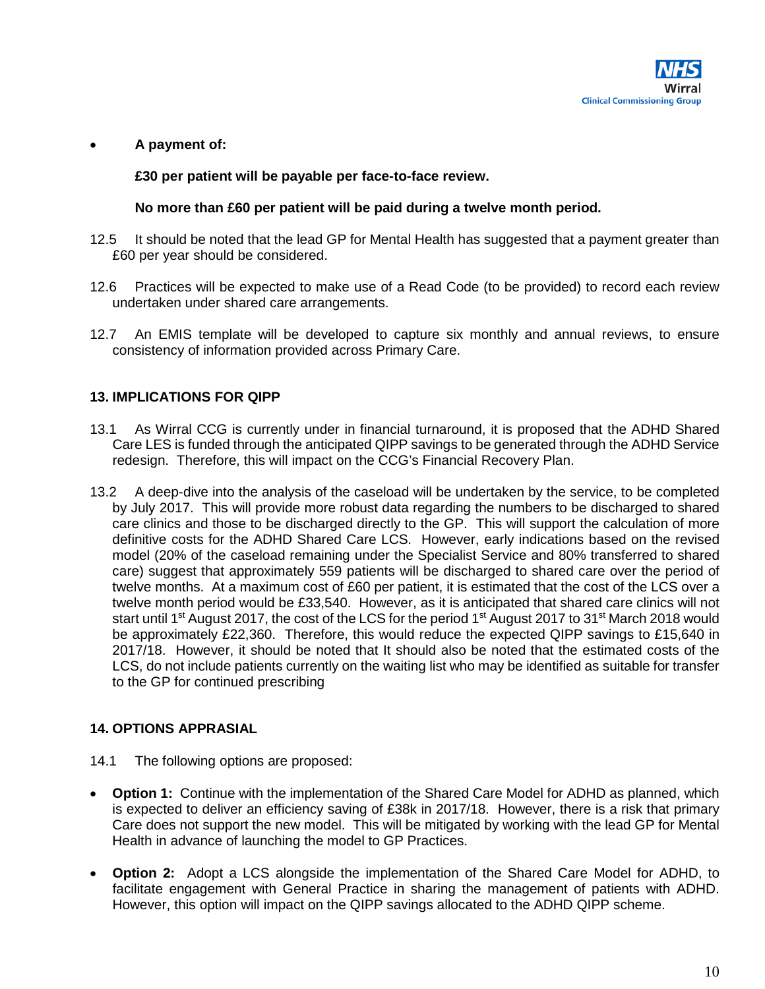

#### • **A payment of:**

**£30 per patient will be payable per face-to-face review.**

#### **No more than £60 per patient will be paid during a twelve month period.**

- 12.5 It should be noted that the lead GP for Mental Health has suggested that a payment greater than £60 per year should be considered.
- 12.6 Practices will be expected to make use of a Read Code (to be provided) to record each review undertaken under shared care arrangements.
- 12.7 An EMIS template will be developed to capture six monthly and annual reviews, to ensure consistency of information provided across Primary Care.

## **13. IMPLICATIONS FOR QIPP**

- 13.1 As Wirral CCG is currently under in financial turnaround, it is proposed that the ADHD Shared Care LES is funded through the anticipated QIPP savings to be generated through the ADHD Service redesign. Therefore, this will impact on the CCG's Financial Recovery Plan.
- 13.2 A deep-dive into the analysis of the caseload will be undertaken by the service, to be completed by July 2017. This will provide more robust data regarding the numbers to be discharged to shared care clinics and those to be discharged directly to the GP. This will support the calculation of more definitive costs for the ADHD Shared Care LCS. However, early indications based on the revised model (20% of the caseload remaining under the Specialist Service and 80% transferred to shared care) suggest that approximately 559 patients will be discharged to shared care over the period of twelve months. At a maximum cost of £60 per patient, it is estimated that the cost of the LCS over a twelve month period would be £33,540. However, as it is anticipated that shared care clinics will not start until 1<sup>st</sup> August 2017, the cost of the LCS for the period 1<sup>st</sup> August 2017 to 31<sup>st</sup> March 2018 would be approximately £22,360. Therefore, this would reduce the expected QIPP savings to £15,640 in 2017/18. However, it should be noted that It should also be noted that the estimated costs of the LCS, do not include patients currently on the waiting list who may be identified as suitable for transfer to the GP for continued prescribing

## **14. OPTIONS APPRASIAL**

- 14.1 The following options are proposed:
- **Option 1:** Continue with the implementation of the Shared Care Model for ADHD as planned, which is expected to deliver an efficiency saving of £38k in 2017/18. However, there is a risk that primary Care does not support the new model. This will be mitigated by working with the lead GP for Mental Health in advance of launching the model to GP Practices.
- **Option 2:** Adopt a LCS alongside the implementation of the Shared Care Model for ADHD, to facilitate engagement with General Practice in sharing the management of patients with ADHD. However, this option will impact on the QIPP savings allocated to the ADHD QIPP scheme.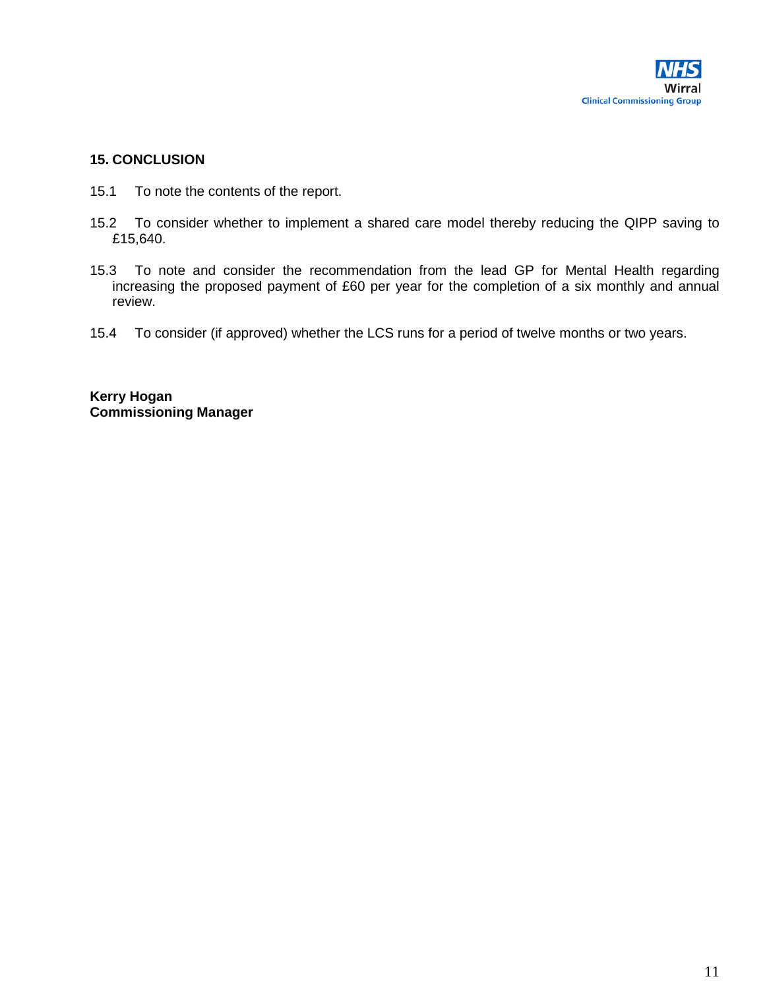

#### **15. CONCLUSION**

- 15.1 To note the contents of the report.
- 15.2 To consider whether to implement a shared care model thereby reducing the QIPP saving to £15,640.
- 15.3 To note and consider the recommendation from the lead GP for Mental Health regarding increasing the proposed payment of £60 per year for the completion of a six monthly and annual review.
- 15.4 To consider (if approved) whether the LCS runs for a period of twelve months or two years.

**Kerry Hogan Commissioning Manager**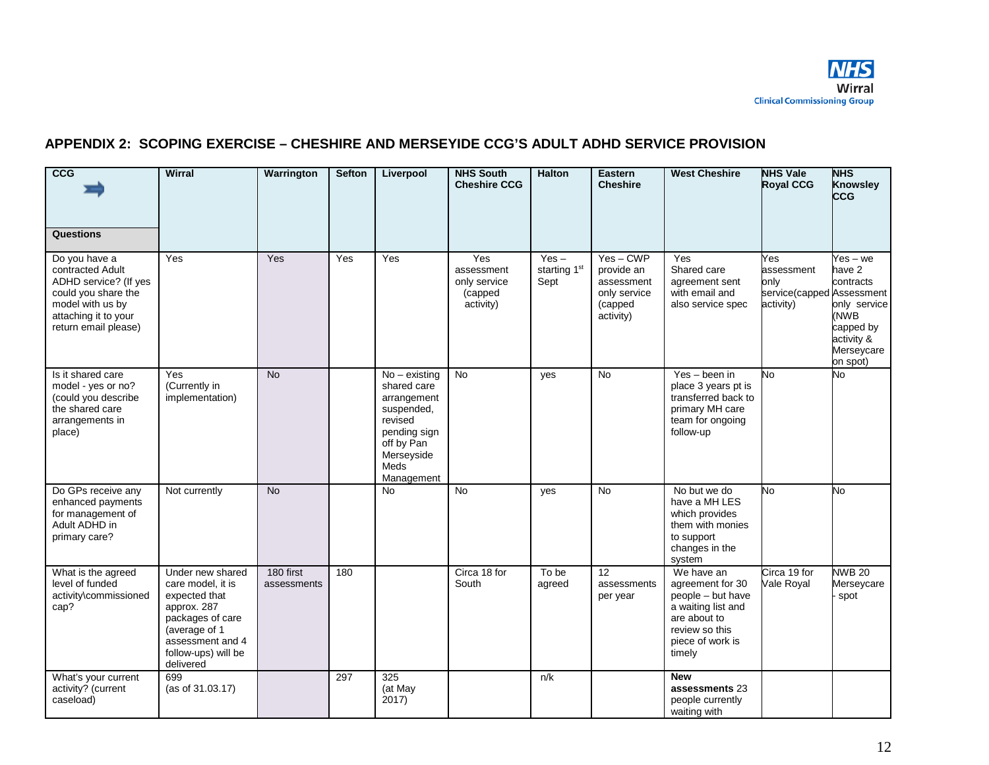

# **APPENDIX 2: SCOPING EXERCISE – CHESHIRE AND MERSEYIDE CCG'S ADULT ADHD SERVICE PROVISION**

| ccG<br>Questions                                                                                                                                      | Wirral                                                                                                                                                             | Warrington               | <b>Sefton</b> | Liverpool                                                                                                                                | <b>NHS South</b><br><b>Cheshire CCG</b>                   | <b>Halton</b>                   | Eastern<br><b>Cheshire</b>                                                    | <b>West Cheshire</b>                                                                                                                      | <b>NHS Vale</b><br><b>Royal CCG</b>                                 | <b>NHS</b><br><b>Knowsley</b><br><b>CCG</b>                                                                  |
|-------------------------------------------------------------------------------------------------------------------------------------------------------|--------------------------------------------------------------------------------------------------------------------------------------------------------------------|--------------------------|---------------|------------------------------------------------------------------------------------------------------------------------------------------|-----------------------------------------------------------|---------------------------------|-------------------------------------------------------------------------------|-------------------------------------------------------------------------------------------------------------------------------------------|---------------------------------------------------------------------|--------------------------------------------------------------------------------------------------------------|
| Do you have a<br>contracted Adult<br>ADHD service? (If yes<br>could you share the<br>model with us by<br>attaching it to your<br>return email please) | Yes                                                                                                                                                                | Yes                      | Yes           | Yes                                                                                                                                      | Yes<br>assessment<br>only service<br>(capped<br>activity) | $Yes -$<br>starting 1st<br>Sept | $Yes-CWP$<br>provide an<br>assessment<br>only service<br>(capped<br>activity) | Yes<br>Shared care<br>agreement sent<br>with email and<br>also service spec                                                               | Yes<br>assessment<br>only<br>service(capped Assessment<br>activity) | 'es – we<br>have 2<br>contracts<br>only service<br>(NWB<br>capped by<br>activity &<br>Merseycare<br>on spot) |
| Is it shared care<br>model - yes or no?<br>(could you describe<br>the shared care<br>arrangements in<br>place)                                        | Yes<br>(Currently in<br>implementation)                                                                                                                            | <b>No</b>                |               | $No - existing$<br>shared care<br>arrangement<br>suspended,<br>revised<br>pending sign<br>off by Pan<br>Merseyside<br>Meds<br>Management | <b>No</b>                                                 | yes                             | No.                                                                           | Yes - been in<br>place 3 years pt is<br>transferred back to<br>primary MH care<br>team for ongoing<br>follow-up                           | No.                                                                 | No.                                                                                                          |
| Do GPs receive any<br>enhanced payments<br>for management of<br>Adult ADHD in<br>primary care?                                                        | Not currently                                                                                                                                                      | <b>No</b>                |               | No                                                                                                                                       | <b>No</b>                                                 | yes                             | <b>No</b>                                                                     | No but we do<br>have a MH LES<br>which provides<br>them with monies<br>to support<br>changes in the<br>system                             | No                                                                  | No                                                                                                           |
| What is the agreed<br>level of funded<br>activity\commissioned<br>cap?                                                                                | Under new shared<br>care model, it is<br>expected that<br>approx. 287<br>packages of care<br>(average of 1<br>assessment and 4<br>follow-ups) will be<br>delivered | 180 first<br>assessments | 180           |                                                                                                                                          | Circa 18 for<br>South                                     | To be<br>agreed                 | 12<br>assessments<br>per year                                                 | We have an<br>agreement for 30<br>people - but have<br>a waiting list and<br>are about to<br>review so this<br>piece of work is<br>timely | Circa 19 for<br>Vale Royal                                          | <b>NWB 20</b><br>Merseycare<br>spot                                                                          |
| What's your current<br>activity? (current<br>caseload)                                                                                                | 699<br>(as of 31.03.17)                                                                                                                                            |                          | 297           | 325<br>(at May<br>2017)                                                                                                                  |                                                           | n/k                             |                                                                               | <b>New</b><br>assessments 23<br>people currently<br>waiting with                                                                          |                                                                     |                                                                                                              |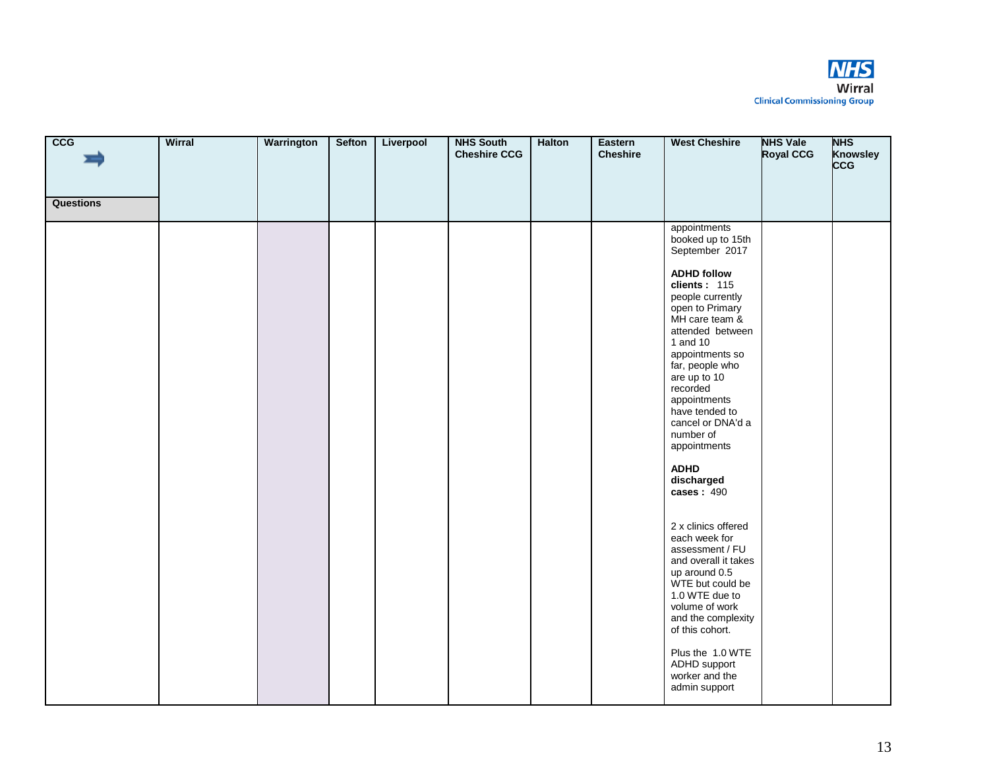

| <b>CCG</b><br><b>Questions</b> | Wirral | Warrington | <b>Sefton</b> | Liverpool | <b>NHS South</b><br><b>Cheshire CCG</b> | Halton | Eastern<br><b>Cheshire</b> | <b>West Cheshire</b>                                                                                                                                                                                                                                                                                                                                                                                                                                                                                                                                                                                                                                                | <b>NHS Vale</b><br><b>Royal CCG</b> | <b>NHS</b><br><b>Knowsley</b><br><b>CCG</b> |
|--------------------------------|--------|------------|---------------|-----------|-----------------------------------------|--------|----------------------------|---------------------------------------------------------------------------------------------------------------------------------------------------------------------------------------------------------------------------------------------------------------------------------------------------------------------------------------------------------------------------------------------------------------------------------------------------------------------------------------------------------------------------------------------------------------------------------------------------------------------------------------------------------------------|-------------------------------------|---------------------------------------------|
|                                |        |            |               |           |                                         |        |                            | appointments<br>booked up to 15th<br>September 2017<br><b>ADHD follow</b><br>clients: $115$<br>people currently<br>open to Primary<br>MH care team &<br>attended between<br>1 and 10<br>appointments so<br>far, people who<br>are up to 10<br>recorded<br>appointments<br>have tended to<br>cancel or DNA'd a<br>number of<br>appointments<br><b>ADHD</b><br>discharged<br>cases: $490$<br>2 x clinics offered<br>each week for<br>assessment / FU<br>and overall it takes<br>up around 0.5<br>WTE but could be<br>1.0 WTE due to<br>volume of work<br>and the complexity<br>of this cohort.<br>Plus the 1.0 WTE<br>ADHD support<br>worker and the<br>admin support |                                     |                                             |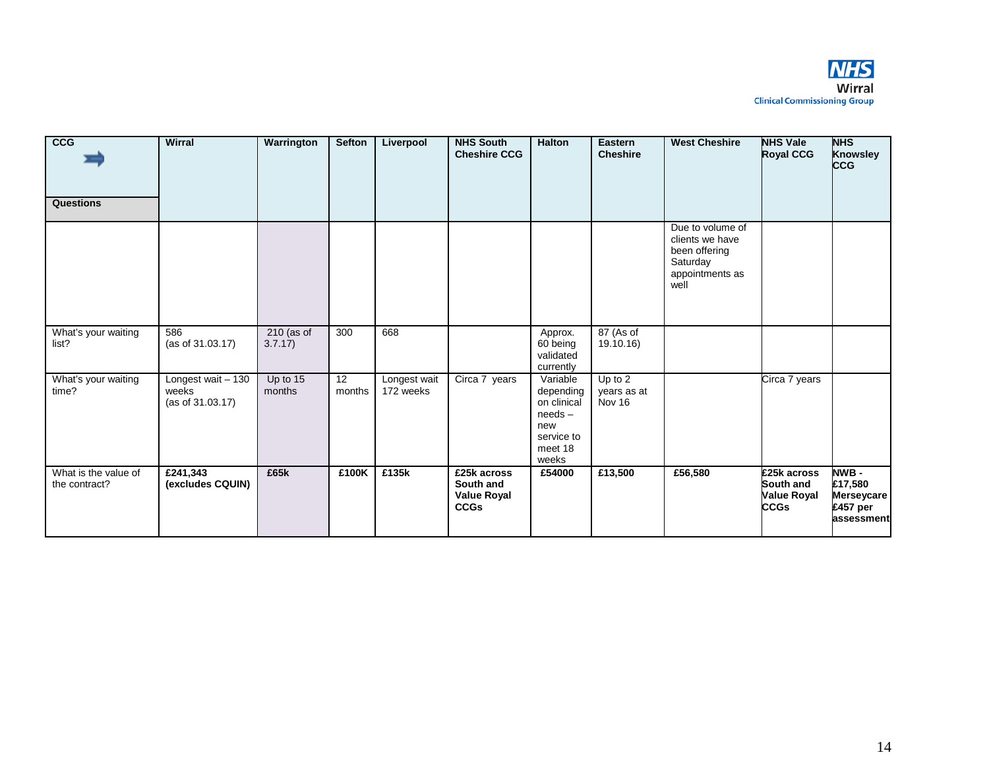

| cc <sub>G</sub><br>Questions          | <b>Wirral</b>                                   | Warrington              | <b>Sefton</b> | Liverpool                 | <b>NHS South</b><br><b>Cheshire CCG</b>                       | <b>Halton</b>                                                                              | Eastern<br><b>Cheshire</b>       | <b>West Cheshire</b>                                                                        | <b>NHS Vale</b><br><b>Royal CCG</b>                           | <b>NHS</b><br><b>Knowsley</b><br><b>CCG</b>                     |
|---------------------------------------|-------------------------------------------------|-------------------------|---------------|---------------------------|---------------------------------------------------------------|--------------------------------------------------------------------------------------------|----------------------------------|---------------------------------------------------------------------------------------------|---------------------------------------------------------------|-----------------------------------------------------------------|
|                                       |                                                 |                         |               |                           |                                                               |                                                                                            |                                  | Due to volume of<br>clients we have<br>been offering<br>Saturday<br>appointments as<br>well |                                                               |                                                                 |
| What's your waiting<br>list?          | 586<br>(as of 31.03.17)                         | $210$ (as of<br>3.7.17) | 300           | 668                       |                                                               | Approx.<br>60 being<br>validated<br>currently                                              | 87 (As of<br>19.10.16)           |                                                                                             |                                                               |                                                                 |
| What's your waiting<br>time?          | Longest wait - 130<br>weeks<br>(as of 31.03.17) | Up to 15<br>months      | 12<br>months  | Longest wait<br>172 weeks | Circa 7 years                                                 | Variable<br>depending<br>on clinical<br>$needs -$<br>new<br>service to<br>meet 18<br>weeks | Up to 2<br>years as at<br>Nov 16 |                                                                                             | Circa 7 years                                                 |                                                                 |
| What is the value of<br>the contract? | £241,343<br>(excludes CQUIN)                    | £65k                    | £100K         | £135k                     | £25k across<br>South and<br><b>Value Royal</b><br><b>CCGs</b> | £54000                                                                                     | £13,500                          | £56,580                                                                                     | £25k across<br>South and<br><b>Value Royal</b><br><b>CCGs</b> | NWB -<br>£17,580<br><b>Merseycare</b><br>£457 per<br>assessment |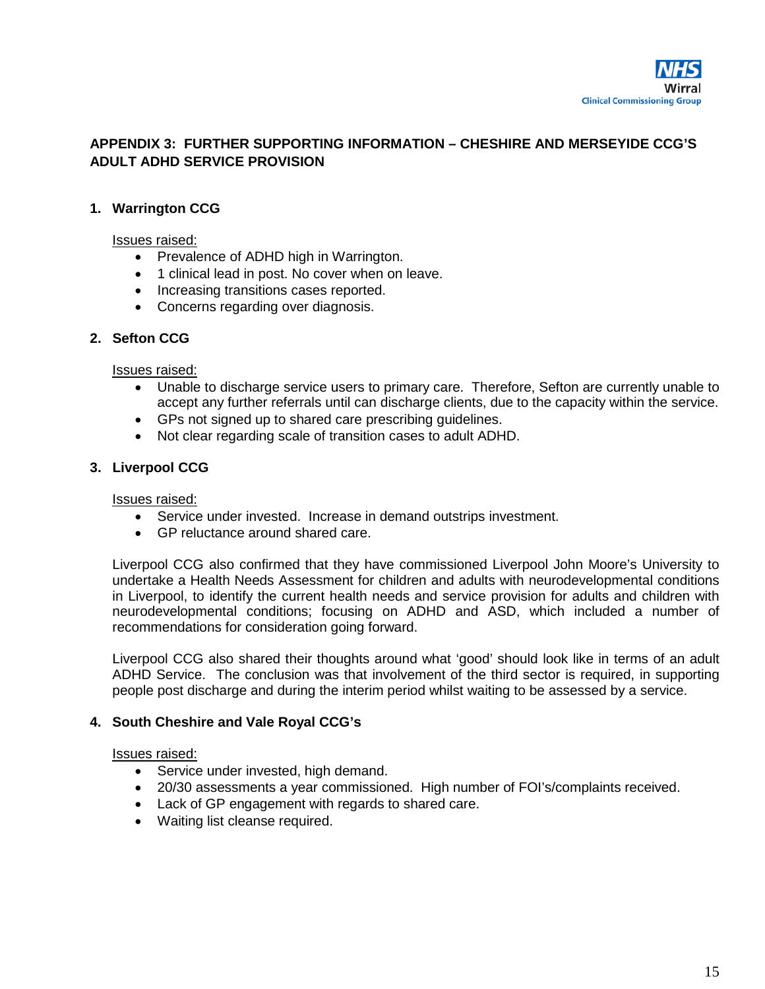

## **APPENDIX 3: FURTHER SUPPORTING INFORMATION – CHESHIRE AND MERSEYIDE CCG'S ADULT ADHD SERVICE PROVISION**

#### **1. Warrington CCG**

#### Issues raised:

- Prevalence of ADHD high in Warrington.
- 1 clinical lead in post. No cover when on leave.
- Increasing transitions cases reported.
- Concerns regarding over diagnosis.

#### **2. Sefton CCG**

#### Issues raised:

- Unable to discharge service users to primary care. Therefore, Sefton are currently unable to accept any further referrals until can discharge clients, due to the capacity within the service.
- GPs not signed up to shared care prescribing guidelines.
- Not clear regarding scale of transition cases to adult ADHD.

#### **3. Liverpool CCG**

#### Issues raised:

- Service under invested. Increase in demand outstrips investment.
- GP reluctance around shared care.

Liverpool CCG also confirmed that they have commissioned Liverpool John Moore's University to undertake a Health Needs Assessment for children and adults with neurodevelopmental conditions in Liverpool, to identify the current health needs and service provision for adults and children with neurodevelopmental conditions; focusing on ADHD and ASD, which included a number of recommendations for consideration going forward.

Liverpool CCG also shared their thoughts around what 'good' should look like in terms of an adult ADHD Service. The conclusion was that involvement of the third sector is required, in supporting people post discharge and during the interim period whilst waiting to be assessed by a service.

#### **4. South Cheshire and Vale Royal CCG's**

#### Issues raised:

- Service under invested, high demand.
- 20/30 assessments a year commissioned. High number of FOI's/complaints received.
- Lack of GP engagement with regards to shared care.
- Waiting list cleanse required.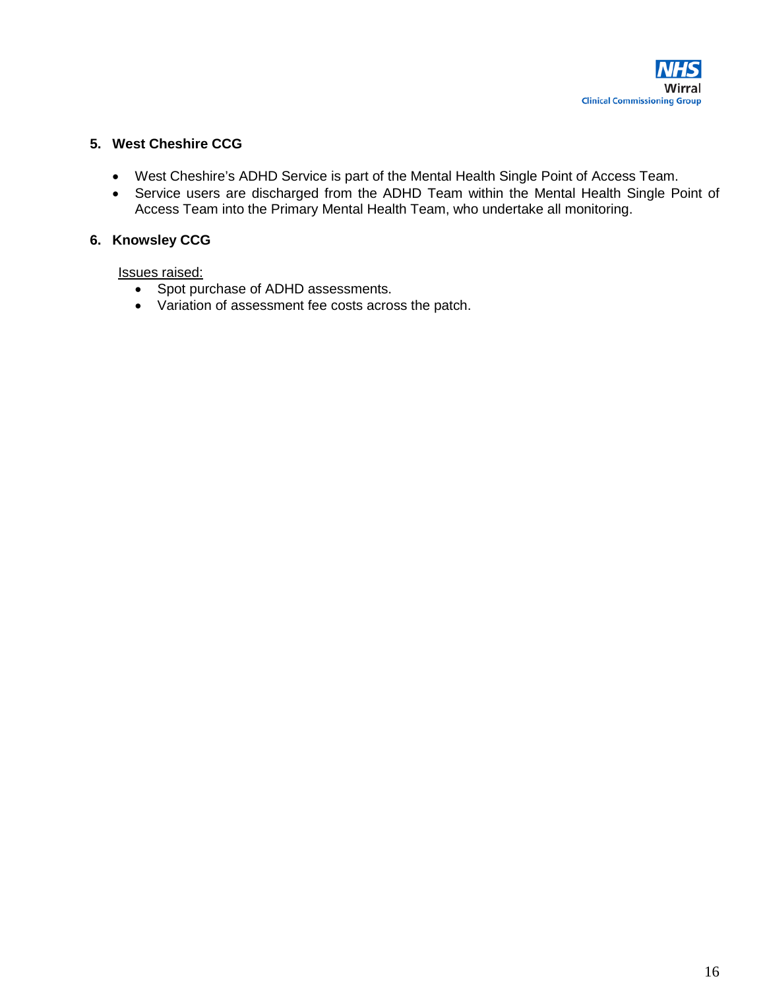

#### **5. West Cheshire CCG**

- West Cheshire's ADHD Service is part of the Mental Health Single Point of Access Team.
- Service users are discharged from the ADHD Team within the Mental Health Single Point of Access Team into the Primary Mental Health Team, who undertake all monitoring.

#### **6. Knowsley CCG**

Issues raised:

- Spot purchase of ADHD assessments.
- Variation of assessment fee costs across the patch.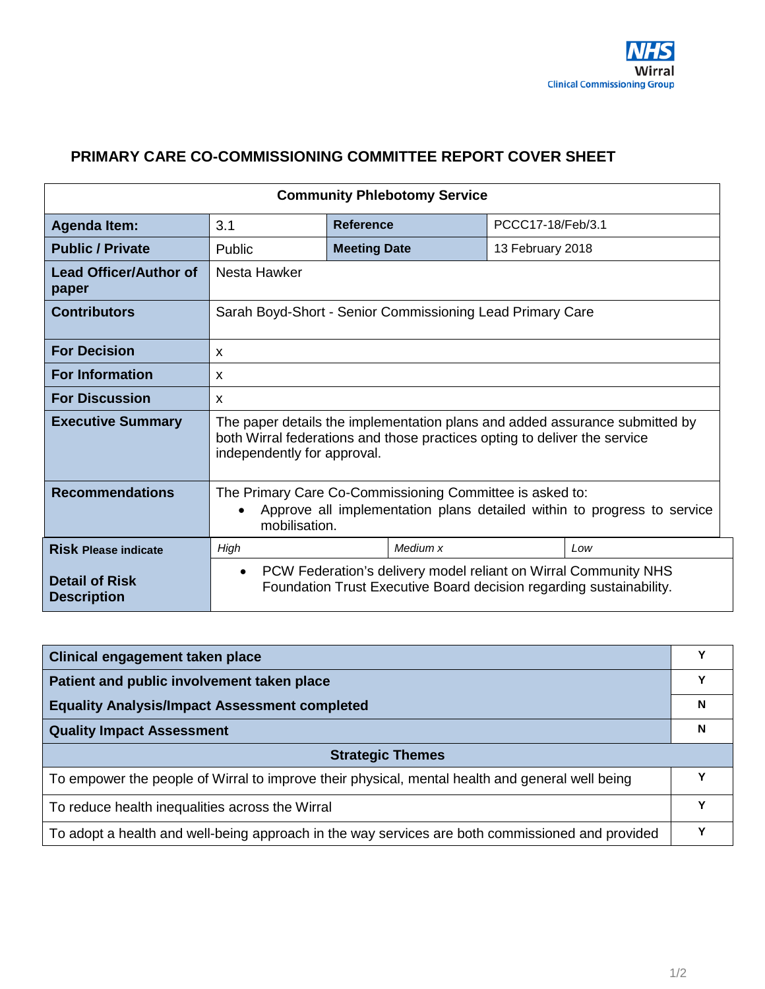# <span id="page-41-0"></span>**PRIMARY CARE CO-COMMISSIONING COMMITTEE REPORT COVER SHEET**

| <b>Community Phlebotomy Service</b>         |                                                                                                                                                      |                                                                                                                                                                                         |                  |     |  |  |  |
|---------------------------------------------|------------------------------------------------------------------------------------------------------------------------------------------------------|-----------------------------------------------------------------------------------------------------------------------------------------------------------------------------------------|------------------|-----|--|--|--|
| <b>Agenda Item:</b>                         | 3.1                                                                                                                                                  | PCCC17-18/Feb/3.1<br><b>Reference</b>                                                                                                                                                   |                  |     |  |  |  |
| <b>Public / Private</b>                     | Public                                                                                                                                               | <b>Meeting Date</b>                                                                                                                                                                     | 13 February 2018 |     |  |  |  |
| <b>Lead Officer/Author of</b><br>paper      | Nesta Hawker                                                                                                                                         |                                                                                                                                                                                         |                  |     |  |  |  |
| <b>Contributors</b>                         |                                                                                                                                                      | Sarah Boyd-Short - Senior Commissioning Lead Primary Care                                                                                                                               |                  |     |  |  |  |
| <b>For Decision</b>                         | $\mathbf{x}$                                                                                                                                         |                                                                                                                                                                                         |                  |     |  |  |  |
| <b>For Information</b>                      | X                                                                                                                                                    |                                                                                                                                                                                         |                  |     |  |  |  |
| <b>For Discussion</b>                       | $\mathsf{x}$                                                                                                                                         |                                                                                                                                                                                         |                  |     |  |  |  |
| <b>Executive Summary</b>                    |                                                                                                                                                      | The paper details the implementation plans and added assurance submitted by<br>both Wirral federations and those practices opting to deliver the service<br>independently for approval. |                  |     |  |  |  |
| <b>Recommendations</b>                      | The Primary Care Co-Commissioning Committee is asked to:<br>Approve all implementation plans detailed within to progress to service<br>mobilisation. |                                                                                                                                                                                         |                  |     |  |  |  |
| <b>Risk Please indicate</b>                 | High                                                                                                                                                 | Medium x                                                                                                                                                                                |                  | Low |  |  |  |
| <b>Detail of Risk</b><br><b>Description</b> | PCW Federation's delivery model reliant on Wirral Community NHS<br>$\bullet$<br>Foundation Trust Executive Board decision regarding sustainability.  |                                                                                                                                                                                         |                  |     |  |  |  |

| Clinical engagement taken place                                                                  | v |  |  |  |
|--------------------------------------------------------------------------------------------------|---|--|--|--|
| Patient and public involvement taken place                                                       | v |  |  |  |
| <b>Equality Analysis/Impact Assessment completed</b>                                             | N |  |  |  |
| <b>Quality Impact Assessment</b>                                                                 | N |  |  |  |
| <b>Strategic Themes</b>                                                                          |   |  |  |  |
| To empower the people of Wirral to improve their physical, mental health and general well being  |   |  |  |  |
| To reduce health inequalities across the Wirral                                                  | v |  |  |  |
| To adopt a health and well-being approach in the way services are both commissioned and provided | v |  |  |  |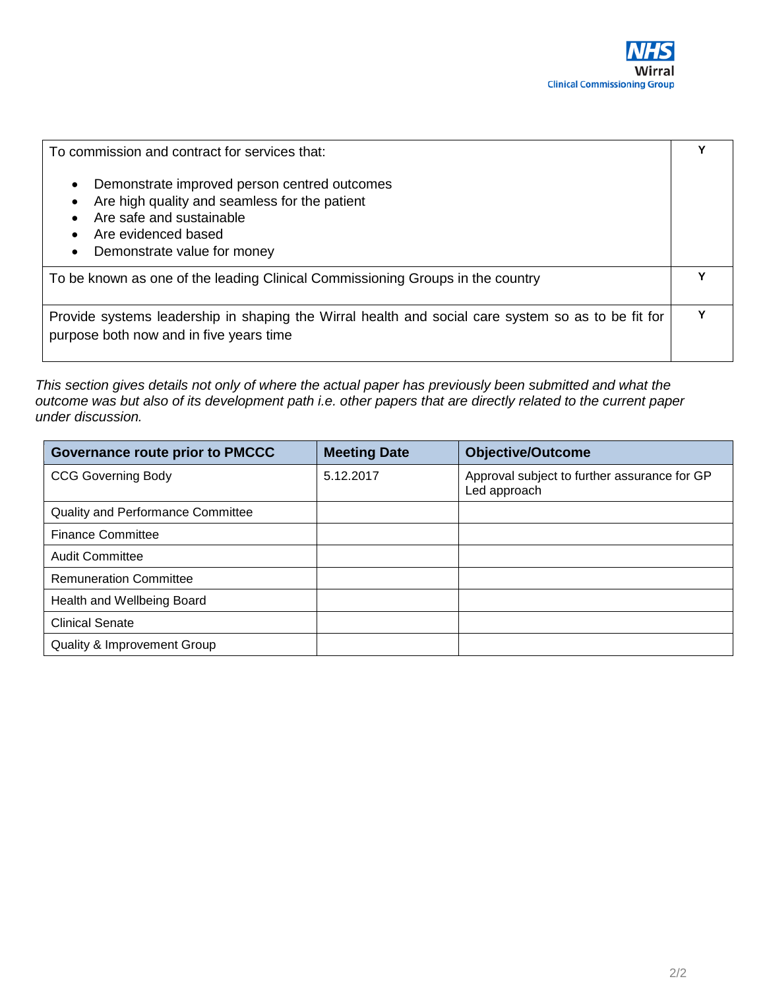| To commission and contract for services that:                                                                                                                                                             |  |  |  |
|-----------------------------------------------------------------------------------------------------------------------------------------------------------------------------------------------------------|--|--|--|
| Demonstrate improved person centred outcomes<br>$\bullet$<br>Are high quality and seamless for the patient<br>Are safe and sustainable<br>Are evidenced based<br>Demonstrate value for money<br>$\bullet$ |  |  |  |
| To be known as one of the leading Clinical Commissioning Groups in the country                                                                                                                            |  |  |  |
| Provide systems leadership in shaping the Wirral health and social care system so as to be fit for<br>purpose both now and in five years time                                                             |  |  |  |

*This section gives details not only of where the actual paper has previously been submitted and what the outcome was but also of its development path i.e. other papers that are directly related to the current paper under discussion.* 

| <b>Governance route prior to PMCCC</b>   | <b>Meeting Date</b> | <b>Objective/Outcome</b>                                     |
|------------------------------------------|---------------------|--------------------------------------------------------------|
| <b>CCG Governing Body</b>                | 5.12.2017           | Approval subject to further assurance for GP<br>Led approach |
| <b>Quality and Performance Committee</b> |                     |                                                              |
| <b>Finance Committee</b>                 |                     |                                                              |
| <b>Audit Committee</b>                   |                     |                                                              |
| <b>Remuneration Committee</b>            |                     |                                                              |
| Health and Wellbeing Board               |                     |                                                              |
| <b>Clinical Senate</b>                   |                     |                                                              |
| <b>Quality &amp; Improvement Group</b>   |                     |                                                              |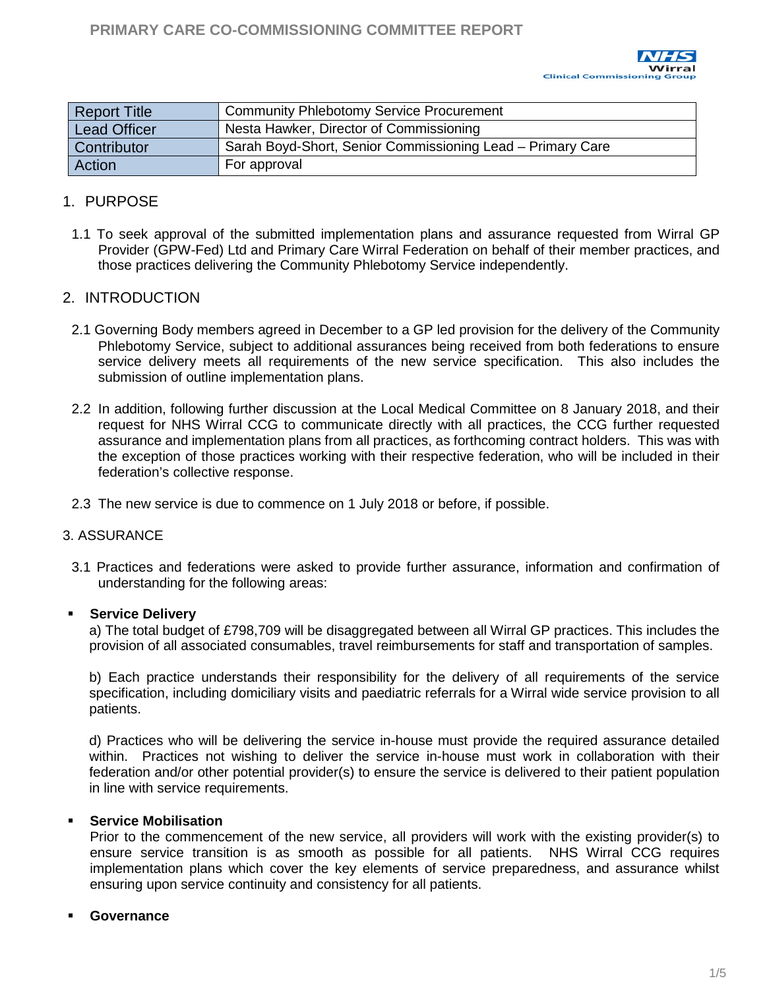

<span id="page-43-0"></span>

| Report Title        | <b>Community Phlebotomy Service Procurement</b>            |
|---------------------|------------------------------------------------------------|
| <b>Lead Officer</b> | Nesta Hawker, Director of Commissioning                    |
| <b>Contributor</b>  | Sarah Boyd-Short, Senior Commissioning Lead - Primary Care |
| <b>Action</b>       | For approval                                               |

## 1. PURPOSE

1.1 To seek approval of the submitted implementation plans and assurance requested from Wirral GP Provider (GPW-Fed) Ltd and Primary Care Wirral Federation on behalf of their member practices, and those practices delivering the Community Phlebotomy Service independently.

#### 2. INTRODUCTION

- 2.1 Governing Body members agreed in December to a GP led provision for the delivery of the Community Phlebotomy Service, subject to additional assurances being received from both federations to ensure service delivery meets all requirements of the new service specification. This also includes the submission of outline implementation plans.
- 2.2 In addition, following further discussion at the Local Medical Committee on 8 January 2018, and their request for NHS Wirral CCG to communicate directly with all practices, the CCG further requested assurance and implementation plans from all practices, as forthcoming contract holders. This was with the exception of those practices working with their respective federation, who will be included in their federation's collective response.
- 2.3 The new service is due to commence on 1 July 2018 or before, if possible.

#### 3. ASSURANCE

3.1 Practices and federations were asked to provide further assurance, information and confirmation of understanding for the following areas:

#### **Service Delivery**

a) The total budget of £798,709 will be disaggregated between all Wirral GP practices. This includes the provision of all associated consumables, travel reimbursements for staff and transportation of samples.

b) Each practice understands their responsibility for the delivery of all requirements of the service specification, including domiciliary visits and paediatric referrals for a Wirral wide service provision to all patients.

d) Practices who will be delivering the service in-house must provide the required assurance detailed within. Practices not wishing to deliver the service in-house must work in collaboration with their federation and/or other potential provider(s) to ensure the service is delivered to their patient population in line with service requirements.

#### **Service Mobilisation**

Prior to the commencement of the new service, all providers will work with the existing provider(s) to ensure service transition is as smooth as possible for all patients. NHS Wirral CCG requires implementation plans which cover the key elements of service preparedness, and assurance whilst ensuring upon service continuity and consistency for all patients.

#### **Governance**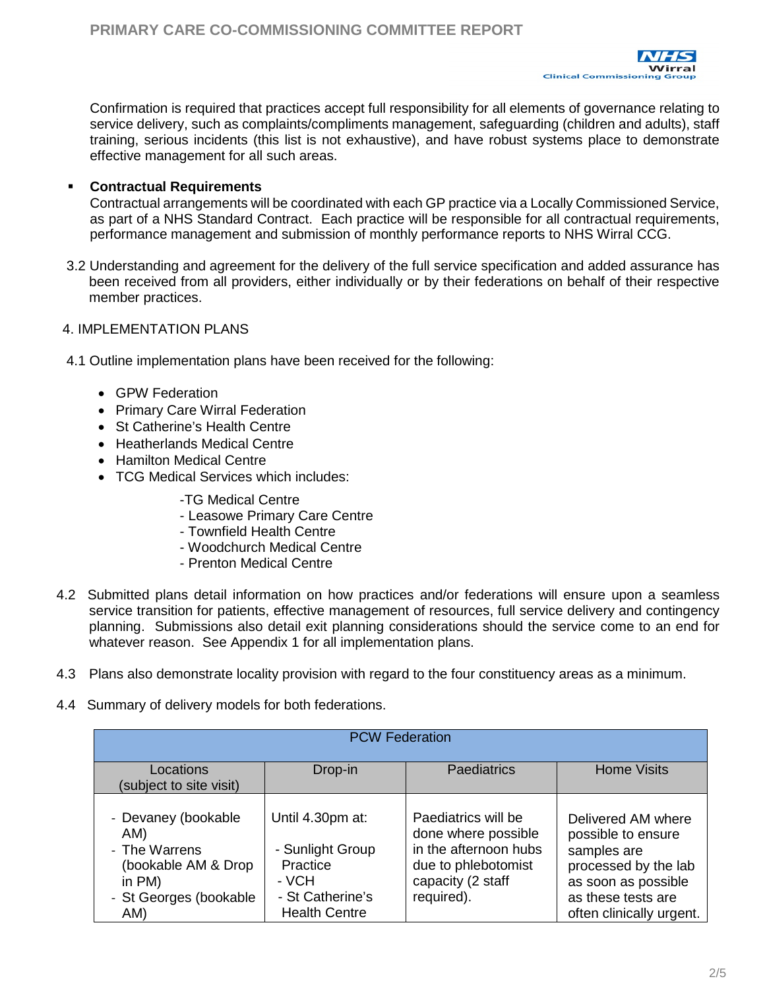

Confirmation is required that practices accept full responsibility for all elements of governance relating to service delivery, such as complaints/compliments management, safeguarding (children and adults), staff training, serious incidents (this list is not exhaustive), and have robust systems place to demonstrate effective management for all such areas.

#### **Contractual Requirements**

Contractual arrangements will be coordinated with each GP practice via a Locally Commissioned Service, as part of a NHS Standard Contract. Each practice will be responsible for all contractual requirements, performance management and submission of monthly performance reports to NHS Wirral CCG.

3.2 Understanding and agreement for the delivery of the full service specification and added assurance has been received from all providers, either individually or by their federations on behalf of their respective member practices.

#### 4. IMPLEMENTATION PLANS

- 4.1 Outline implementation plans have been received for the following:
	- GPW Federation
	- Primary Care Wirral Federation
	- St Catherine's Health Centre
	- Heatherlands Medical Centre
	- Hamilton Medical Centre
	- TCG Medical Services which includes:
		- -TG Medical Centre
		- Leasowe Primary Care Centre
		- Townfield Health Centre
		- Woodchurch Medical Centre
		- Prenton Medical Centre
- 4.2 Submitted plans detail information on how practices and/or federations will ensure upon a seamless service transition for patients, effective management of resources, full service delivery and contingency planning. Submissions also detail exit planning considerations should the service come to an end for whatever reason. See Appendix 1 for all implementation plans.
- 4.3 Plans also demonstrate locality provision with regard to the four constituency areas as a minimum.
- 4.4 Summary of delivery models for both federations.

| <b>PCW Federation</b>                                                                                         |                                                                                                       |                                                                                                                               |                                                                                                                                                          |  |  |  |  |
|---------------------------------------------------------------------------------------------------------------|-------------------------------------------------------------------------------------------------------|-------------------------------------------------------------------------------------------------------------------------------|----------------------------------------------------------------------------------------------------------------------------------------------------------|--|--|--|--|
| Locations<br>(subject to site visit)                                                                          | Drop-in                                                                                               | <b>Paediatrics</b>                                                                                                            | <b>Home Visits</b>                                                                                                                                       |  |  |  |  |
| - Devaney (bookable<br>AM)<br>- The Warrens<br>(bookable AM & Drop<br>in PM)<br>- St Georges (bookable<br>AM) | Until 4.30pm at:<br>- Sunlight Group<br>Practice<br>- VCH<br>- St Catherine's<br><b>Health Centre</b> | Paediatrics will be<br>done where possible<br>in the afternoon hubs<br>due to phlebotomist<br>capacity (2 staff<br>required). | Delivered AM where<br>possible to ensure<br>samples are<br>processed by the lab<br>as soon as possible<br>as these tests are<br>often clinically urgent. |  |  |  |  |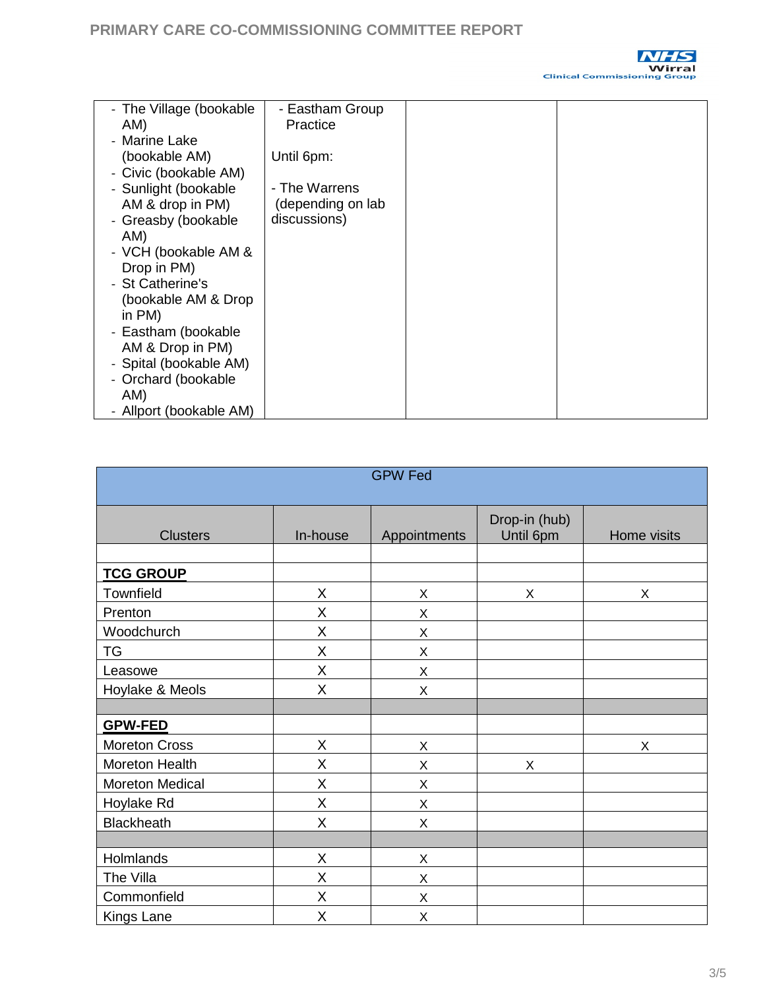

| - The Village (bookable | - Eastham Group   |  |
|-------------------------|-------------------|--|
| AM)                     | Practice          |  |
| - Marine Lake           |                   |  |
| (bookable AM)           | Until 6pm:        |  |
| - Civic (bookable AM)   |                   |  |
| - Sunlight (bookable    | - The Warrens     |  |
| AM & drop in PM)        | (depending on lab |  |
|                         |                   |  |
| - Greasby (bookable     | discussions)      |  |
| AM)                     |                   |  |
| - VCH (bookable AM &    |                   |  |
| Drop in PM)             |                   |  |
| - St Catherine's        |                   |  |
| (bookable AM & Drop     |                   |  |
| in PM)                  |                   |  |
| - Eastham (bookable     |                   |  |
| AM & Drop in PM)        |                   |  |
|                         |                   |  |
| - Spital (bookable AM)  |                   |  |
| - Orchard (bookable     |                   |  |
| AM)                     |                   |  |
| - Allport (bookable AM) |                   |  |

| <b>GPW Fed</b>         |          |              |                            |             |  |  |
|------------------------|----------|--------------|----------------------------|-------------|--|--|
|                        |          |              |                            |             |  |  |
| <b>Clusters</b>        | In-house | Appointments | Drop-in (hub)<br>Until 6pm | Home visits |  |  |
|                        |          |              |                            |             |  |  |
| <b>TCG GROUP</b>       |          |              |                            |             |  |  |
| Townfield              | X        | X            | X                          | X           |  |  |
| Prenton                | X        | Χ            |                            |             |  |  |
| Woodchurch             | X        | Χ            |                            |             |  |  |
| <b>TG</b>              | X        | Χ            |                            |             |  |  |
| Leasowe                | X        | Χ            |                            |             |  |  |
| Hoylake & Meols        | X        | X            |                            |             |  |  |
|                        |          |              |                            |             |  |  |
| <b>GPW-FED</b>         |          |              |                            |             |  |  |
| <b>Moreton Cross</b>   | X        | Χ            |                            | X           |  |  |
| Moreton Health         | X        | X            | Χ                          |             |  |  |
| <b>Moreton Medical</b> | X        | X            |                            |             |  |  |
| Hoylake Rd             | X        | X            |                            |             |  |  |
| <b>Blackheath</b>      | X        | X            |                            |             |  |  |
|                        |          |              |                            |             |  |  |
| Holmlands              | X        | X            |                            |             |  |  |
| The Villa              | X        | Χ            |                            |             |  |  |
| Commonfield            | X        | Χ            |                            |             |  |  |
| Kings Lane             | X        | X            |                            |             |  |  |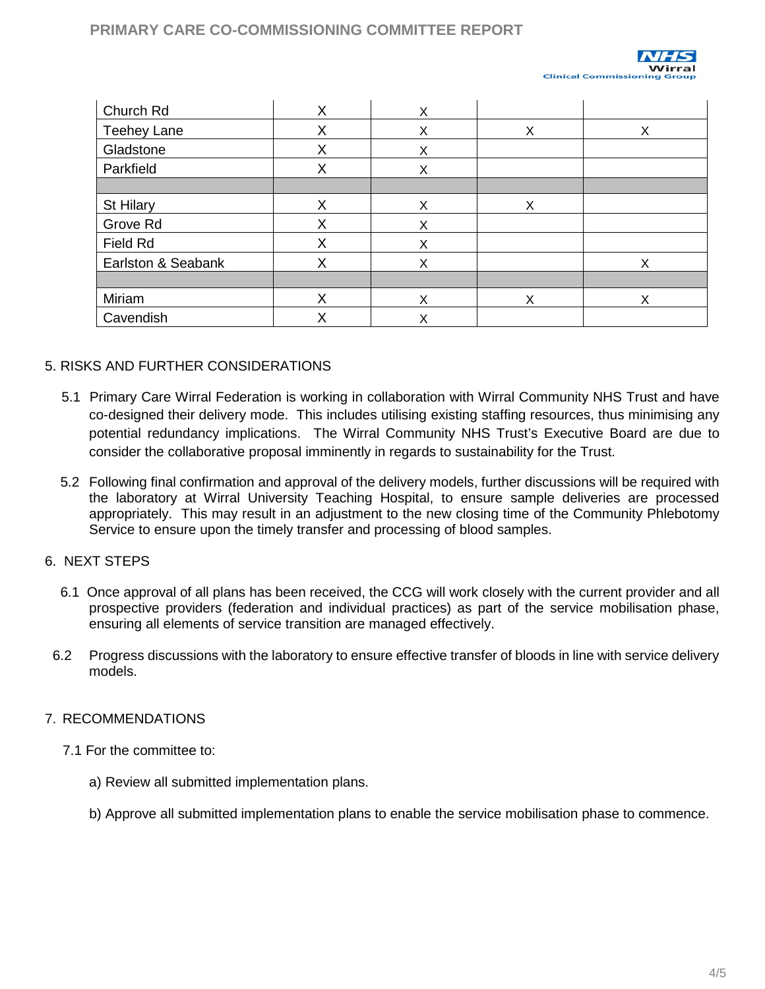# **PRIMARY CARE CO-COMMISSIONING COMMITTEE REPORT**



| Church Rd          | X | Χ |   |   |
|--------------------|---|---|---|---|
| Teehey Lane        | X | Χ | Χ | Х |
| Gladstone          | Χ | Χ |   |   |
| Parkfield          | X | Χ |   |   |
|                    |   |   |   |   |
| St Hilary          | X | X | Χ |   |
| Grove Rd           | Χ | X |   |   |
| Field Rd           | X | X |   |   |
| Earlston & Seabank | Χ | X |   | X |
|                    |   |   |   |   |
| Miriam             | Χ | X | X | X |
| Cavendish          | Х | X |   |   |

#### 5. RISKS AND FURTHER CONSIDERATIONS

- 5.1 Primary Care Wirral Federation is working in collaboration with Wirral Community NHS Trust and have co-designed their delivery mode. This includes utilising existing staffing resources, thus minimising any potential redundancy implications. The Wirral Community NHS Trust's Executive Board are due to consider the collaborative proposal imminently in regards to sustainability for the Trust.
- 5.2 Following final confirmation and approval of the delivery models, further discussions will be required with the laboratory at Wirral University Teaching Hospital, to ensure sample deliveries are processed appropriately. This may result in an adjustment to the new closing time of the Community Phlebotomy Service to ensure upon the timely transfer and processing of blood samples.

#### 6. NEXT STEPS

- 6.1 Once approval of all plans has been received, the CCG will work closely with the current provider and all prospective providers (federation and individual practices) as part of the service mobilisation phase, ensuring all elements of service transition are managed effectively.
- 6.2 Progress discussions with the laboratory to ensure effective transfer of bloods in line with service delivery models.

#### 7. RECOMMENDATIONS

- 7.1 For the committee to:
	- a) Review all submitted implementation plans.
	- b) Approve all submitted implementation plans to enable the service mobilisation phase to commence.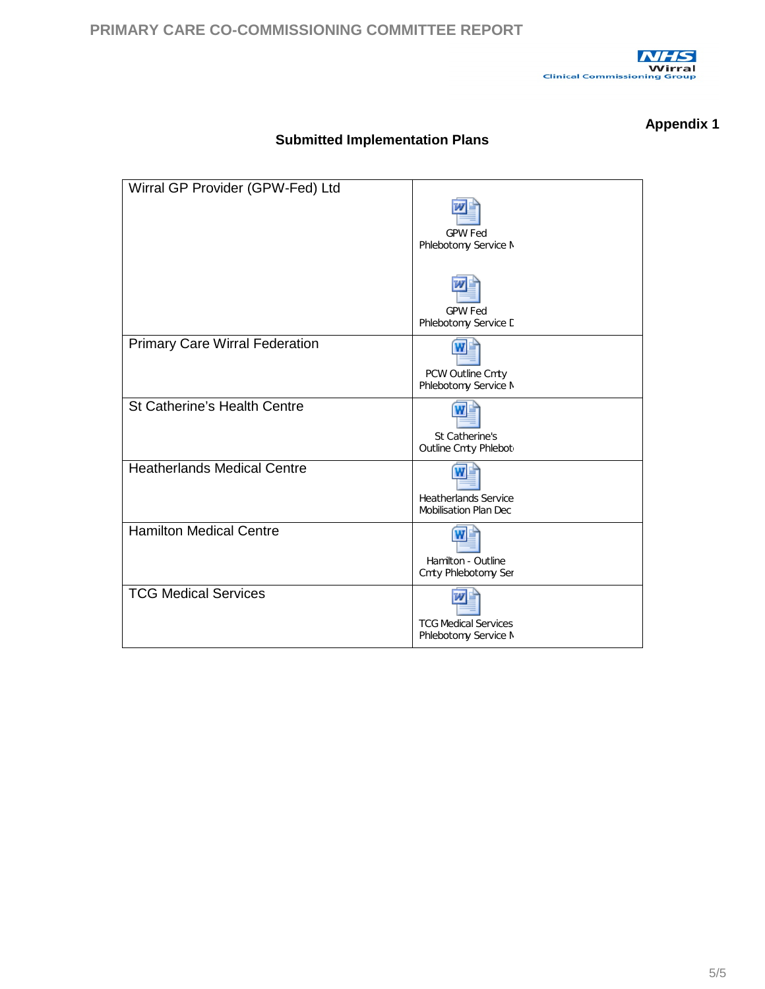

## **Appendix 1**

| Wirral GP Provider (GPW-Fed) Ltd      |                              |
|---------------------------------------|------------------------------|
|                                       |                              |
|                                       | <b>GPW Fed</b>               |
|                                       | Phlebotomy Service M         |
|                                       |                              |
|                                       |                              |
|                                       | <b>GPW Fed</b>               |
|                                       | Phlebotomy Service D         |
| <b>Primary Care Wirral Federation</b> |                              |
|                                       | PCW Outline Cmty             |
|                                       | Phlebotomy Service M         |
| St Catherine's Health Centre          |                              |
|                                       | St Catherine's               |
|                                       | Outline Cmty Phlebot         |
| <b>Heatherlands Medical Centre</b>    |                              |
|                                       | <b>Heatherlands Service</b>  |
|                                       | <b>Mobilisation Plan Dec</b> |
| <b>Hamilton Medical Centre</b>        |                              |
|                                       | Hamilton - Outline           |
|                                       | Cmty Phlebotomy Ser          |
| <b>TCG Medical Services</b>           |                              |
|                                       |                              |
|                                       | <b>TCG Medical Services</b>  |
|                                       | Phlebotomy Service M         |

## **Submitted Implementation Plans**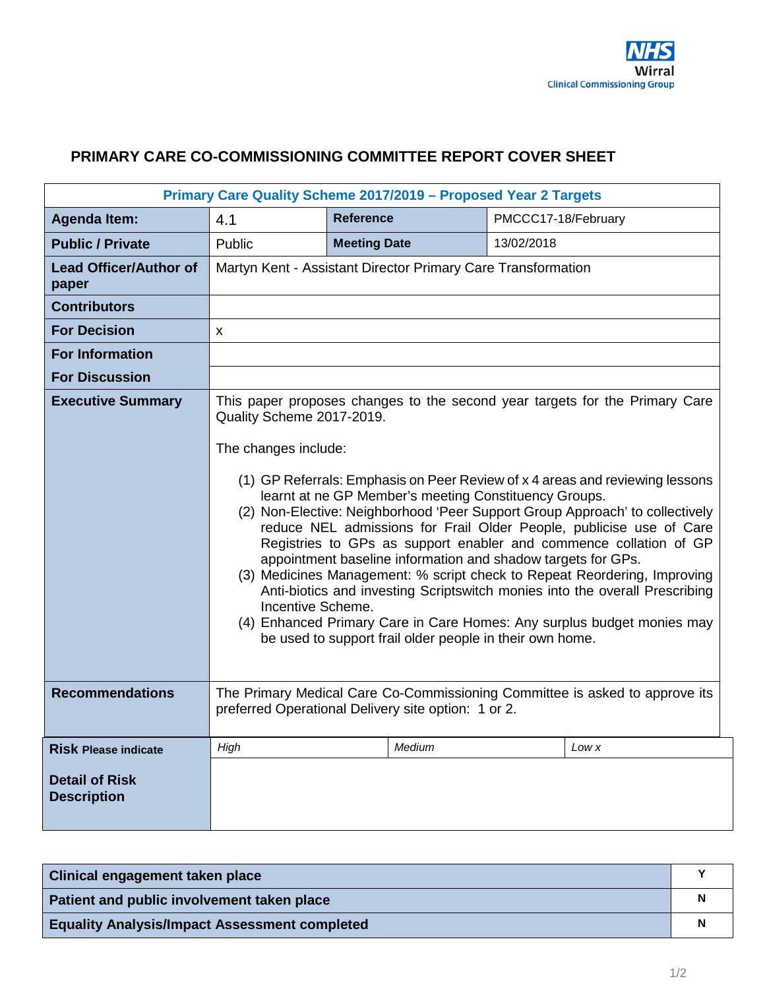# <span id="page-48-0"></span>**PRIMARY CARE CO-COMMISSIONING COMMITTEE REPORT COVER SHEET**

| Primary Care Quality Scheme 2017/2019 - Proposed Year 2 Targets |                                                                                                                                                                                                                                                                                                                                                                                                                                                                                                                                                                                                                                                                                                                                                                                                                                                                                             |                                                              |                     |  |  |  |  |
|-----------------------------------------------------------------|---------------------------------------------------------------------------------------------------------------------------------------------------------------------------------------------------------------------------------------------------------------------------------------------------------------------------------------------------------------------------------------------------------------------------------------------------------------------------------------------------------------------------------------------------------------------------------------------------------------------------------------------------------------------------------------------------------------------------------------------------------------------------------------------------------------------------------------------------------------------------------------------|--------------------------------------------------------------|---------------------|--|--|--|--|
| <b>Agenda Item:</b>                                             | 4.1                                                                                                                                                                                                                                                                                                                                                                                                                                                                                                                                                                                                                                                                                                                                                                                                                                                                                         | <b>Reference</b>                                             | PMCCC17-18/February |  |  |  |  |
| <b>Public / Private</b>                                         | Public                                                                                                                                                                                                                                                                                                                                                                                                                                                                                                                                                                                                                                                                                                                                                                                                                                                                                      | <b>Meeting Date</b>                                          | 13/02/2018          |  |  |  |  |
| <b>Lead Officer/Author of</b><br>paper                          |                                                                                                                                                                                                                                                                                                                                                                                                                                                                                                                                                                                                                                                                                                                                                                                                                                                                                             | Martyn Kent - Assistant Director Primary Care Transformation |                     |  |  |  |  |
| <b>Contributors</b>                                             |                                                                                                                                                                                                                                                                                                                                                                                                                                                                                                                                                                                                                                                                                                                                                                                                                                                                                             |                                                              |                     |  |  |  |  |
| <b>For Decision</b>                                             | X                                                                                                                                                                                                                                                                                                                                                                                                                                                                                                                                                                                                                                                                                                                                                                                                                                                                                           |                                                              |                     |  |  |  |  |
| <b>For Information</b>                                          |                                                                                                                                                                                                                                                                                                                                                                                                                                                                                                                                                                                                                                                                                                                                                                                                                                                                                             |                                                              |                     |  |  |  |  |
| <b>For Discussion</b>                                           |                                                                                                                                                                                                                                                                                                                                                                                                                                                                                                                                                                                                                                                                                                                                                                                                                                                                                             |                                                              |                     |  |  |  |  |
| <b>Executive Summary</b>                                        | This paper proposes changes to the second year targets for the Primary Care<br>Quality Scheme 2017-2019.<br>The changes include:<br>(1) GP Referrals: Emphasis on Peer Review of x 4 areas and reviewing lessons<br>learnt at ne GP Member's meeting Constituency Groups.<br>(2) Non-Elective: Neighborhood 'Peer Support Group Approach' to collectively<br>reduce NEL admissions for Frail Older People, publicise use of Care<br>Registries to GPs as support enabler and commence collation of GP<br>appointment baseline information and shadow targets for GPs.<br>(3) Medicines Management: % script check to Repeat Reordering, Improving<br>Anti-biotics and investing Scriptswitch monies into the overall Prescribing<br>Incentive Scheme.<br>(4) Enhanced Primary Care in Care Homes: Any surplus budget monies may<br>be used to support frail older people in their own home. |                                                              |                     |  |  |  |  |
| <b>Recommendations</b>                                          | The Primary Medical Care Co-Commissioning Committee is asked to approve its<br>preferred Operational Delivery site option: 1 or 2.                                                                                                                                                                                                                                                                                                                                                                                                                                                                                                                                                                                                                                                                                                                                                          |                                                              |                     |  |  |  |  |
| <b>Risk Please indicate</b>                                     | High                                                                                                                                                                                                                                                                                                                                                                                                                                                                                                                                                                                                                                                                                                                                                                                                                                                                                        | Medium                                                       | Low x               |  |  |  |  |
| <b>Detail of Risk</b><br><b>Description</b>                     |                                                                                                                                                                                                                                                                                                                                                                                                                                                                                                                                                                                                                                                                                                                                                                                                                                                                                             |                                                              |                     |  |  |  |  |

| Clinical engagement taken place                      |  |
|------------------------------------------------------|--|
| Patient and public involvement taken place           |  |
| <b>Equality Analysis/Impact Assessment completed</b> |  |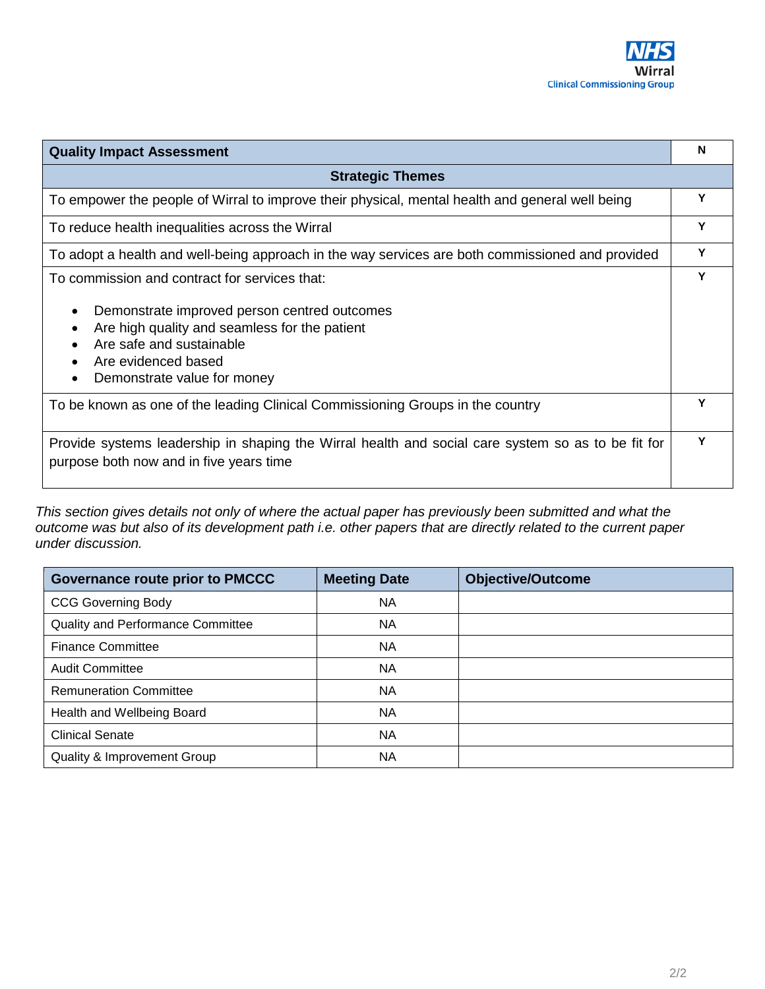

| <b>Quality Impact Assessment</b>                                                                                                                                                                                                                                                     | N |
|--------------------------------------------------------------------------------------------------------------------------------------------------------------------------------------------------------------------------------------------------------------------------------------|---|
| <b>Strategic Themes</b>                                                                                                                                                                                                                                                              |   |
| To empower the people of Wirral to improve their physical, mental health and general well being                                                                                                                                                                                      | Υ |
| To reduce health inequalities across the Wirral                                                                                                                                                                                                                                      | Y |
| To adopt a health and well-being approach in the way services are both commissioned and provided                                                                                                                                                                                     | Υ |
| To commission and contract for services that:<br>Demonstrate improved person centred outcomes<br>$\bullet$<br>Are high quality and seamless for the patient<br>$\bullet$<br>Are safe and sustainable<br>Are evidenced based<br>$\bullet$<br>Demonstrate value for money<br>$\bullet$ | Υ |
| To be known as one of the leading Clinical Commissioning Groups in the country                                                                                                                                                                                                       | Y |
| Provide systems leadership in shaping the Wirral health and social care system so as to be fit for<br>purpose both now and in five years time                                                                                                                                        | Υ |

*This section gives details not only of where the actual paper has previously been submitted and what the outcome was but also of its development path i.e. other papers that are directly related to the current paper under discussion.* 

j.

| <b>Governance route prior to PMCCC</b>   | <b>Meeting Date</b> | <b>Objective/Outcome</b> |
|------------------------------------------|---------------------|--------------------------|
| <b>CCG Governing Body</b>                | <b>NA</b>           |                          |
| <b>Quality and Performance Committee</b> | <b>NA</b>           |                          |
| <b>Finance Committee</b>                 | <b>NA</b>           |                          |
| <b>Audit Committee</b>                   | <b>NA</b>           |                          |
| <b>Remuneration Committee</b>            | <b>NA</b>           |                          |
| Health and Wellbeing Board               | <b>NA</b>           |                          |
| <b>Clinical Senate</b>                   | <b>NA</b>           |                          |
| Quality & Improvement Group              | <b>NA</b>           |                          |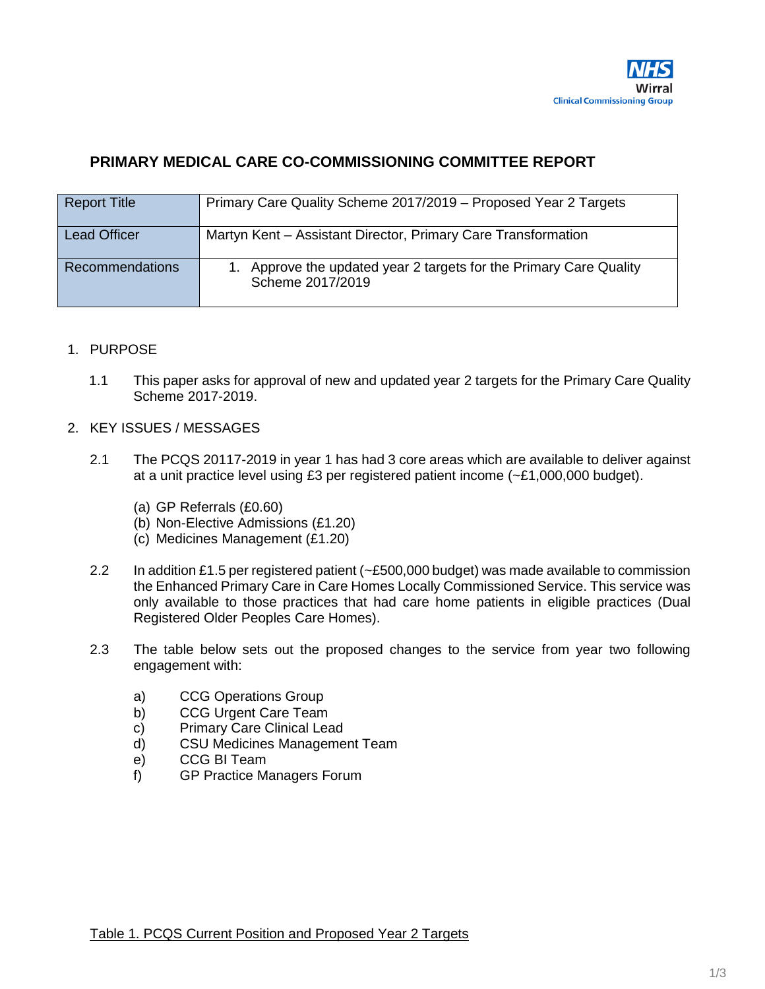

## <span id="page-50-0"></span>**PRIMARY MEDICAL CARE CO-COMMISSIONING COMMITTEE REPORT**

| <b>Report Title</b>    | Primary Care Quality Scheme 2017/2019 - Proposed Year 2 Targets                        |
|------------------------|----------------------------------------------------------------------------------------|
| <b>Lead Officer</b>    | Martyn Kent – Assistant Director, Primary Care Transformation                          |
| <b>Recommendations</b> | 1. Approve the updated year 2 targets for the Primary Care Quality<br>Scheme 2017/2019 |

#### 1. PURPOSE

1.1 This paper asks for approval of new and updated year 2 targets for the Primary Care Quality Scheme 2017-2019.

#### 2. KEY ISSUES / MESSAGES

- 2.1 The PCQS 20117-2019 in year 1 has had 3 core areas which are available to deliver against at a unit practice level using £3 per registered patient income (~£1,000,000 budget).
	- (a) GP Referrals (£0.60)
	- (b) Non-Elective Admissions (£1.20)
	- (c) Medicines Management (£1.20)
- 2.2 In addition £1.5 per registered patient (~£500,000 budget) was made available to commission the Enhanced Primary Care in Care Homes Locally Commissioned Service. This service was only available to those practices that had care home patients in eligible practices (Dual Registered Older Peoples Care Homes).
- 2.3 The table below sets out the proposed changes to the service from year two following engagement with:
	- a) CCG Operations Group
	- b) CCG Urgent Care Team
	- c) Primary Care Clinical Lead
	- d) CSU Medicines Management Team
	- e) CCG BI Team<br>f) GP Practice M
	- GP Practice Managers Forum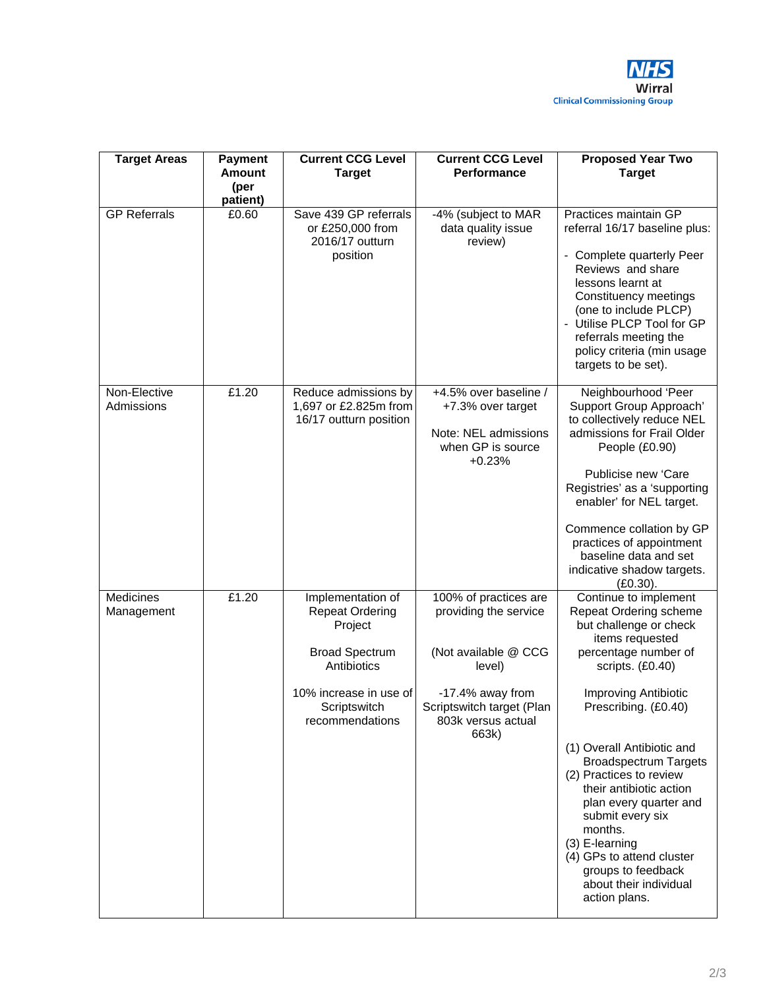

| <b>Target Areas</b>            | <b>Payment</b><br><b>Amount</b><br>(per<br>patient) | <b>Current CCG Level</b><br><b>Target</b>                                                                                                                   | <b>Current CCG Level</b><br>Performance                                                                                                                          | <b>Proposed Year Two</b><br><b>Target</b>                                                                                                                                                                                                                                                                                                                                                                                                                                             |
|--------------------------------|-----------------------------------------------------|-------------------------------------------------------------------------------------------------------------------------------------------------------------|------------------------------------------------------------------------------------------------------------------------------------------------------------------|---------------------------------------------------------------------------------------------------------------------------------------------------------------------------------------------------------------------------------------------------------------------------------------------------------------------------------------------------------------------------------------------------------------------------------------------------------------------------------------|
| <b>GP Referrals</b>            | £0.60                                               | Save 439 GP referrals<br>or £250,000 from<br>2016/17 outturn<br>position                                                                                    | -4% (subject to MAR<br>data quality issue<br>review)                                                                                                             | Practices maintain GP<br>referral 16/17 baseline plus:<br>- Complete quarterly Peer<br>Reviews and share<br>lessons learnt at<br>Constituency meetings<br>(one to include PLCP)<br>- Utilise PLCP Tool for GP<br>referrals meeting the<br>policy criteria (min usage<br>targets to be set).                                                                                                                                                                                           |
| Non-Elective<br>Admissions     | £1.20                                               | Reduce admissions by<br>1,697 or £2.825m from<br>16/17 outturn position                                                                                     | +4.5% over baseline /<br>+7.3% over target<br>Note: NEL admissions<br>when GP is source<br>$+0.23%$                                                              | Neighbourhood 'Peer<br>Support Group Approach'<br>to collectively reduce NEL<br>admissions for Frail Older<br>People (£0.90)<br>Publicise new 'Care<br>Registries' as a 'supporting<br>enabler' for NEL target.<br>Commence collation by GP<br>practices of appointment<br>baseline data and set<br>indicative shadow targets.<br>$(E0.30)$ .                                                                                                                                         |
| <b>Medicines</b><br>Management | £1.20                                               | Implementation of<br><b>Repeat Ordering</b><br>Project<br><b>Broad Spectrum</b><br>Antibiotics<br>10% increase in use of<br>Scriptswitch<br>recommendations | 100% of practices are<br>providing the service<br>(Not available @ CCG<br>level)<br>-17.4% away from<br>Scriptswitch target (Plan<br>803k versus actual<br>663k) | Continue to implement<br>Repeat Ordering scheme<br>but challenge or check<br>items requested<br>percentage number of<br>scripts. (£0.40)<br>Improving Antibiotic<br>Prescribing. (£0.40)<br>(1) Overall Antibiotic and<br><b>Broadspectrum Targets</b><br>(2) Practices to review<br>their antibiotic action<br>plan every quarter and<br>submit every six<br>months.<br>(3) E-learning<br>(4) GPs to attend cluster<br>groups to feedback<br>about their individual<br>action plans. |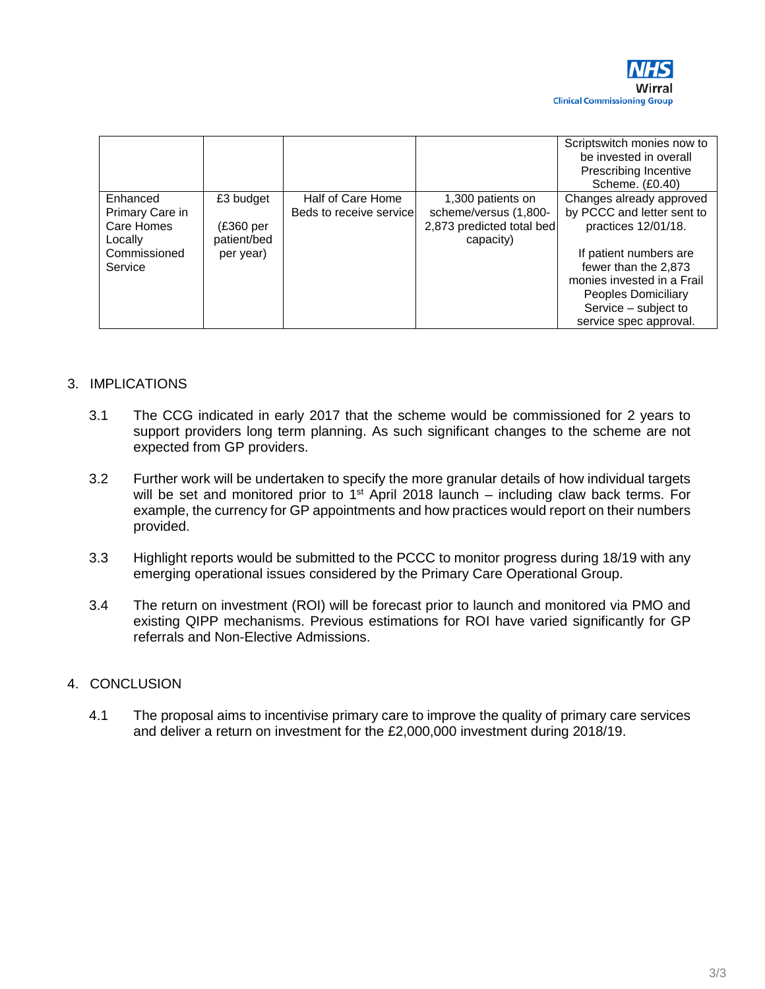

|                             |                          |                                              |                                            | Scriptswitch monies now to<br>be invested in overall<br>Prescribing Incentive<br>Scheme. (£0.40) |
|-----------------------------|--------------------------|----------------------------------------------|--------------------------------------------|--------------------------------------------------------------------------------------------------|
| Enhanced<br>Primary Care in | £3 budget                | Half of Care Home<br>Beds to receive service | 1,300 patients on<br>scheme/versus (1,800- | Changes already approved<br>by PCCC and letter sent to                                           |
| Care Homes<br>Locally       | (£360 per<br>patient/bed |                                              | 2,873 predicted total bed<br>capacity)     | practices 12/01/18.                                                                              |
| Commissioned<br>Service     | per year)                |                                              |                                            | If patient numbers are<br>fewer than the 2,873                                                   |
|                             |                          |                                              |                                            | monies invested in a Frail<br>Peoples Domiciliary                                                |
|                             |                          |                                              |                                            | Service - subject to<br>service spec approval.                                                   |

## 3. IMPLICATIONS

- 3.1 The CCG indicated in early 2017 that the scheme would be commissioned for 2 years to support providers long term planning. As such significant changes to the scheme are not expected from GP providers.
- 3.2 Further work will be undertaken to specify the more granular details of how individual targets will be set and monitored prior to  $1<sup>st</sup>$  April 2018 launch – including claw back terms. For example, the currency for GP appointments and how practices would report on their numbers provided.
- 3.3 Highlight reports would be submitted to the PCCC to monitor progress during 18/19 with any emerging operational issues considered by the Primary Care Operational Group.
- 3.4 The return on investment (ROI) will be forecast prior to launch and monitored via PMO and existing QIPP mechanisms. Previous estimations for ROI have varied significantly for GP referrals and Non-Elective Admissions.

#### 4. CONCLUSION

4.1 The proposal aims to incentivise primary care to improve the quality of primary care services and deliver a return on investment for the £2,000,000 investment during 2018/19.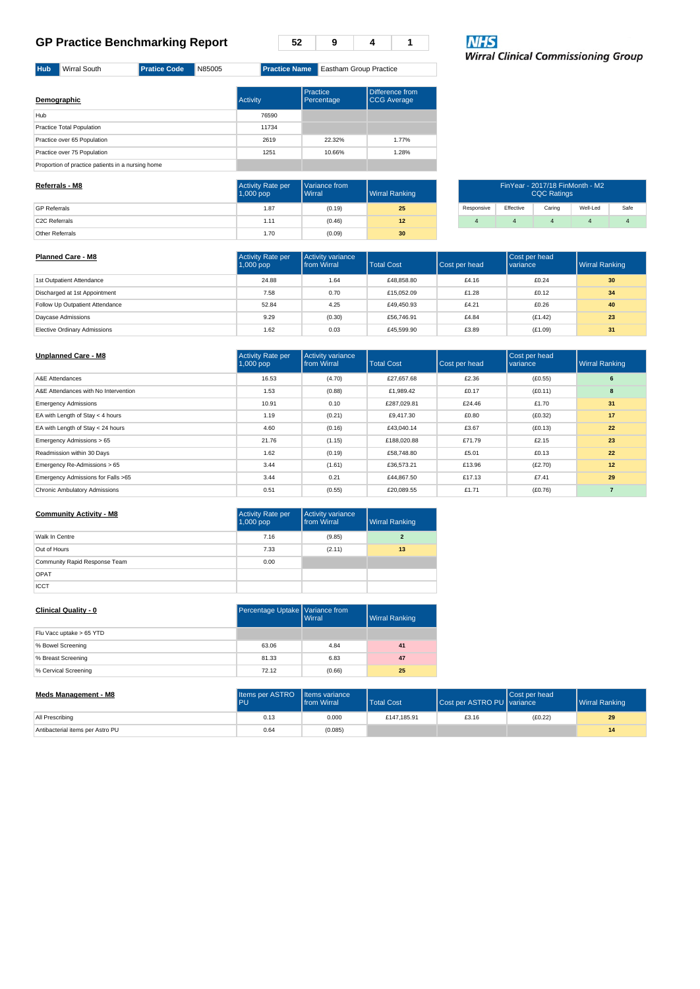**52 9 4 1**

**NHS**<br>Wirral Clinical Commissioning Group

| Demographic                                       | <b>Activity</b> | Practice<br>Percentage | Difference from<br>CCG Average |
|---------------------------------------------------|-----------------|------------------------|--------------------------------|
| Hub                                               | 76590           |                        |                                |
| Practice Total Population                         | 11734           |                        |                                |
| Practice over 65 Population                       | 2619            | 22.32%                 | 1.77%                          |
| Practice over 75 Population                       | 1251            | 10.66%                 | 1.28%                          |
| Proportion of practice patients in a nursing home |                 |                        |                                |

<span id="page-53-0"></span>**Hub** Wirral South **Pratice Code** N85005 **Practice Name** Eastham Group Practice

| Referrals - M8             | <b>Activity Rate per</b><br>$1,000$ pop | Variance from<br><b>Wirral</b> | Wirral Ranking  | FinYear - 2017/18 FinMonth - M2<br><b>CQC Ratings</b> |           |        |          |      |
|----------------------------|-----------------------------------------|--------------------------------|-----------------|-------------------------------------------------------|-----------|--------|----------|------|
| <b>GP Referrals</b>        | 1.87                                    | (0.19)                         | 25              | Responsive                                            | Effective | Caring | Well-Led | Safe |
| C <sub>2</sub> C Referrals | 1.11                                    | (0.46)                         | 12              |                                                       |           |        |          |      |
| Other Referrals            | 1.70                                    | (0.09)                         | 30 <sup>°</sup> |                                                       |           |        |          |      |

| <b>Planned Care - M8</b>            | <b>Activity Rate per</b><br><b>Activity variance</b><br>Total Cost<br><b>I</b> from Wirral<br>$1,000$ pop |        | Cost per head | Cost per head<br><b>variance</b> | <b>Wirral Ranking</b> |    |
|-------------------------------------|-----------------------------------------------------------------------------------------------------------|--------|---------------|----------------------------------|-----------------------|----|
| 1st Outpatient Attendance           | 24.88                                                                                                     | 1.64   | £48,858,80    | £4.16                            | £0.24                 | 30 |
| Discharged at 1st Appointment       | 7.58                                                                                                      | 0.70   | £15,052.09    | £1.28                            | £0.12                 | 34 |
| Follow Up Outpatient Attendance     | 52.84                                                                                                     | 4.25   | £49,450.93    | £4.21                            | £0.26                 | 40 |
| Davcase Admissions                  | 9.29                                                                                                      | (0.30) | £56,746.91    | £4.84                            | (E1.42)               | 23 |
| <b>Elective Ordinary Admissions</b> | 1.62                                                                                                      | 0.03   | £45,599.90    | £3.89                            | (E1.09)               | 31 |

| <b>Unplanned Care - M8</b>           | <b>Activity Rate per</b><br>$1,000$ pop | <b>Activity variance</b><br><b>from Wirral</b> | <b>Total Cost</b> | Cost per head | Cost per head<br>variance | <b>Wirral Ranking</b> |
|--------------------------------------|-----------------------------------------|------------------------------------------------|-------------------|---------------|---------------------------|-----------------------|
| A&E Attendances                      | 16.53                                   | (4.70)                                         | £27.657.68        | £2.36         | (E0.55)                   | 6                     |
| A&E Attendances with No Intervention | 1.53                                    | (0.88)                                         | £1,989.42         | £0.17         | (E0.11)                   | 8                     |
| <b>Emergency Admissions</b>          | 10.91                                   | 0.10                                           | £287.029.81       | £24.46        | £1.70                     | 31                    |
| EA with Length of Stay < 4 hours     | 1.19                                    | (0.21)                                         | £9.417.30         | £0.80         | (E0.32)                   | 17                    |
| EA with Length of Stay < 24 hours    | 4.60                                    | (0.16)                                         | £43.040.14        | £3.67         | (E0.13)                   | 22                    |
| Emergency Admissions > 65            | 21.76                                   | (1.15)                                         | £188,020.88       | £71.79        | £2.15                     | 23                    |
| Readmission within 30 Days           | 1.62                                    | (0.19)                                         | £58,748.80        | £5.01         | £0.13                     | 22                    |
| Emergency Re-Admissions > 65         | 3.44                                    | (1.61)                                         | £36,573.21        | £13.96        | (E2.70)                   | 12                    |
| Emergency Admissions for Falls >65   | 3.44                                    | 0.21                                           | £44.867.50        | £17.13        | £7.41                     | 29                    |
| Chronic Ambulatory Admissions        | 0.51                                    | (0.55)                                         | £20.089.55        | £1.71         | (E0.76)                   | $\overline{7}$        |

| <b>Community Activity - M8</b> | <b>Activity Rate per</b><br>1,000 pop | Activity variance<br>from Wirral | <b>Wirral Ranking</b> |
|--------------------------------|---------------------------------------|----------------------------------|-----------------------|
| Walk In Centre                 | 7.16                                  | (9.85)                           | $\mathbf{2}$          |
| Out of Hours                   | 7.33                                  | (2.11)                           | 13                    |
| Community Rapid Response Team  | 0.00                                  |                                  |                       |
| OPAT                           |                                       |                                  |                       |
| ICCT                           |                                       |                                  |                       |

| <b>Clinical Quality - 0</b> | Percentage Uptake Variance from<br><b>I</b> Wirral |        | <b>Wirral Ranking</b> |
|-----------------------------|----------------------------------------------------|--------|-----------------------|
| Flu Vacc uptake > 65 YTD    |                                                    |        |                       |
| % Bowel Screening           | 63.06                                              | 4.84   | 41                    |
| % Breast Screening          | 81.33                                              | 6.83   | 47                    |
| % Cervical Screening        | 72.12                                              | (0.66) | 25                    |
|                             |                                                    |        |                       |

| Meds Management - M8             | Items per ASTRO Items variance<br>PU | <b>I</b> from Wirral | <b>Total Cost</b> | Cost per ASTRO PU I variance | <b>Cost per head</b> | <b>Wirral Ranking</b> |
|----------------------------------|--------------------------------------|----------------------|-------------------|------------------------------|----------------------|-----------------------|
| All Prescribing                  | 0.13                                 | 0.000                | £147.185.91       | £3.16                        | (E0.22)              | 29                    |
| Antibacterial items per Astro PU | 0.64                                 | (0.085)              |                   |                              |                      | 14                    |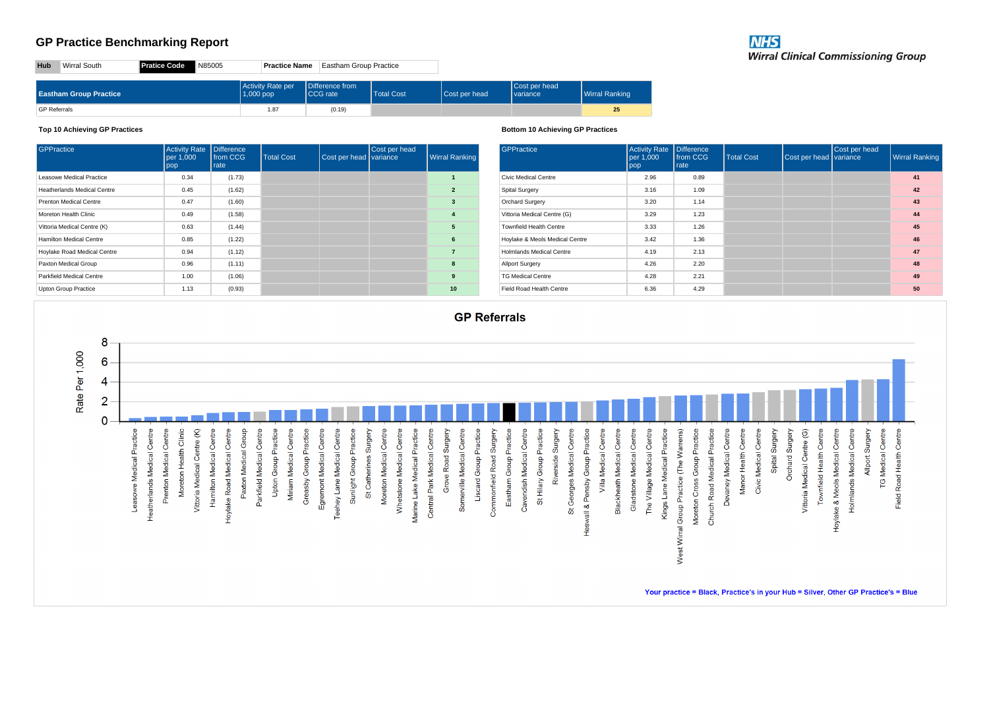| Hub                 | Wirral South                  | <b>Pratice Code</b><br>N85005 | <b>Practice Name</b>             | <b>Eastham Group Practice</b>       |                   |               |                                  |                |
|---------------------|-------------------------------|-------------------------------|----------------------------------|-------------------------------------|-------------------|---------------|----------------------------------|----------------|
|                     | <b>Eastham Group Practice</b> |                               | Activity Rate per<br>$1,000$ pop | Difference from<br><b>ICCG</b> rate | <b>Total Cost</b> | Cost per head | Cost per head<br><b>variance</b> | Wirral Ranking |
| <b>GP Referrals</b> |                               |                               | 1.87                             | (0.19)                              |                   |               |                                  | 25             |

#### **Top 10 Achieving GP Practices**

| GPPractice                      | <b>Activity Rate</b><br>per 1,000<br>pop | <b>Difference</b><br>from CCG<br>rate | <b>Total Cost</b> | Cost per head variance | Cost per head | <b>Wirral Ranking</b>   |
|---------------------------------|------------------------------------------|---------------------------------------|-------------------|------------------------|---------------|-------------------------|
| Leasowe Medical Practice        | 0.34                                     | (1.73)                                |                   |                        |               |                         |
| Heatherlands Medical Centre     | 0.45                                     | (1.62)                                |                   |                        |               | $\overline{2}$          |
| Prenton Medical Centre          | 0.47                                     | (1.60)                                |                   |                        |               | 3                       |
| Moreton Health Clinic           | 0.49                                     | (1.58)                                |                   |                        |               | $\overline{\mathbf{4}}$ |
| Vittoria Medical Centre (K)     | 0.63                                     | (1.44)                                |                   |                        |               | 5                       |
| Hamilton Medical Centre         | 0.85                                     | (1.22)                                |                   |                        |               | 6                       |
| Hoylake Road Medical Centre     | 0.94                                     | (1.12)                                |                   |                        |               | $\overline{7}$          |
| Paxton Medical Group            | 0.96                                     | (1.11)                                |                   |                        |               | 8                       |
| <b>Parkfield Medical Centre</b> | 1.00                                     | (1.06)                                |                   |                        |               | 9                       |
| <b>Upton Group Practice</b>     | 1.13                                     | (0.93)                                |                   |                        |               | 10                      |

#### **Bottom 10 Achieving GP Practices**

| <b>GPPractice</b>              | <b>Activity Rate</b><br>per 1,000<br>pop | <b>Difference</b><br>from CCG<br>rate | <b>Total Cost</b> | Cost per head variance | Cost per head | <b>Wirral Ranking</b> |
|--------------------------------|------------------------------------------|---------------------------------------|-------------------|------------------------|---------------|-----------------------|
| Civic Medical Centre           | 2.96                                     | 0.89                                  |                   |                        |               | 41                    |
| Spital Surgery                 | 3.16                                     | 1.09                                  |                   |                        |               | 42                    |
| Orchard Surgery                | 3.20                                     | 1.14                                  |                   |                        |               | 43                    |
| Vittoria Medical Centre (G)    | 3.29                                     | 1.23                                  |                   |                        |               | 44                    |
| <b>Townfield Health Centre</b> | 3.33                                     | 1.26                                  |                   |                        |               | 45                    |
| Hoylake & Meols Medical Centre | 3.42                                     | 1.36                                  |                   |                        |               | 46                    |
| Holmlands Medical Centre       | 4.19                                     | 2.13                                  |                   |                        |               | 47                    |
| <b>Allport Surgery</b>         | 4.26                                     | 2.20                                  |                   |                        |               | 48                    |
| <b>TG Medical Centre</b>       | 4.28                                     | 2.21                                  |                   |                        |               | 49                    |
| Field Road Health Centre       | 6.36                                     | 4.29                                  |                   |                        |               | 50                    |

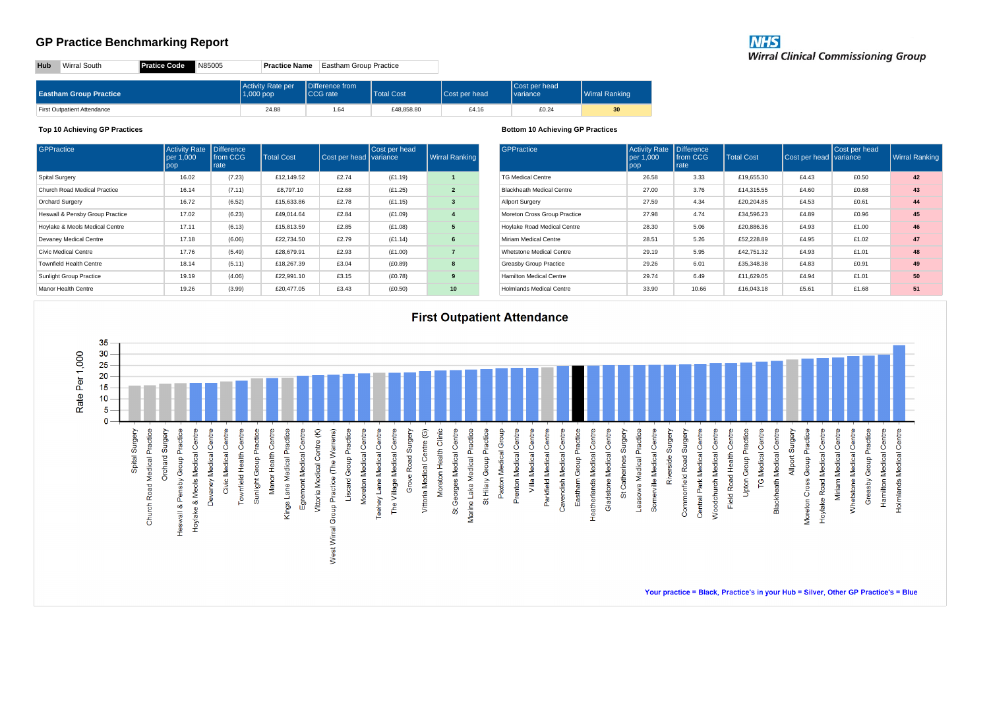| <b>NHS</b>                                 |  |
|--------------------------------------------|--|
| <b>Wirral Clinical Commissioning Group</b> |  |

**Hub** Wirral South **Pratice Code** N85005 **Practice Name** Eastham Group Practice

| <b>Eastham Group Practice</b> | Activity Rate per<br>$1,000$ pop | Difference from<br>CCG rate | <b>Total Cost</b> | <b>Cost per head</b> | Cost per head<br>I variance | <b>Wirral Ranking</b> |
|-------------------------------|----------------------------------|-----------------------------|-------------------|----------------------|-----------------------------|-----------------------|
| First Outpatient Attendance   | 24.88                            | 1.64                        | £48,858.80        | £4.16                | £0.24                       | 30 <sup>°</sup>       |

#### **Top 10 Achieving GP Practices**

| <b>GPPractice</b>               | <b>Activity Rate</b><br>per 1.000<br>pop | <b>Difference</b><br>from CCG<br>rate | <b>Total Cost</b> | Cost per head variance | Cost per head | <b>Wirral Ranking</b> |
|---------------------------------|------------------------------------------|---------------------------------------|-------------------|------------------------|---------------|-----------------------|
| <b>Spital Surgery</b>           | 16.02                                    | (7.23)                                | £12.149.52        | £2.74                  | (E1.19)       | 1                     |
| Church Road Medical Practice    | 16.14                                    | (7.11)                                | £8,797.10         | £2.68                  | (E1.25)       | $\overline{2}$        |
| <b>Orchard Surgery</b>          | 16.72                                    | (6.52)                                | £15,633.86        | £2.78                  | (E1.15)       | 3                     |
| Heswall & Pensby Group Practice | 17.02                                    | (6.23)                                | £49.014.64        | £2.84                  | (E1.09)       | 4                     |
| Hoylake & Meols Medical Centre  | 17.11                                    | (6.13)                                | £15,813,59        | £2.85                  | (E1.08)       | 5                     |
| Devaney Medical Centre          | 17.18                                    | (6.06)                                | £22,734.50        | £2.79                  | (E1.14)       | 6                     |
| Civic Medical Centre            | 17.76                                    | (5.49)                                | £28,679.91        | £2.93                  | (E1.00)       | $\overline{7}$        |
| <b>Townfield Health Centre</b>  | 18.14                                    | (5.11)                                | £18,267.39        | £3.04                  | (E0.89)       | 8                     |
| Sunlight Group Practice         | 19.19                                    | (4.06)                                | £22,991.10        | £3.15                  | (E0.78)       | 9                     |
| Manor Health Centre             | 19.26                                    | (3.99)                                | £20,477.05        | £3.43                  | (E0.50)       | 10                    |

#### **Bottom 10 Achieving GP Practices**

| GPPractice                       | <b>Activity Rate</b><br>per 1,000<br>pop | <b>Difference</b><br>from CCG<br>rate | <b>Total Cost</b> | Cost per head variance | Cost per head | <b>Wirral Ranking</b> |
|----------------------------------|------------------------------------------|---------------------------------------|-------------------|------------------------|---------------|-----------------------|
| <b>TG Medical Centre</b>         | 26.58                                    | 3.33                                  | £19,655.30        | £4.43                  | £0.50         | 42                    |
| <b>Blackheath Medical Centre</b> | 27.00                                    | 3.76                                  | £14.315.55        | £4.60                  | £0.68         | 43                    |
| <b>Allport Surgery</b>           | 27.59                                    | 4.34                                  | £20,204.85        | £4.53                  | £0.61         | 44                    |
| Moreton Cross Group Practice     | 27.98                                    | 4.74                                  | £34.596.23        | £4.89                  | £0.96         | 45                    |
| Hoylake Road Medical Centre      | 28.30                                    | 5.06                                  | £20,886.36        | £4.93                  | £1.00         | 46                    |
| Miriam Medical Centre            | 28.51                                    | 5.26                                  | £52,228.89        | £4.95                  | £1.02         | 47                    |
| Whetstone Medical Centre         | 29.19                                    | 5.95                                  | £42.751.32        | £4.93                  | £1.01         | 48                    |
| <b>Greasby Group Practice</b>    | 29.26                                    | 6.01                                  | £35,348.38        | £4.83                  | £0.91         | 49                    |
| Hamilton Medical Centre          | 29.74                                    | 6.49                                  | £11.629.05        | £4.94                  | £1.01         | 50                    |
| Holmlands Medical Centre         | 33.90                                    | 10.66                                 | £16,043.18        | £5.61                  | £1.68         | 51                    |



Your practice = Black, Practice's in your Hub = Silver, Other GP Practice's = Blue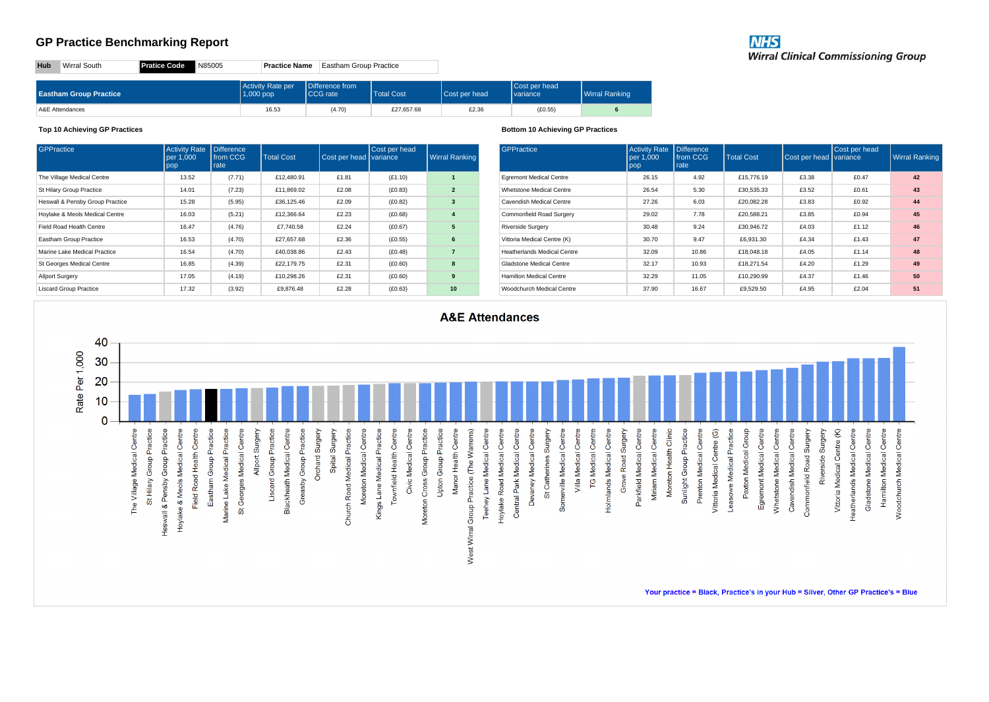| <b>NHS</b>                                 |  |
|--------------------------------------------|--|
| <b>Wirral Clinical Commissioning Group</b> |  |

**Hub** Wirral South **Pratice Code** N85005 **Practice Name** Eastham Group Practice

| <b>Eastham Group Practice</b> | Activity Rate per<br>$1,000$ pop | Difference from<br>CCG rate | <b>Total Cost</b> | <b>Cost per head</b> | Cost per head<br>variance | Wirral Ranking |
|-------------------------------|----------------------------------|-----------------------------|-------------------|----------------------|---------------------------|----------------|
| A&E Attendances               | 16.53                            | (4.70)                      | £27,657.68        | £2.36                | (E0.55)                   |                |

#### **Top 10 Achieving GP Practices**

| <b>GPPractice</b>               | <b>Activity Rate</b><br>per 1.000<br>pop | <b>Difference</b><br>from CCG<br>rate | <b>Total Cost</b> | Cost per head variance | Cost per head | <b>Wirral Ranking</b>   |
|---------------------------------|------------------------------------------|---------------------------------------|-------------------|------------------------|---------------|-------------------------|
| The Village Medical Centre      | 13.52                                    | (7.71)                                | £12,480.91        | £1.81                  | (E1.10)       | $\mathbf{1}$            |
| St Hilary Group Practice        | 14.01                                    | (7.23)                                | £11.869.02        | £2.08                  | (E0.83)       | $\overline{2}$          |
| Heswall & Pensby Group Practice | 15.28                                    | (5.95)                                | £36,125.46        | £2.09                  | (E0.82)       | 3                       |
| Hoylake & Meols Medical Centre  | 16.03                                    | (5.21)                                | £12.366.64        | £2.23                  | (E0.68)       | $\overline{\mathbf{4}}$ |
| Field Road Health Centre        | 16.47                                    | (4.76)                                | £7.740.58         | £2.24                  | (E0.67)       | 5                       |
| <b>Eastham Group Practice</b>   | 16.53                                    | (4.70)                                | £27.657.68        | £2.36                  | (E0.55)       | 6                       |
| Marine Lake Medical Practice    | 16.54                                    | (4.70)                                | £40,038.86        | £2.43                  | (E0.48)       | $\overline{7}$          |
| St Georges Medical Centre       | 16.85                                    | (4.39)                                | £22.179.75        | £2.31                  | (E0.60)       | 8                       |
| <b>Allport Surgery</b>          | 17.05                                    | (4.19)                                | £10.298.26        | £2.31                  | (E0.60)       | 9                       |
| <b>Liscard Group Practice</b>   | 17.32                                    | (3.92)                                | £9.876.48         | £2.28                  | (E0.63)       | 10                      |

#### **Bottom 10 Achieving GP Practices**

| GPPractice                         | <b>Activity Rate</b><br>per 1,000<br>pop | <b>Difference</b><br>from CCG<br>rate | <b>Total Cost</b> | Cost per head variance | Cost per head | <b>Wirral Ranking</b> |
|------------------------------------|------------------------------------------|---------------------------------------|-------------------|------------------------|---------------|-----------------------|
| <b>Egremont Medical Centre</b>     | 26.15                                    | 4.92                                  | £15,776.19        | £3.38                  | f0.47         | 42                    |
| Whetstone Medical Centre           | 26.54                                    | 5.30                                  | £30,535,33        | £3.52                  | £0.61         | 43                    |
| Cavendish Medical Centre           | 27.26                                    | 6.03                                  | £20.082.28        | £3.83                  | £0.92         | 44                    |
| Commonfield Road Surgery           | 29.02                                    | 7.78                                  | £20,588.21        | £3.85                  | £0.94         | 45                    |
| <b>Riverside Surgery</b>           | 30.48                                    | 9.24                                  | £30,946.72        | £4.03                  | £1.12         | 46                    |
| Vittoria Medical Centre (K)        | 30.70                                    | 9.47                                  | £6,931.30         | £4.34                  | £1.43         | 47                    |
| <b>Heatherlands Medical Centre</b> | 32.09                                    | 10.86                                 | £18,048.18        | £4.05                  | £1.14         | 48                    |
| Gladstone Medical Centre           | 32.17                                    | 10.93                                 | £18,271.54        | £4.20                  | £1.29         | 49                    |
| <b>Hamilton Medical Centre</b>     | 32.29                                    | 11.05                                 | £10.290.99        | £4.37                  | £1.46         | 50                    |
| Woodchurch Medical Centre          | 37.90                                    | 16.67                                 | £9,529.50         | £4.95                  | £2.04         | 51                    |



Your practice = Black, Practice's in your Hub = Silver, Other GP Practice's = Blue